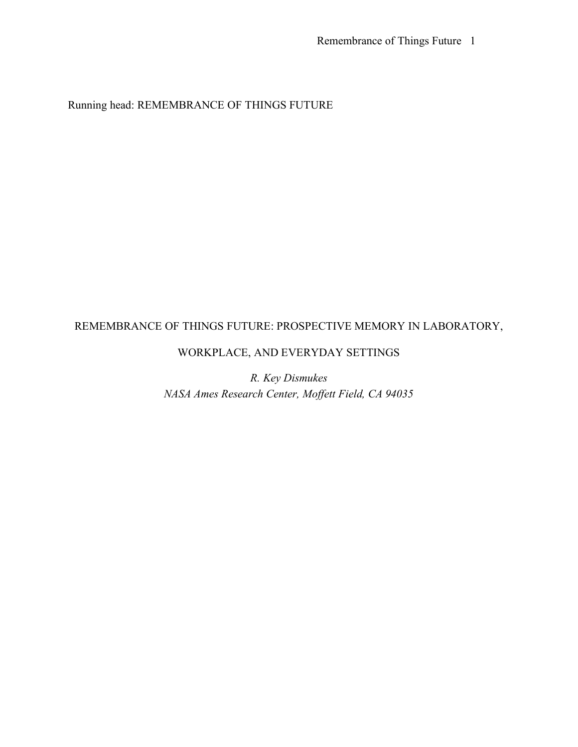Running head: REMEMBRANCE OF THINGS FUTURE

# REMEMBRANCE OF THINGS FUTURE: PROSPECTIVE MEMORY IN LABORATORY,

# WORKPLACE, AND EVERYDAY SETTINGS

*R. Key Dismukes NASA Ames Research Center, Moffett Field, CA 94035*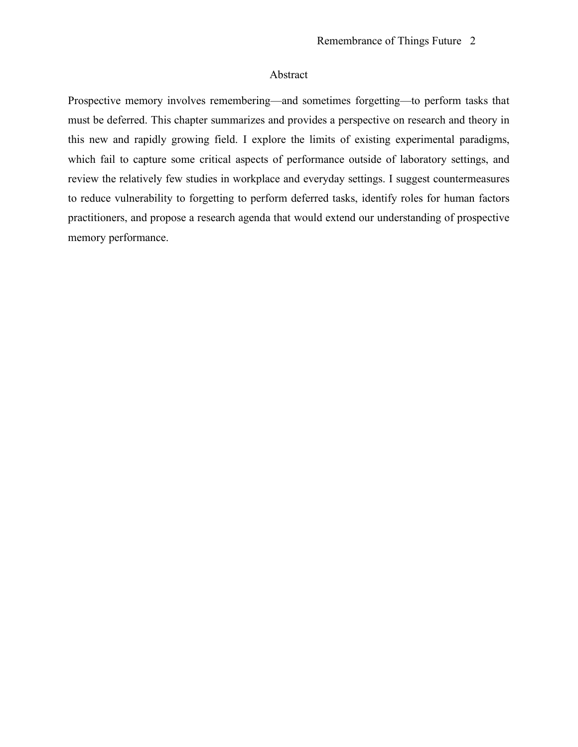# Abstract

Prospective memory involves remembering—and sometimes forgetting—to perform tasks that must be deferred. This chapter summarizes and provides a perspective on research and theory in this new and rapidly growing field. I explore the limits of existing experimental paradigms, which fail to capture some critical aspects of performance outside of laboratory settings, and review the relatively few studies in workplace and everyday settings. I suggest countermeasures to reduce vulnerability to forgetting to perform deferred tasks, identify roles for human factors practitioners, and propose a research agenda that would extend our understanding of prospective memory performance.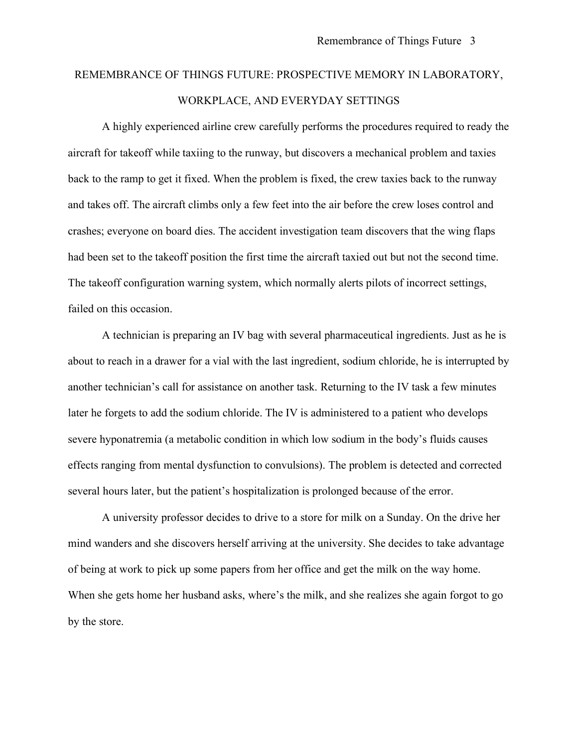# REMEMBRANCE OF THINGS FUTURE: PROSPECTIVE MEMORY IN LABORATORY, WORKPLACE, AND EVERYDAY SETTINGS

A highly experienced airline crew carefully performs the procedures required to ready the aircraft for takeoff while taxiing to the runway, but discovers a mechanical problem and taxies back to the ramp to get it fixed. When the problem is fixed, the crew taxies back to the runway and takes off. The aircraft climbs only a few feet into the air before the crew loses control and crashes; everyone on board dies. The accident investigation team discovers that the wing flaps had been set to the takeoff position the first time the aircraft taxied out but not the second time. The takeoff configuration warning system, which normally alerts pilots of incorrect settings, failed on this occasion.

A technician is preparing an IV bag with several pharmaceutical ingredients. Just as he is about to reach in a drawer for a vial with the last ingredient, sodium chloride, he is interrupted by another technician's call for assistance on another task. Returning to the IV task a few minutes later he forgets to add the sodium chloride. The IV is administered to a patient who develops severe hyponatremia (a metabolic condition in which low sodium in the body's fluids causes effects ranging from mental dysfunction to convulsions). The problem is detected and corrected several hours later, but the patient's hospitalization is prolonged because of the error.

A university professor decides to drive to a store for milk on a Sunday. On the drive her mind wanders and she discovers herself arriving at the university. She decides to take advantage of being at work to pick up some papers from her office and get the milk on the way home. When she gets home her husband asks, where's the milk, and she realizes she again forgot to go by the store.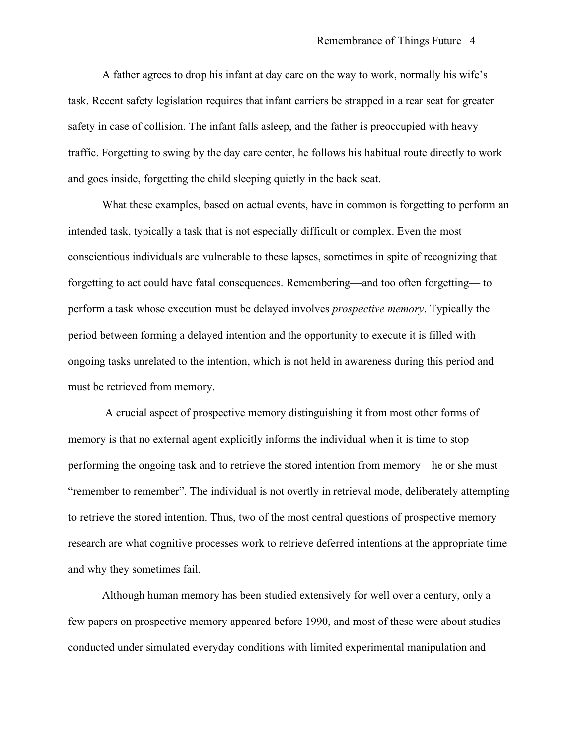A father agrees to drop his infant at day care on the way to work, normally his wife's task. Recent safety legislation requires that infant carriers be strapped in a rear seat for greater safety in case of collision. The infant falls asleep, and the father is preoccupied with heavy traffic. Forgetting to swing by the day care center, he follows his habitual route directly to work and goes inside, forgetting the child sleeping quietly in the back seat.

What these examples, based on actual events, have in common is forgetting to perform an intended task, typically a task that is not especially difficult or complex. Even the most conscientious individuals are vulnerable to these lapses, sometimes in spite of recognizing that forgetting to act could have fatal consequences. Remembering—and too often forgetting— to perform a task whose execution must be delayed involves *prospective memory*. Typically the period between forming a delayed intention and the opportunity to execute it is filled with ongoing tasks unrelated to the intention, which is not held in awareness during this period and must be retrieved from memory.

A crucial aspect of prospective memory distinguishing it from most other forms of memory is that no external agent explicitly informs the individual when it is time to stop performing the ongoing task and to retrieve the stored intention from memory—he or she must "remember to remember". The individual is not overtly in retrieval mode, deliberately attempting to retrieve the stored intention. Thus, two of the most central questions of prospective memory research are what cognitive processes work to retrieve deferred intentions at the appropriate time and why they sometimes fail.

Although human memory has been studied extensively for well over a century, only a few papers on prospective memory appeared before 1990, and most of these were about studies conducted under simulated everyday conditions with limited experimental manipulation and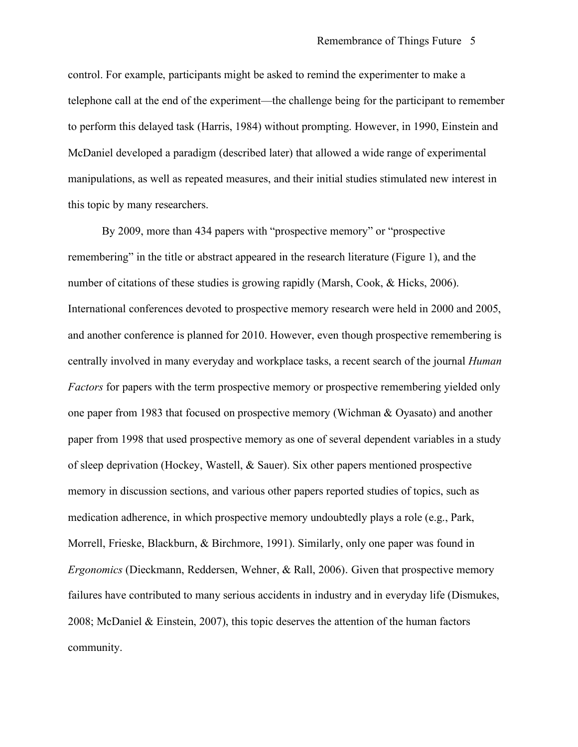control. For example, participants might be asked to remind the experimenter to make a telephone call at the end of the experiment—the challenge being for the participant to remember to perform this delayed task (Harris, 1984) without prompting. However, in 1990, Einstein and McDaniel developed a paradigm (described later) that allowed a wide range of experimental manipulations, as well as repeated measures, and their initial studies stimulated new interest in this topic by many researchers.

By 2009, more than 434 papers with "prospective memory" or "prospective remembering" in the title or abstract appeared in the research literature (Figure 1), and the number of citations of these studies is growing rapidly (Marsh, Cook, & Hicks, 2006). International conferences devoted to prospective memory research were held in 2000 and 2005, and another conference is planned for 2010. However, even though prospective remembering is centrally involved in many everyday and workplace tasks, a recent search of the journal *Human Factors* for papers with the term prospective memory or prospective remembering yielded only one paper from 1983 that focused on prospective memory (Wichman & Oyasato) and another paper from 1998 that used prospective memory as one of several dependent variables in a study of sleep deprivation (Hockey, Wastell, & Sauer). Six other papers mentioned prospective memory in discussion sections, and various other papers reported studies of topics, such as medication adherence, in which prospective memory undoubtedly plays a role (e.g., Park, Morrell, Frieske, Blackburn, & Birchmore, 1991). Similarly, only one paper was found in *Ergonomics* (Dieckmann, Reddersen, Wehner, & Rall, 2006). Given that prospective memory failures have contributed to many serious accidents in industry and in everyday life (Dismukes, 2008; McDaniel & Einstein, 2007), this topic deserves the attention of the human factors community.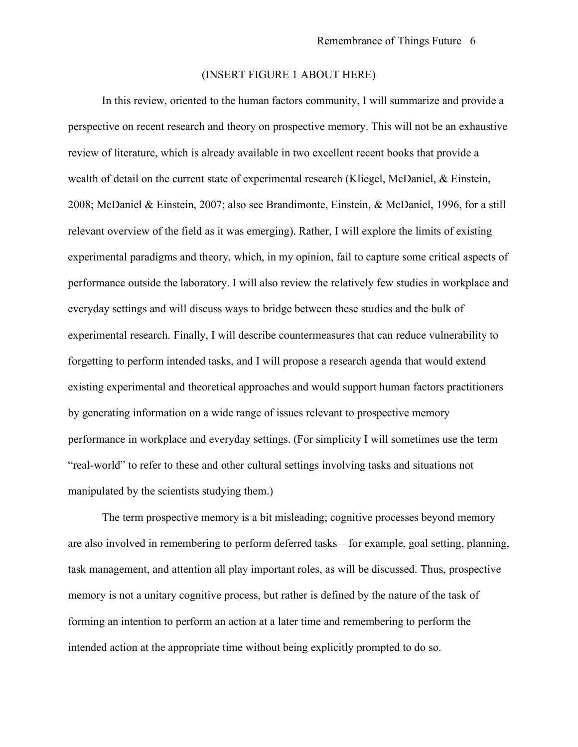# (INSERT FIGURE 1 ABOUT HERE)

In this review, oriented to the human factors community, I will summarize and provide a perspective on recent research and theory on prospective memory. This will not be an exhaustive review of literature, which is already available in two excellent recent books that provide a wealth of detail on the current state of experimental research (Kliegel, McDaniel, & Einstein, 2008; McDaniel & Einstein, 2007; also see Brandimonte, Einstein, & McDaniel, 1996, for a still relevant overview of the field as it was emerging). Rather, I will explore the limits of existing experimental paradigms and theory, which, in my opinion, fail to capture some critical aspects of performance outside the laboratory. I will also review the relatively few studies in workplace and everyday settings and will discuss ways to bridge between these studies and the bulk of experimental research. Finally, I will describe countermeasures that can reduce vulnerability to forgetting to perform intended tasks, and I will propose a research agenda that would extend existing experimental and theoretical approaches and would support human factors practitioners by generating information on a wide range of issues relevant to prospective memory performance in workplace and everyday settings. (For simplicity I will sometimes use the term "real-world" to refer to these and other cultural settings involving tasks and situations not manipulated by the scientists studying them.)

The term prospective memory is a bit misleading; cognitive processes beyond memory are also involved in remembering to perform deferred tasks—for example, goal setting, planning, task management, and attention all play important roles, as will be discussed. Thus, prospective memory is not a unitary cognitive process, but rather is defined by the nature of the task of forming an intention to perform an action at a later time and remembering to perform the intended action at the appropriate time without being explicitly prompted to do so.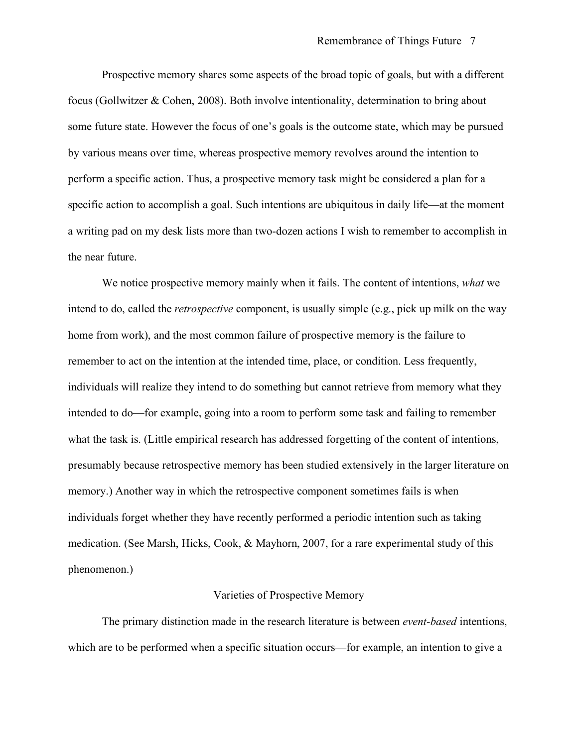Prospective memory shares some aspects of the broad topic of goals, but with a different focus (Gollwitzer & Cohen, 2008). Both involve intentionality, determination to bring about some future state. However the focus of one's goals is the outcome state, which may be pursued by various means over time, whereas prospective memory revolves around the intention to perform a specific action. Thus, a prospective memory task might be considered a plan for a specific action to accomplish a goal. Such intentions are ubiquitous in daily life—at the moment a writing pad on my desk lists more than two-dozen actions I wish to remember to accomplish in the near future.

We notice prospective memory mainly when it fails. The content of intentions, *what* we intend to do, called the *retrospective* component, is usually simple (e.g., pick up milk on the way home from work), and the most common failure of prospective memory is the failure to remember to act on the intention at the intended time, place, or condition. Less frequently, individuals will realize they intend to do something but cannot retrieve from memory what they intended to do—for example, going into a room to perform some task and failing to remember what the task is. (Little empirical research has addressed forgetting of the content of intentions, presumably because retrospective memory has been studied extensively in the larger literature on memory.) Another way in which the retrospective component sometimes fails is when individuals forget whether they have recently performed a periodic intention such as taking medication. (See Marsh, Hicks, Cook, & Mayhorn, 2007, for a rare experimental study of this phenomenon.)

#### Varieties of Prospective Memory

The primary distinction made in the research literature is between *event-based* intentions, which are to be performed when a specific situation occurs—for example, an intention to give a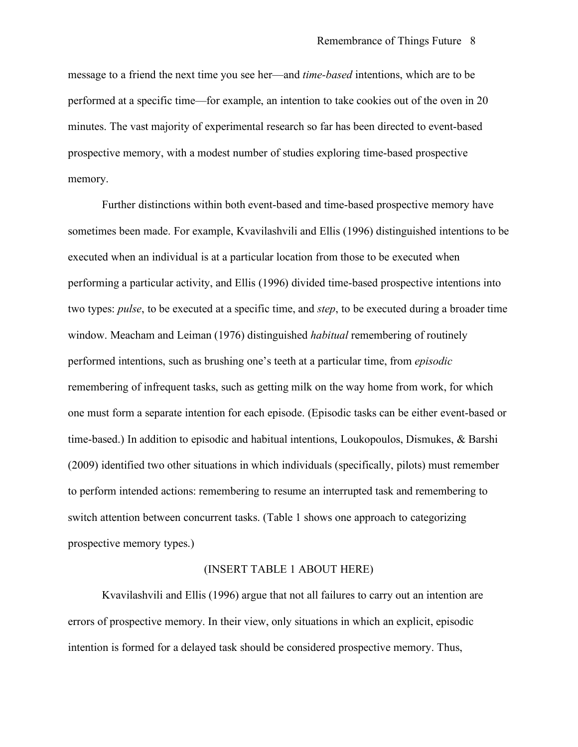message to a friend the next time you see her—and *time-based* intentions, which are to be performed at a specific time—for example, an intention to take cookies out of the oven in 20 minutes. The vast majority of experimental research so far has been directed to event-based prospective memory, with a modest number of studies exploring time-based prospective memory.

Further distinctions within both event-based and time-based prospective memory have sometimes been made. For example, Kvavilashvili and Ellis (1996) distinguished intentions to be executed when an individual is at a particular location from those to be executed when performing a particular activity, and Ellis (1996) divided time-based prospective intentions into two types: *pulse*, to be executed at a specific time, and *step*, to be executed during a broader time window. Meacham and Leiman (1976) distinguished *habitual* remembering of routinely performed intentions, such as brushing one's teeth at a particular time, from *episodic* remembering of infrequent tasks, such as getting milk on the way home from work, for which one must form a separate intention for each episode. (Episodic tasks can be either event-based or time-based.) In addition to episodic and habitual intentions, Loukopoulos, Dismukes, & Barshi (2009) identified two other situations in which individuals (specifically, pilots) must remember to perform intended actions: remembering to resume an interrupted task and remembering to switch attention between concurrent tasks. (Table 1 shows one approach to categorizing prospective memory types.)

### (INSERT TABLE 1 ABOUT HERE)

Kvavilashvili and Ellis (1996) argue that not all failures to carry out an intention are errors of prospective memory. In their view, only situations in which an explicit, episodic intention is formed for a delayed task should be considered prospective memory. Thus,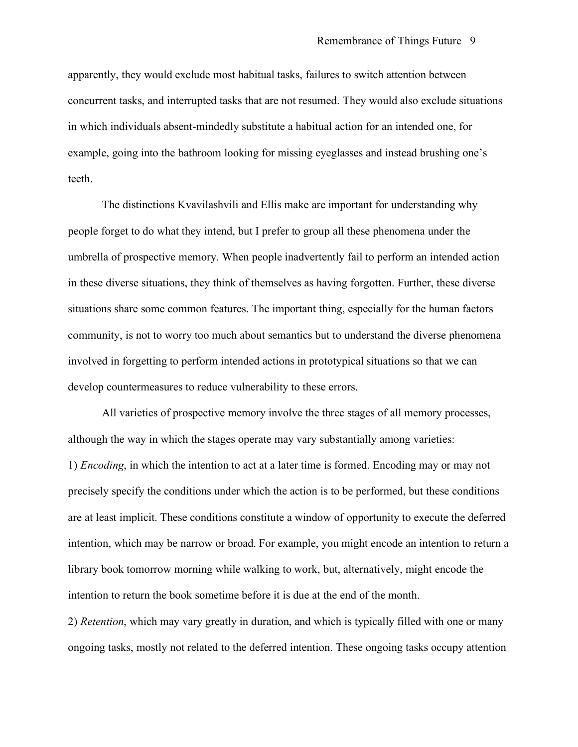apparently, they would exclude most habitual tasks, failures to switch attention between concurrent tasks, and interrupted tasks that are not resumed. They would also exclude situations in which individuals absent-mindedly substitute a habitual action for an intended one, for example, going into the bathroom looking for missing eyeglasses and instead brushing one's teeth.

The distinctions Kvavilashvili and Ellis make are important for understanding why people forget to do what they intend, but I prefer to group all these phenomena under the umbrella of prospective memory. When people inadvertently fail to perform an intended action in these diverse situations, they think of themselves as having forgotten. Further, these diverse situations share some common features. The important thing, especially for the human factors community, is not to worry too much about semantics but to understand the diverse phenomena involved in forgetting to perform intended actions in prototypical situations so that we can develop countermeasures to reduce vulnerability to these errors.

All varieties of prospective memory involve the three stages of all memory processes, although the way in which the stages operate may vary substantially among varieties: 1) *Encoding*, in which the intention to act at a later time is formed. Encoding may or may not precisely specify the conditions under which the action is to be performed, but these conditions are at least implicit. These conditions constitute a window of opportunity to execute the deferred intention, which may be narrow or broad. For example, you might encode an intention to return a library book tomorrow morning while walking to work, but, alternatively, might encode the intention to return the book sometime before it is due at the end of the month.

2) *Retention*, which may vary greatly in duration, and which is typically filled with one or many ongoing tasks, mostly not related to the deferred intention. These ongoing tasks occupy attention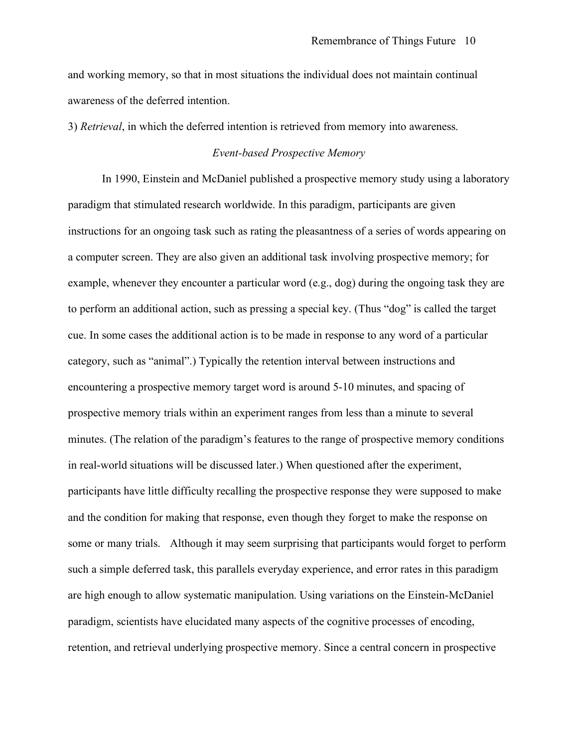and working memory, so that in most situations the individual does not maintain continual awareness of the deferred intention.

3) *Retrieval*, in which the deferred intention is retrieved from memory into awareness.

# *Event-based Prospective Memory*

In 1990, Einstein and McDaniel published a prospective memory study using a laboratory paradigm that stimulated research worldwide. In this paradigm, participants are given instructions for an ongoing task such as rating the pleasantness of a series of words appearing on a computer screen. They are also given an additional task involving prospective memory; for example, whenever they encounter a particular word (e.g., dog) during the ongoing task they are to perform an additional action, such as pressing a special key. (Thus "dog" is called the target cue. In some cases the additional action is to be made in response to any word of a particular category, such as "animal".) Typically the retention interval between instructions and encountering a prospective memory target word is around 5-10 minutes, and spacing of prospective memory trials within an experiment ranges from less than a minute to several minutes. (The relation of the paradigm's features to the range of prospective memory conditions in real-world situations will be discussed later.) When questioned after the experiment, participants have little difficulty recalling the prospective response they were supposed to make and the condition for making that response, even though they forget to make the response on some or many trials. Although it may seem surprising that participants would forget to perform such a simple deferred task, this parallels everyday experience, and error rates in this paradigm are high enough to allow systematic manipulation. Using variations on the Einstein-McDaniel paradigm, scientists have elucidated many aspects of the cognitive processes of encoding, retention, and retrieval underlying prospective memory. Since a central concern in prospective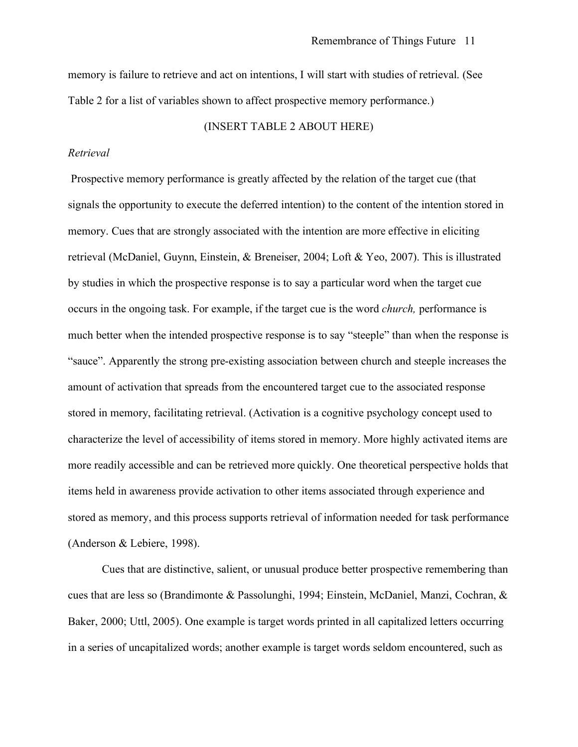memory is failure to retrieve and act on intentions, I will start with studies of retrieval. (See Table 2 for a list of variables shown to affect prospective memory performance.)

# (INSERT TABLE 2 ABOUT HERE)

#### *Retrieval*

Prospective memory performance is greatly affected by the relation of the target cue (that signals the opportunity to execute the deferred intention) to the content of the intention stored in memory. Cues that are strongly associated with the intention are more effective in eliciting retrieval (McDaniel, Guynn, Einstein, & Breneiser, 2004; Loft & Yeo, 2007). This is illustrated by studies in which the prospective response is to say a particular word when the target cue occurs in the ongoing task. For example, if the target cue is the word *church,* performance is much better when the intended prospective response is to say "steeple" than when the response is "sauce". Apparently the strong pre-existing association between church and steeple increases the amount of activation that spreads from the encountered target cue to the associated response stored in memory, facilitating retrieval. (Activation is a cognitive psychology concept used to characterize the level of accessibility of items stored in memory. More highly activated items are more readily accessible and can be retrieved more quickly. One theoretical perspective holds that items held in awareness provide activation to other items associated through experience and stored as memory, and this process supports retrieval of information needed for task performance (Anderson & Lebiere, 1998).

Cues that are distinctive, salient, or unusual produce better prospective remembering than cues that are less so (Brandimonte & Passolunghi, 1994; Einstein, McDaniel, Manzi, Cochran, & Baker, 2000; Uttl, 2005). One example is target words printed in all capitalized letters occurring in a series of uncapitalized words; another example is target words seldom encountered, such as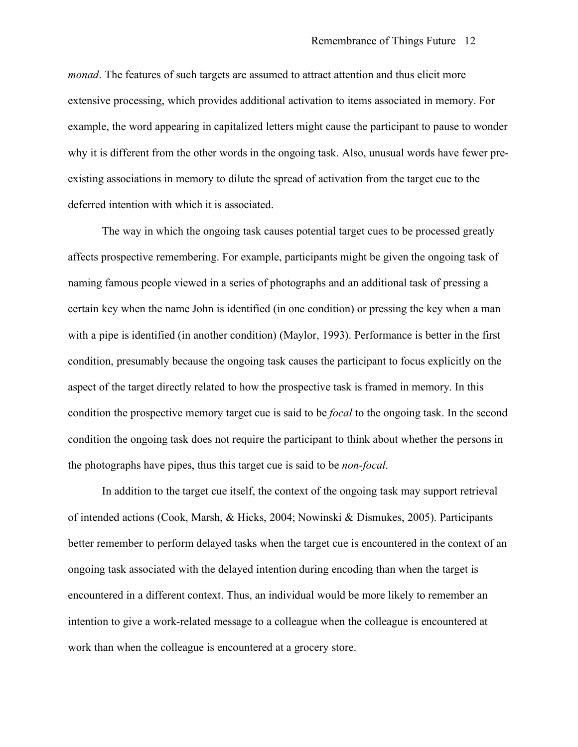*monad*. The features of such targets are assumed to attract attention and thus elicit more extensive processing, which provides additional activation to items associated in memory. For example, the word appearing in capitalized letters might cause the participant to pause to wonder why it is different from the other words in the ongoing task. Also, unusual words have fewer preexisting associations in memory to dilute the spread of activation from the target cue to the deferred intention with which it is associated.

The way in which the ongoing task causes potential target cues to be processed greatly affects prospective remembering. For example, participants might be given the ongoing task of naming famous people viewed in a series of photographs and an additional task of pressing a certain key when the name John is identified (in one condition) or pressing the key when a man with a pipe is identified (in another condition) (Maylor, 1993). Performance is better in the first condition, presumably because the ongoing task causes the participant to focus explicitly on the aspect of the target directly related to how the prospective task is framed in memory. In this condition the prospective memory target cue is said to be *focal* to the ongoing task. In the second condition the ongoing task does not require the participant to think about whether the persons in the photographs have pipes, thus this target cue is said to be *non-focal*.

In addition to the target cue itself, the context of the ongoing task may support retrieval of intended actions (Cook, Marsh, & Hicks, 2004; Nowinski & Dismukes, 2005). Participants better remember to perform delayed tasks when the target cue is encountered in the context of an ongoing task associated with the delayed intention during encoding than when the target is encountered in a different context. Thus, an individual would be more likely to remember an intention to give a work-related message to a colleague when the colleague is encountered at work than when the colleague is encountered at a grocery store.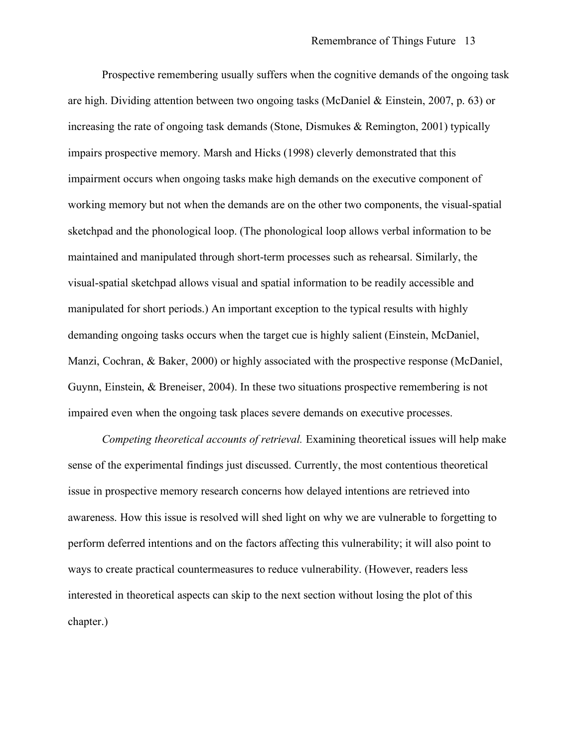Prospective remembering usually suffers when the cognitive demands of the ongoing task are high. Dividing attention between two ongoing tasks (McDaniel & Einstein, 2007, p. 63) or increasing the rate of ongoing task demands (Stone, Dismukes & Remington, 2001) typically impairs prospective memory. Marsh and Hicks (1998) cleverly demonstrated that this impairment occurs when ongoing tasks make high demands on the executive component of working memory but not when the demands are on the other two components, the visual-spatial sketchpad and the phonological loop. (The phonological loop allows verbal information to be maintained and manipulated through short-term processes such as rehearsal. Similarly, the visual-spatial sketchpad allows visual and spatial information to be readily accessible and manipulated for short periods.) An important exception to the typical results with highly demanding ongoing tasks occurs when the target cue is highly salient (Einstein, McDaniel, Manzi, Cochran, & Baker, 2000) or highly associated with the prospective response (McDaniel, Guynn, Einstein, & Breneiser, 2004). In these two situations prospective remembering is not impaired even when the ongoing task places severe demands on executive processes.

*Competing theoretical accounts of retrieval.* Examining theoretical issues will help make sense of the experimental findings just discussed. Currently, the most contentious theoretical issue in prospective memory research concerns how delayed intentions are retrieved into awareness. How this issue is resolved will shed light on why we are vulnerable to forgetting to perform deferred intentions and on the factors affecting this vulnerability; it will also point to ways to create practical countermeasures to reduce vulnerability. (However, readers less interested in theoretical aspects can skip to the next section without losing the plot of this chapter.)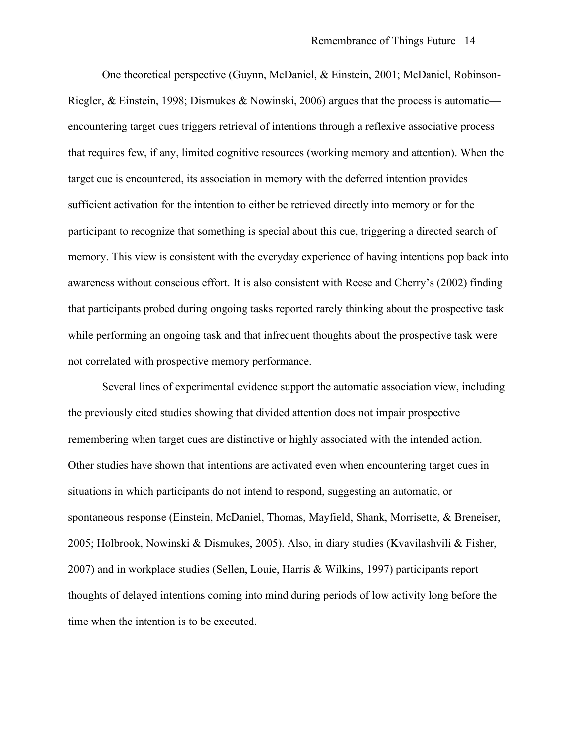One theoretical perspective (Guynn, McDaniel, & Einstein, 2001; McDaniel, Robinson-Riegler, & Einstein, 1998; Dismukes & Nowinski, 2006) argues that the process is automatic encountering target cues triggers retrieval of intentions through a reflexive associative process that requires few, if any, limited cognitive resources (working memory and attention). When the target cue is encountered, its association in memory with the deferred intention provides sufficient activation for the intention to either be retrieved directly into memory or for the participant to recognize that something is special about this cue, triggering a directed search of memory. This view is consistent with the everyday experience of having intentions pop back into awareness without conscious effort. It is also consistent with Reese and Cherry's (2002) finding that participants probed during ongoing tasks reported rarely thinking about the prospective task while performing an ongoing task and that infrequent thoughts about the prospective task were not correlated with prospective memory performance.

Several lines of experimental evidence support the automatic association view, including the previously cited studies showing that divided attention does not impair prospective remembering when target cues are distinctive or highly associated with the intended action. Other studies have shown that intentions are activated even when encountering target cues in situations in which participants do not intend to respond, suggesting an automatic, or spontaneous response (Einstein, McDaniel, Thomas, Mayfield, Shank, Morrisette, & Breneiser, 2005; Holbrook, Nowinski & Dismukes, 2005). Also, in diary studies (Kvavilashvili & Fisher, 2007) and in workplace studies (Sellen, Louie, Harris & Wilkins, 1997) participants report thoughts of delayed intentions coming into mind during periods of low activity long before the time when the intention is to be executed.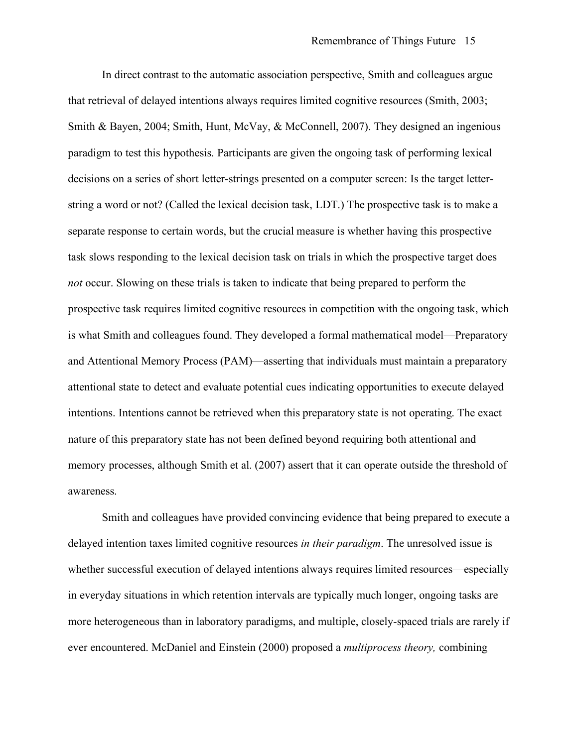In direct contrast to the automatic association perspective, Smith and colleagues argue that retrieval of delayed intentions always requires limited cognitive resources (Smith, 2003; Smith & Bayen, 2004; Smith, Hunt, McVay, & McConnell, 2007). They designed an ingenious paradigm to test this hypothesis. Participants are given the ongoing task of performing lexical decisions on a series of short letter-strings presented on a computer screen: Is the target letterstring a word or not? (Called the lexical decision task, LDT.) The prospective task is to make a separate response to certain words, but the crucial measure is whether having this prospective task slows responding to the lexical decision task on trials in which the prospective target does *not* occur. Slowing on these trials is taken to indicate that being prepared to perform the prospective task requires limited cognitive resources in competition with the ongoing task, which is what Smith and colleagues found. They developed a formal mathematical model—Preparatory and Attentional Memory Process (PAM)—asserting that individuals must maintain a preparatory attentional state to detect and evaluate potential cues indicating opportunities to execute delayed intentions. Intentions cannot be retrieved when this preparatory state is not operating. The exact nature of this preparatory state has not been defined beyond requiring both attentional and memory processes, although Smith et al. (2007) assert that it can operate outside the threshold of awareness.

Smith and colleagues have provided convincing evidence that being prepared to execute a delayed intention taxes limited cognitive resources *in their paradigm*. The unresolved issue is whether successful execution of delayed intentions always requires limited resources—especially in everyday situations in which retention intervals are typically much longer, ongoing tasks are more heterogeneous than in laboratory paradigms, and multiple, closely-spaced trials are rarely if ever encountered. McDaniel and Einstein (2000) proposed a *multiprocess theory,* combining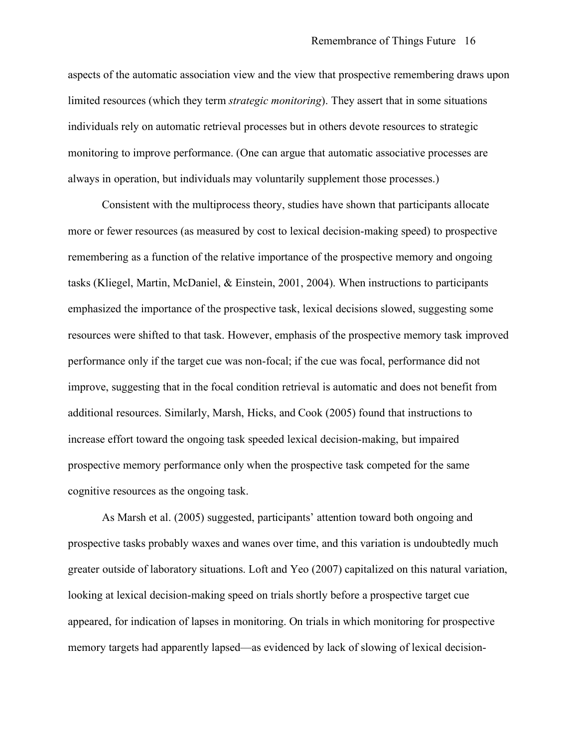aspects of the automatic association view and the view that prospective remembering draws upon limited resources (which they term *strategic monitoring*). They assert that in some situations individuals rely on automatic retrieval processes but in others devote resources to strategic monitoring to improve performance. (One can argue that automatic associative processes are always in operation, but individuals may voluntarily supplement those processes.)

Consistent with the multiprocess theory, studies have shown that participants allocate more or fewer resources (as measured by cost to lexical decision-making speed) to prospective remembering as a function of the relative importance of the prospective memory and ongoing tasks (Kliegel, Martin, McDaniel, & Einstein, 2001, 2004). When instructions to participants emphasized the importance of the prospective task, lexical decisions slowed, suggesting some resources were shifted to that task. However, emphasis of the prospective memory task improved performance only if the target cue was non-focal; if the cue was focal, performance did not improve, suggesting that in the focal condition retrieval is automatic and does not benefit from additional resources. Similarly, Marsh, Hicks, and Cook (2005) found that instructions to increase effort toward the ongoing task speeded lexical decision-making, but impaired prospective memory performance only when the prospective task competed for the same cognitive resources as the ongoing task.

As Marsh et al. (2005) suggested, participants' attention toward both ongoing and prospective tasks probably waxes and wanes over time, and this variation is undoubtedly much greater outside of laboratory situations. Loft and Yeo (2007) capitalized on this natural variation, looking at lexical decision-making speed on trials shortly before a prospective target cue appeared, for indication of lapses in monitoring. On trials in which monitoring for prospective memory targets had apparently lapsed—as evidenced by lack of slowing of lexical decision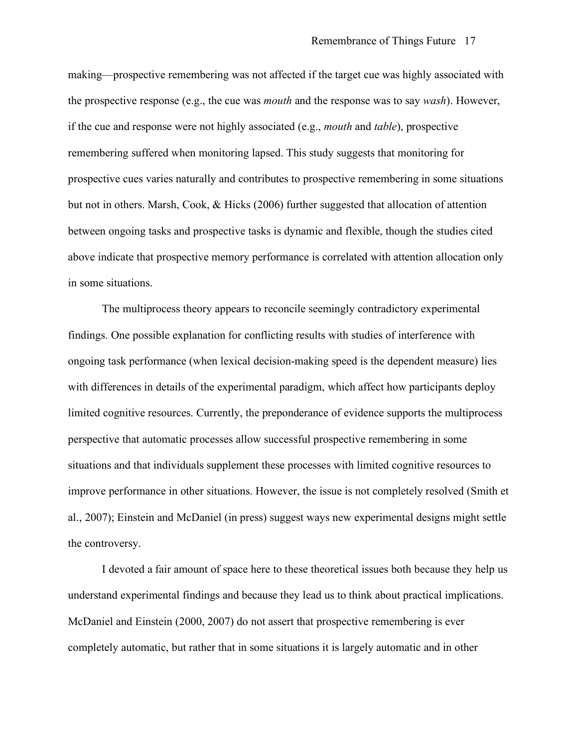making—prospective remembering was not affected if the target cue was highly associated with the prospective response (e.g., the cue was *mouth* and the response was to say *wash*). However, if the cue and response were not highly associated (e.g., *mouth* and *table*), prospective remembering suffered when monitoring lapsed. This study suggests that monitoring for prospective cues varies naturally and contributes to prospective remembering in some situations but not in others. Marsh, Cook, & Hicks (2006) further suggested that allocation of attention between ongoing tasks and prospective tasks is dynamic and flexible, though the studies cited above indicate that prospective memory performance is correlated with attention allocation only in some situations.

The multiprocess theory appears to reconcile seemingly contradictory experimental findings. One possible explanation for conflicting results with studies of interference with ongoing task performance (when lexical decision-making speed is the dependent measure) lies with differences in details of the experimental paradigm, which affect how participants deploy limited cognitive resources. Currently, the preponderance of evidence supports the multiprocess perspective that automatic processes allow successful prospective remembering in some situations and that individuals supplement these processes with limited cognitive resources to improve performance in other situations. However, the issue is not completely resolved (Smith et al., 2007); Einstein and McDaniel (in press) suggest ways new experimental designs might settle the controversy.

I devoted a fair amount of space here to these theoretical issues both because they help us understand experimental findings and because they lead us to think about practical implications. McDaniel and Einstein (2000, 2007) do not assert that prospective remembering is ever completely automatic, but rather that in some situations it is largely automatic and in other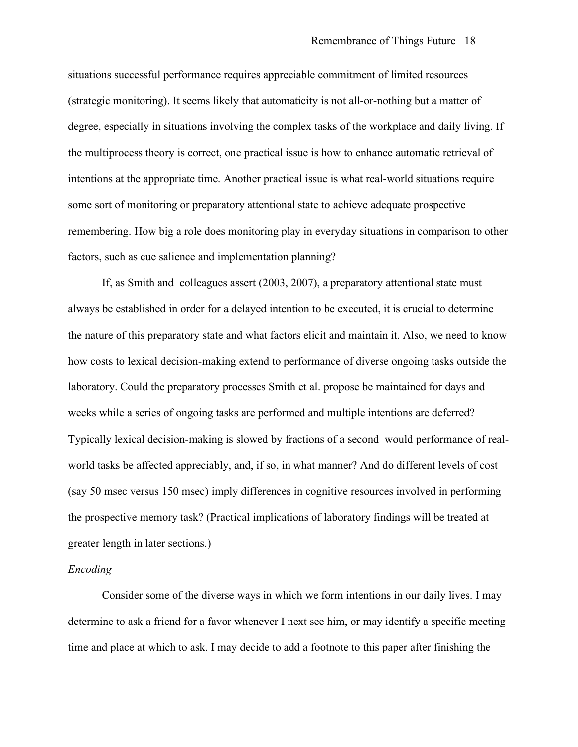situations successful performance requires appreciable commitment of limited resources (strategic monitoring). It seems likely that automaticity is not all-or-nothing but a matter of degree, especially in situations involving the complex tasks of the workplace and daily living. If the multiprocess theory is correct, one practical issue is how to enhance automatic retrieval of intentions at the appropriate time. Another practical issue is what real-world situations require some sort of monitoring or preparatory attentional state to achieve adequate prospective remembering. How big a role does monitoring play in everyday situations in comparison to other factors, such as cue salience and implementation planning?

If, as Smith and colleagues assert (2003, 2007), a preparatory attentional state must always be established in order for a delayed intention to be executed, it is crucial to determine the nature of this preparatory state and what factors elicit and maintain it. Also, we need to know how costs to lexical decision-making extend to performance of diverse ongoing tasks outside the laboratory. Could the preparatory processes Smith et al. propose be maintained for days and weeks while a series of ongoing tasks are performed and multiple intentions are deferred? Typically lexical decision-making is slowed by fractions of a second–would performance of realworld tasks be affected appreciably, and, if so, in what manner? And do different levels of cost (say 50 msec versus 150 msec) imply differences in cognitive resources involved in performing the prospective memory task? (Practical implications of laboratory findings will be treated at greater length in later sections.)

### *Encoding*

Consider some of the diverse ways in which we form intentions in our daily lives. I may determine to ask a friend for a favor whenever I next see him, or may identify a specific meeting time and place at which to ask. I may decide to add a footnote to this paper after finishing the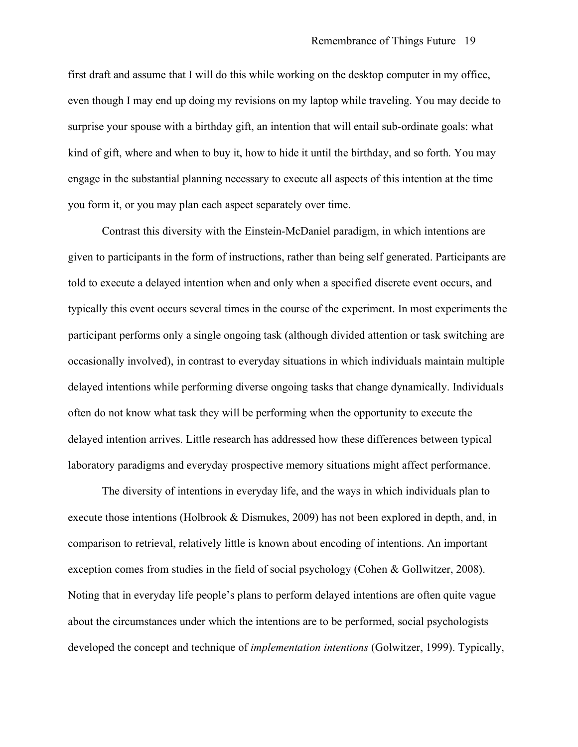first draft and assume that I will do this while working on the desktop computer in my office, even though I may end up doing my revisions on my laptop while traveling. You may decide to surprise your spouse with a birthday gift, an intention that will entail sub-ordinate goals: what kind of gift, where and when to buy it, how to hide it until the birthday, and so forth. You may engage in the substantial planning necessary to execute all aspects of this intention at the time you form it, or you may plan each aspect separately over time.

Contrast this diversity with the Einstein-McDaniel paradigm, in which intentions are given to participants in the form of instructions, rather than being self generated. Participants are told to execute a delayed intention when and only when a specified discrete event occurs, and typically this event occurs several times in the course of the experiment. In most experiments the participant performs only a single ongoing task (although divided attention or task switching are occasionally involved), in contrast to everyday situations in which individuals maintain multiple delayed intentions while performing diverse ongoing tasks that change dynamically. Individuals often do not know what task they will be performing when the opportunity to execute the delayed intention arrives. Little research has addressed how these differences between typical laboratory paradigms and everyday prospective memory situations might affect performance.

The diversity of intentions in everyday life, and the ways in which individuals plan to execute those intentions (Holbrook & Dismukes, 2009) has not been explored in depth, and, in comparison to retrieval, relatively little is known about encoding of intentions. An important exception comes from studies in the field of social psychology (Cohen & Gollwitzer, 2008). Noting that in everyday life people's plans to perform delayed intentions are often quite vague about the circumstances under which the intentions are to be performed, social psychologists developed the concept and technique of *implementation intentions* (Golwitzer, 1999). Typically,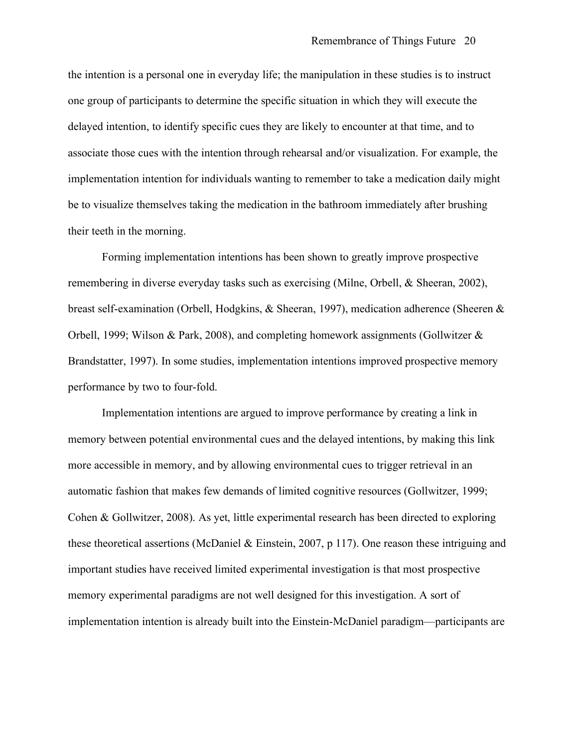the intention is a personal one in everyday life; the manipulation in these studies is to instruct one group of participants to determine the specific situation in which they will execute the delayed intention, to identify specific cues they are likely to encounter at that time, and to associate those cues with the intention through rehearsal and/or visualization. For example, the implementation intention for individuals wanting to remember to take a medication daily might be to visualize themselves taking the medication in the bathroom immediately after brushing their teeth in the morning.

Forming implementation intentions has been shown to greatly improve prospective remembering in diverse everyday tasks such as exercising (Milne, Orbell, & Sheeran, 2002), breast self-examination (Orbell, Hodgkins, & Sheeran, 1997), medication adherence (Sheeren & Orbell, 1999; Wilson & Park, 2008), and completing homework assignments (Gollwitzer & Brandstatter, 1997). In some studies, implementation intentions improved prospective memory performance by two to four-fold.

Implementation intentions are argued to improve performance by creating a link in memory between potential environmental cues and the delayed intentions, by making this link more accessible in memory, and by allowing environmental cues to trigger retrieval in an automatic fashion that makes few demands of limited cognitive resources (Gollwitzer, 1999; Cohen & Gollwitzer, 2008). As yet, little experimental research has been directed to exploring these theoretical assertions (McDaniel & Einstein, 2007, p 117). One reason these intriguing and important studies have received limited experimental investigation is that most prospective memory experimental paradigms are not well designed for this investigation. A sort of implementation intention is already built into the Einstein-McDaniel paradigm—participants are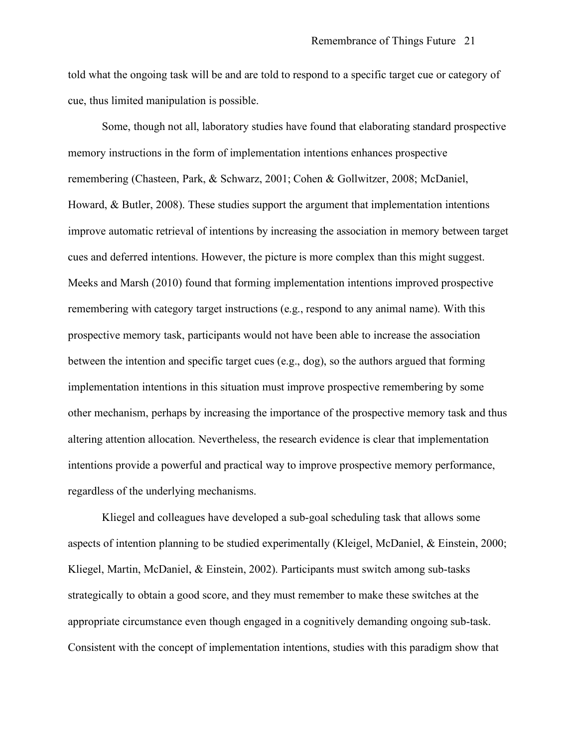told what the ongoing task will be and are told to respond to a specific target cue or category of cue, thus limited manipulation is possible.

Some, though not all, laboratory studies have found that elaborating standard prospective memory instructions in the form of implementation intentions enhances prospective remembering (Chasteen, Park, & Schwarz, 2001; Cohen & Gollwitzer, 2008; McDaniel, Howard, & Butler, 2008). These studies support the argument that implementation intentions improve automatic retrieval of intentions by increasing the association in memory between target cues and deferred intentions. However, the picture is more complex than this might suggest. Meeks and Marsh (2010) found that forming implementation intentions improved prospective remembering with category target instructions (e.g., respond to any animal name). With this prospective memory task, participants would not have been able to increase the association between the intention and specific target cues (e.g., dog), so the authors argued that forming implementation intentions in this situation must improve prospective remembering by some other mechanism, perhaps by increasing the importance of the prospective memory task and thus altering attention allocation. Nevertheless, the research evidence is clear that implementation intentions provide a powerful and practical way to improve prospective memory performance, regardless of the underlying mechanisms.

Kliegel and colleagues have developed a sub-goal scheduling task that allows some aspects of intention planning to be studied experimentally (Kleigel, McDaniel, & Einstein, 2000; Kliegel, Martin, McDaniel, & Einstein, 2002). Participants must switch among sub-tasks strategically to obtain a good score, and they must remember to make these switches at the appropriate circumstance even though engaged in a cognitively demanding ongoing sub-task. Consistent with the concept of implementation intentions, studies with this paradigm show that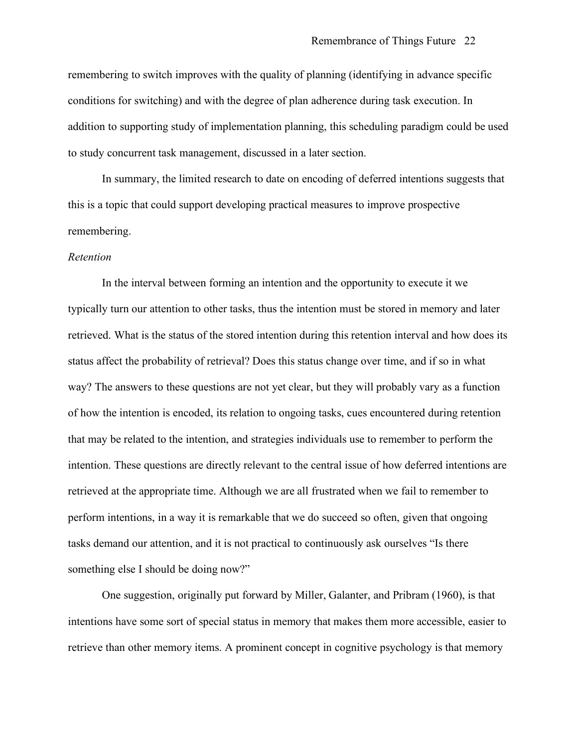remembering to switch improves with the quality of planning (identifying in advance specific conditions for switching) and with the degree of plan adherence during task execution. In addition to supporting study of implementation planning, this scheduling paradigm could be used to study concurrent task management, discussed in a later section.

In summary, the limited research to date on encoding of deferred intentions suggests that this is a topic that could support developing practical measures to improve prospective remembering.

#### *Retention*

In the interval between forming an intention and the opportunity to execute it we typically turn our attention to other tasks, thus the intention must be stored in memory and later retrieved. What is the status of the stored intention during this retention interval and how does its status affect the probability of retrieval? Does this status change over time, and if so in what way? The answers to these questions are not yet clear, but they will probably vary as a function of how the intention is encoded, its relation to ongoing tasks, cues encountered during retention that may be related to the intention, and strategies individuals use to remember to perform the intention. These questions are directly relevant to the central issue of how deferred intentions are retrieved at the appropriate time. Although we are all frustrated when we fail to remember to perform intentions, in a way it is remarkable that we do succeed so often, given that ongoing tasks demand our attention, and it is not practical to continuously ask ourselves "Is there something else I should be doing now?"

One suggestion, originally put forward by Miller, Galanter, and Pribram (1960), is that intentions have some sort of special status in memory that makes them more accessible, easier to retrieve than other memory items. A prominent concept in cognitive psychology is that memory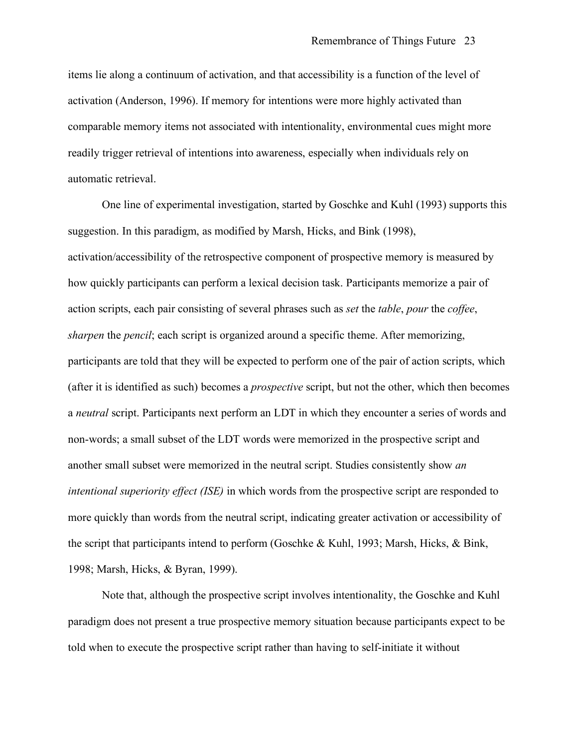items lie along a continuum of activation, and that accessibility is a function of the level of activation (Anderson, 1996). If memory for intentions were more highly activated than comparable memory items not associated with intentionality, environmental cues might more readily trigger retrieval of intentions into awareness, especially when individuals rely on automatic retrieval.

One line of experimental investigation, started by Goschke and Kuhl (1993) supports this suggestion. In this paradigm, as modified by Marsh, Hicks, and Bink (1998), activation/accessibility of the retrospective component of prospective memory is measured by how quickly participants can perform a lexical decision task. Participants memorize a pair of action scripts, each pair consisting of several phrases such as *set* the *table*, *pour* the *coffee*, *sharpen* the *pencil*; each script is organized around a specific theme. After memorizing, participants are told that they will be expected to perform one of the pair of action scripts, which (after it is identified as such) becomes a *prospective* script, but not the other, which then becomes a *neutral* script. Participants next perform an LDT in which they encounter a series of words and non-words; a small subset of the LDT words were memorized in the prospective script and another small subset were memorized in the neutral script. Studies consistently show *an intentional superiority effect (ISE)* in which words from the prospective script are responded to more quickly than words from the neutral script, indicating greater activation or accessibility of the script that participants intend to perform (Goschke & Kuhl, 1993; Marsh, Hicks, & Bink, 1998; Marsh, Hicks, & Byran, 1999).

Note that, although the prospective script involves intentionality, the Goschke and Kuhl paradigm does not present a true prospective memory situation because participants expect to be told when to execute the prospective script rather than having to self-initiate it without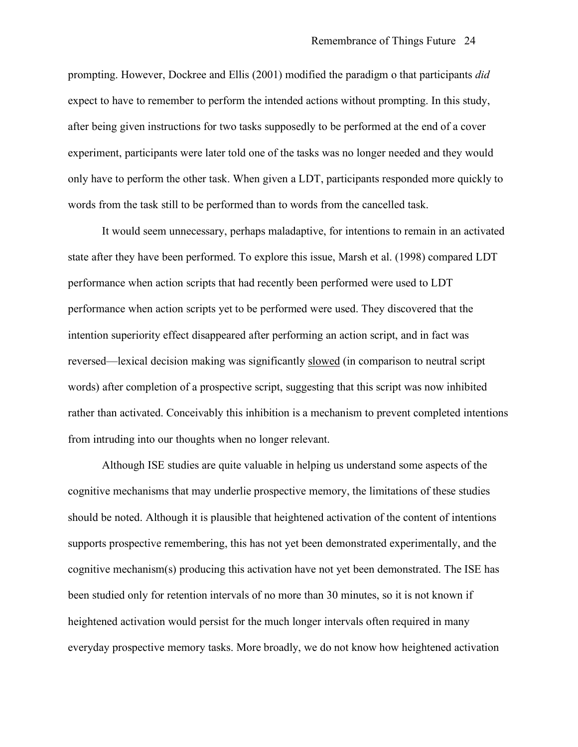prompting. However, Dockree and Ellis (2001) modified the paradigm o that participants *did* expect to have to remember to perform the intended actions without prompting. In this study, after being given instructions for two tasks supposedly to be performed at the end of a cover experiment, participants were later told one of the tasks was no longer needed and they would only have to perform the other task. When given a LDT, participants responded more quickly to words from the task still to be performed than to words from the cancelled task.

It would seem unnecessary, perhaps maladaptive, for intentions to remain in an activated state after they have been performed. To explore this issue, Marsh et al. (1998) compared LDT performance when action scripts that had recently been performed were used to LDT performance when action scripts yet to be performed were used. They discovered that the intention superiority effect disappeared after performing an action script, and in fact was reversed—lexical decision making was significantly slowed (in comparison to neutral script words) after completion of a prospective script, suggesting that this script was now inhibited rather than activated. Conceivably this inhibition is a mechanism to prevent completed intentions from intruding into our thoughts when no longer relevant.

Although ISE studies are quite valuable in helping us understand some aspects of the cognitive mechanisms that may underlie prospective memory, the limitations of these studies should be noted. Although it is plausible that heightened activation of the content of intentions supports prospective remembering, this has not yet been demonstrated experimentally, and the cognitive mechanism(s) producing this activation have not yet been demonstrated. The ISE has been studied only for retention intervals of no more than 30 minutes, so it is not known if heightened activation would persist for the much longer intervals often required in many everyday prospective memory tasks. More broadly, we do not know how heightened activation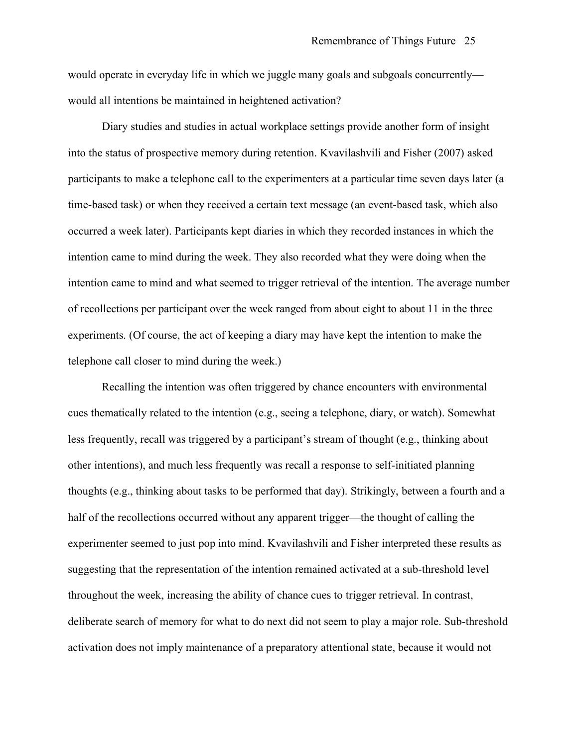would operate in everyday life in which we juggle many goals and subgoals concurrently would all intentions be maintained in heightened activation?

Diary studies and studies in actual workplace settings provide another form of insight into the status of prospective memory during retention. Kvavilashvili and Fisher (2007) asked participants to make a telephone call to the experimenters at a particular time seven days later (a time-based task) or when they received a certain text message (an event-based task, which also occurred a week later). Participants kept diaries in which they recorded instances in which the intention came to mind during the week. They also recorded what they were doing when the intention came to mind and what seemed to trigger retrieval of the intention. The average number of recollections per participant over the week ranged from about eight to about 11 in the three experiments. (Of course, the act of keeping a diary may have kept the intention to make the telephone call closer to mind during the week.)

Recalling the intention was often triggered by chance encounters with environmental cues thematically related to the intention (e.g., seeing a telephone, diary, or watch). Somewhat less frequently, recall was triggered by a participant's stream of thought (e.g., thinking about other intentions), and much less frequently was recall a response to self-initiated planning thoughts (e.g., thinking about tasks to be performed that day). Strikingly, between a fourth and a half of the recollections occurred without any apparent trigger—the thought of calling the experimenter seemed to just pop into mind. Kvavilashvili and Fisher interpreted these results as suggesting that the representation of the intention remained activated at a sub-threshold level throughout the week, increasing the ability of chance cues to trigger retrieval. In contrast, deliberate search of memory for what to do next did not seem to play a major role. Sub-threshold activation does not imply maintenance of a preparatory attentional state, because it would not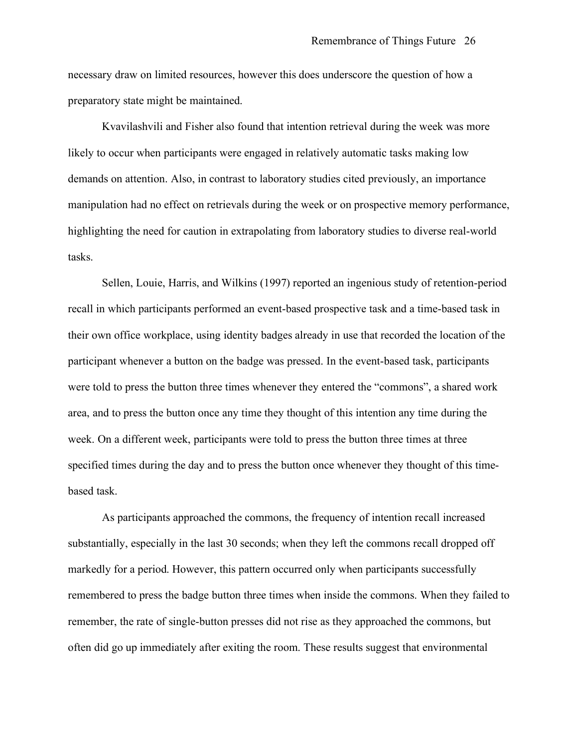necessary draw on limited resources, however this does underscore the question of how a preparatory state might be maintained.

Kvavilashvili and Fisher also found that intention retrieval during the week was more likely to occur when participants were engaged in relatively automatic tasks making low demands on attention. Also, in contrast to laboratory studies cited previously, an importance manipulation had no effect on retrievals during the week or on prospective memory performance, highlighting the need for caution in extrapolating from laboratory studies to diverse real-world tasks.

Sellen, Louie, Harris, and Wilkins (1997) reported an ingenious study of retention-period recall in which participants performed an event-based prospective task and a time-based task in their own office workplace, using identity badges already in use that recorded the location of the participant whenever a button on the badge was pressed. In the event-based task, participants were told to press the button three times whenever they entered the "commons", a shared work area, and to press the button once any time they thought of this intention any time during the week. On a different week, participants were told to press the button three times at three specified times during the day and to press the button once whenever they thought of this timebased task.

As participants approached the commons, the frequency of intention recall increased substantially, especially in the last 30 seconds; when they left the commons recall dropped off markedly for a period. However, this pattern occurred only when participants successfully remembered to press the badge button three times when inside the commons. When they failed to remember, the rate of single-button presses did not rise as they approached the commons, but often did go up immediately after exiting the room. These results suggest that environmental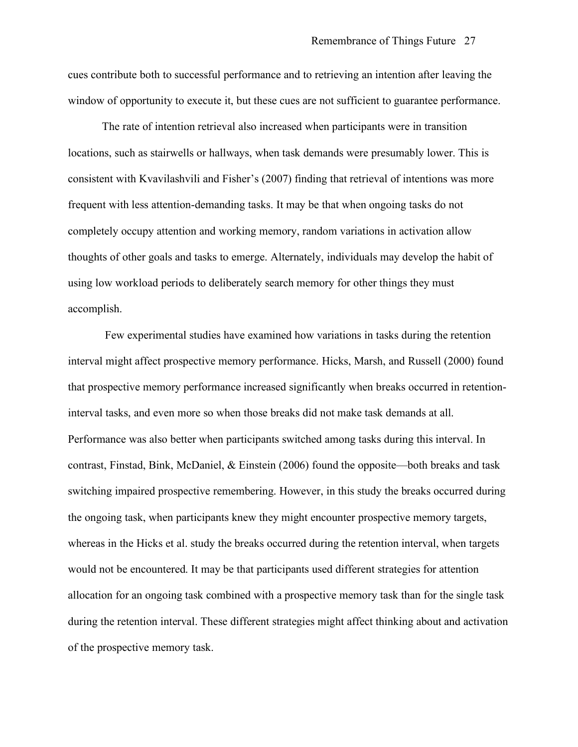cues contribute both to successful performance and to retrieving an intention after leaving the window of opportunity to execute it, but these cues are not sufficient to guarantee performance.

The rate of intention retrieval also increased when participants were in transition locations, such as stairwells or hallways, when task demands were presumably lower. This is consistent with Kvavilashvili and Fisher's (2007) finding that retrieval of intentions was more frequent with less attention-demanding tasks. It may be that when ongoing tasks do not completely occupy attention and working memory, random variations in activation allow thoughts of other goals and tasks to emerge. Alternately, individuals may develop the habit of using low workload periods to deliberately search memory for other things they must accomplish.

Few experimental studies have examined how variations in tasks during the retention interval might affect prospective memory performance. Hicks, Marsh, and Russell (2000) found that prospective memory performance increased significantly when breaks occurred in retentioninterval tasks, and even more so when those breaks did not make task demands at all. Performance was also better when participants switched among tasks during this interval. In contrast, Finstad, Bink, McDaniel, & Einstein (2006) found the opposite—both breaks and task switching impaired prospective remembering. However, in this study the breaks occurred during the ongoing task, when participants knew they might encounter prospective memory targets, whereas in the Hicks et al. study the breaks occurred during the retention interval, when targets would not be encountered. It may be that participants used different strategies for attention allocation for an ongoing task combined with a prospective memory task than for the single task during the retention interval. These different strategies might affect thinking about and activation of the prospective memory task.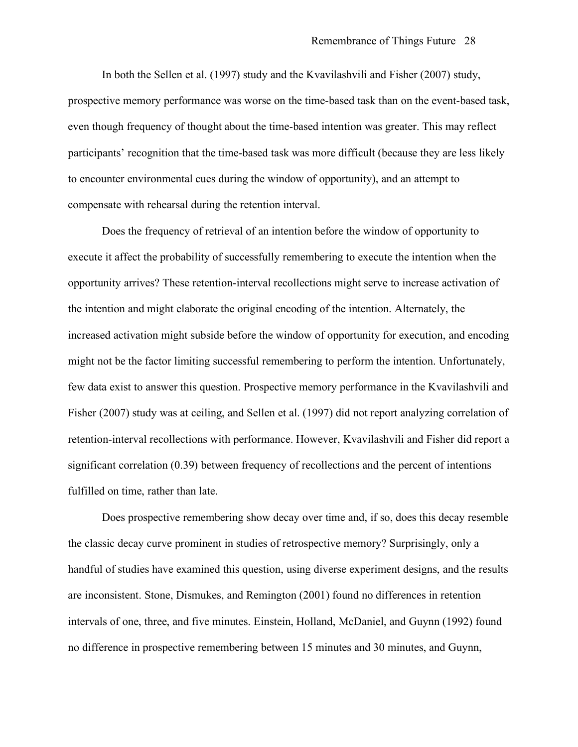In both the Sellen et al. (1997) study and the Kvavilashvili and Fisher (2007) study, prospective memory performance was worse on the time-based task than on the event-based task, even though frequency of thought about the time-based intention was greater. This may reflect participants' recognition that the time-based task was more difficult (because they are less likely to encounter environmental cues during the window of opportunity), and an attempt to compensate with rehearsal during the retention interval.

Does the frequency of retrieval of an intention before the window of opportunity to execute it affect the probability of successfully remembering to execute the intention when the opportunity arrives? These retention-interval recollections might serve to increase activation of the intention and might elaborate the original encoding of the intention. Alternately, the increased activation might subside before the window of opportunity for execution, and encoding might not be the factor limiting successful remembering to perform the intention. Unfortunately, few data exist to answer this question. Prospective memory performance in the Kvavilashvili and Fisher (2007) study was at ceiling, and Sellen et al. (1997) did not report analyzing correlation of retention-interval recollections with performance. However, Kvavilashvili and Fisher did report a significant correlation (0.39) between frequency of recollections and the percent of intentions fulfilled on time, rather than late.

Does prospective remembering show decay over time and, if so, does this decay resemble the classic decay curve prominent in studies of retrospective memory? Surprisingly, only a handful of studies have examined this question, using diverse experiment designs, and the results are inconsistent. Stone, Dismukes, and Remington (2001) found no differences in retention intervals of one, three, and five minutes. Einstein, Holland, McDaniel, and Guynn (1992) found no difference in prospective remembering between 15 minutes and 30 minutes, and Guynn,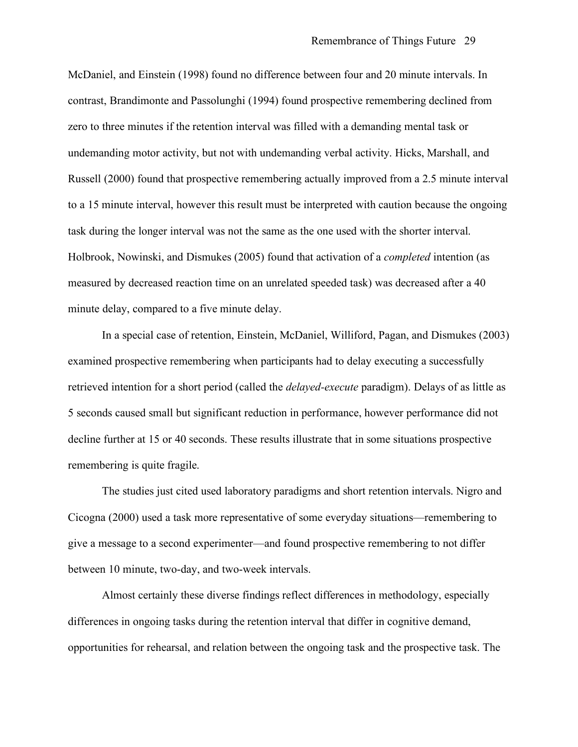McDaniel, and Einstein (1998) found no difference between four and 20 minute intervals. In contrast, Brandimonte and Passolunghi (1994) found prospective remembering declined from zero to three minutes if the retention interval was filled with a demanding mental task or undemanding motor activity, but not with undemanding verbal activity. Hicks, Marshall, and Russell (2000) found that prospective remembering actually improved from a 2.5 minute interval to a 15 minute interval, however this result must be interpreted with caution because the ongoing task during the longer interval was not the same as the one used with the shorter interval. Holbrook, Nowinski, and Dismukes (2005) found that activation of a *completed* intention (as measured by decreased reaction time on an unrelated speeded task) was decreased after a 40 minute delay, compared to a five minute delay.

In a special case of retention, Einstein, McDaniel, Williford, Pagan, and Dismukes (2003) examined prospective remembering when participants had to delay executing a successfully retrieved intention for a short period (called the *delayed-execute* paradigm). Delays of as little as 5 seconds caused small but significant reduction in performance, however performance did not decline further at 15 or 40 seconds. These results illustrate that in some situations prospective remembering is quite fragile.

The studies just cited used laboratory paradigms and short retention intervals. Nigro and Cicogna (2000) used a task more representative of some everyday situations—remembering to give a message to a second experimenter—and found prospective remembering to not differ between 10 minute, two-day, and two-week intervals.

Almost certainly these diverse findings reflect differences in methodology, especially differences in ongoing tasks during the retention interval that differ in cognitive demand, opportunities for rehearsal, and relation between the ongoing task and the prospective task. The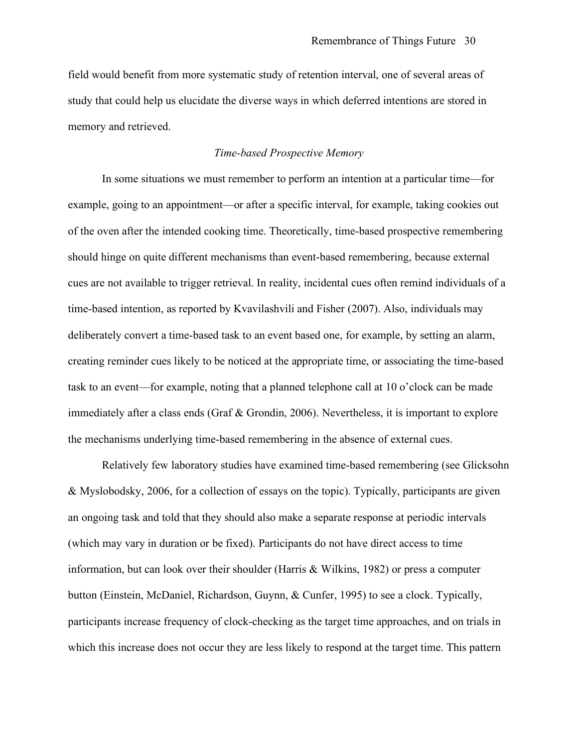field would benefit from more systematic study of retention interval, one of several areas of study that could help us elucidate the diverse ways in which deferred intentions are stored in memory and retrieved.

# *Time-based Prospective Memory*

In some situations we must remember to perform an intention at a particular time—for example, going to an appointment—or after a specific interval, for example, taking cookies out of the oven after the intended cooking time. Theoretically, time-based prospective remembering should hinge on quite different mechanisms than event-based remembering, because external cues are not available to trigger retrieval. In reality, incidental cues often remind individuals of a time-based intention, as reported by Kvavilashvili and Fisher (2007). Also, individuals may deliberately convert a time-based task to an event based one, for example, by setting an alarm, creating reminder cues likely to be noticed at the appropriate time, or associating the time-based task to an event—for example, noting that a planned telephone call at 10 o'clock can be made immediately after a class ends (Graf & Grondin, 2006). Nevertheless, it is important to explore the mechanisms underlying time-based remembering in the absence of external cues.

Relatively few laboratory studies have examined time-based remembering (see Glicksohn & Myslobodsky, 2006, for a collection of essays on the topic). Typically, participants are given an ongoing task and told that they should also make a separate response at periodic intervals (which may vary in duration or be fixed). Participants do not have direct access to time information, but can look over their shoulder (Harris & Wilkins, 1982) or press a computer button (Einstein, McDaniel, Richardson, Guynn, & Cunfer, 1995) to see a clock. Typically, participants increase frequency of clock-checking as the target time approaches, and on trials in which this increase does not occur they are less likely to respond at the target time. This pattern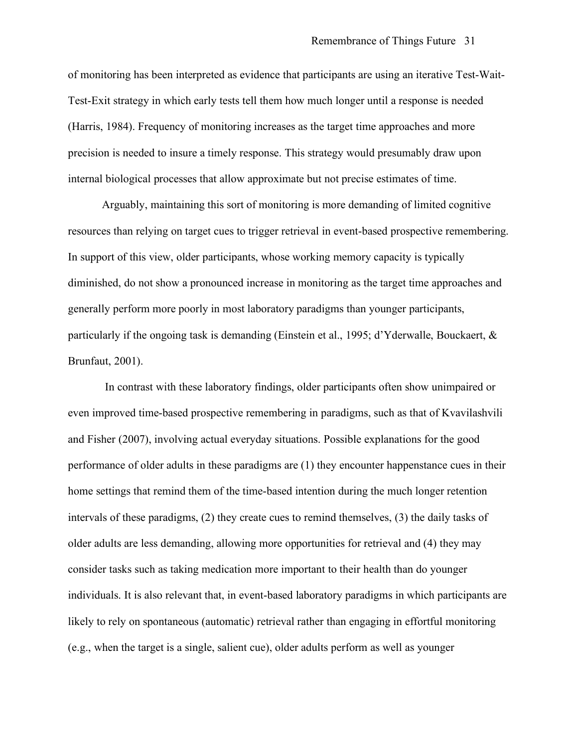of monitoring has been interpreted as evidence that participants are using an iterative Test-Wait-Test-Exit strategy in which early tests tell them how much longer until a response is needed (Harris, 1984). Frequency of monitoring increases as the target time approaches and more precision is needed to insure a timely response. This strategy would presumably draw upon internal biological processes that allow approximate but not precise estimates of time.

Arguably, maintaining this sort of monitoring is more demanding of limited cognitive resources than relying on target cues to trigger retrieval in event-based prospective remembering. In support of this view, older participants, whose working memory capacity is typically diminished, do not show a pronounced increase in monitoring as the target time approaches and generally perform more poorly in most laboratory paradigms than younger participants, particularly if the ongoing task is demanding (Einstein et al., 1995; d'Yderwalle, Bouckaert, & Brunfaut, 2001).

In contrast with these laboratory findings, older participants often show unimpaired or even improved time-based prospective remembering in paradigms, such as that of Kvavilashvili and Fisher (2007), involving actual everyday situations. Possible explanations for the good performance of older adults in these paradigms are (1) they encounter happenstance cues in their home settings that remind them of the time-based intention during the much longer retention intervals of these paradigms, (2) they create cues to remind themselves, (3) the daily tasks of older adults are less demanding, allowing more opportunities for retrieval and (4) they may consider tasks such as taking medication more important to their health than do younger individuals. It is also relevant that, in event-based laboratory paradigms in which participants are likely to rely on spontaneous (automatic) retrieval rather than engaging in effortful monitoring (e.g., when the target is a single, salient cue), older adults perform as well as younger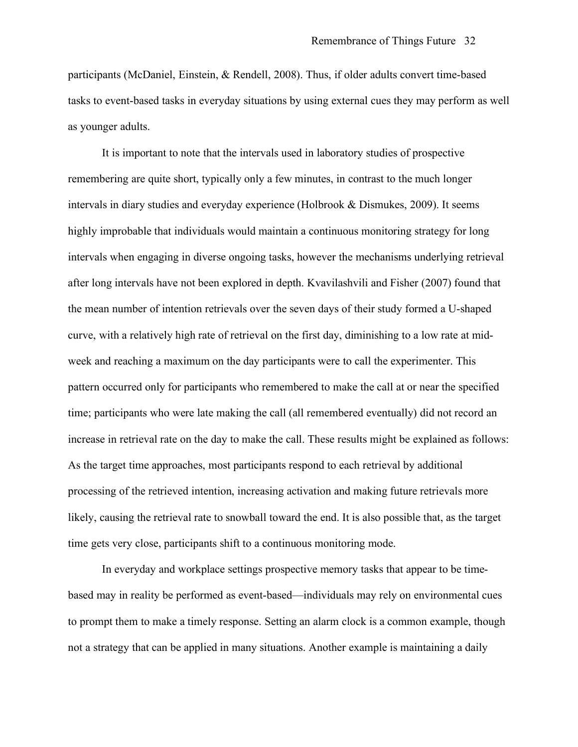participants (McDaniel, Einstein, & Rendell, 2008). Thus, if older adults convert time-based tasks to event-based tasks in everyday situations by using external cues they may perform as well as younger adults.

It is important to note that the intervals used in laboratory studies of prospective remembering are quite short, typically only a few minutes, in contrast to the much longer intervals in diary studies and everyday experience (Holbrook & Dismukes, 2009). It seems highly improbable that individuals would maintain a continuous monitoring strategy for long intervals when engaging in diverse ongoing tasks, however the mechanisms underlying retrieval after long intervals have not been explored in depth. Kvavilashvili and Fisher (2007) found that the mean number of intention retrievals over the seven days of their study formed a U-shaped curve, with a relatively high rate of retrieval on the first day, diminishing to a low rate at midweek and reaching a maximum on the day participants were to call the experimenter. This pattern occurred only for participants who remembered to make the call at or near the specified time; participants who were late making the call (all remembered eventually) did not record an increase in retrieval rate on the day to make the call. These results might be explained as follows: As the target time approaches, most participants respond to each retrieval by additional processing of the retrieved intention, increasing activation and making future retrievals more likely, causing the retrieval rate to snowball toward the end. It is also possible that, as the target time gets very close, participants shift to a continuous monitoring mode.

In everyday and workplace settings prospective memory tasks that appear to be timebased may in reality be performed as event-based—individuals may rely on environmental cues to prompt them to make a timely response. Setting an alarm clock is a common example, though not a strategy that can be applied in many situations. Another example is maintaining a daily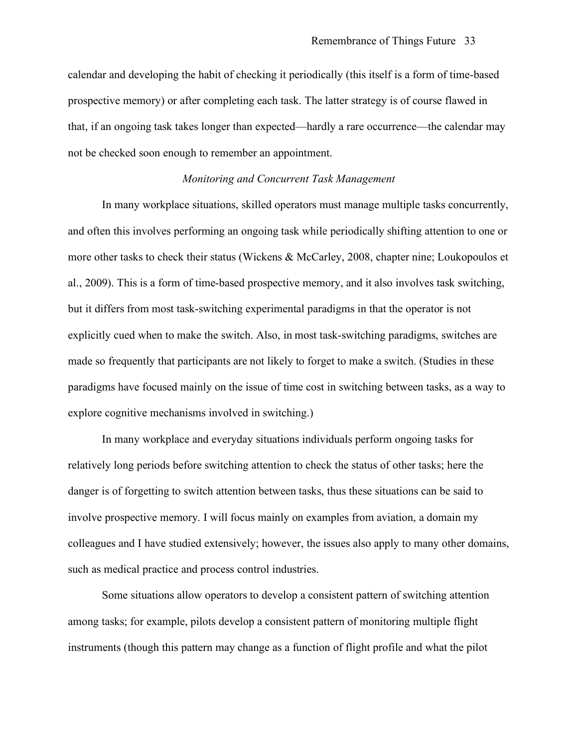calendar and developing the habit of checking it periodically (this itself is a form of time-based prospective memory) or after completing each task. The latter strategy is of course flawed in that, if an ongoing task takes longer than expected—hardly a rare occurrence—the calendar may not be checked soon enough to remember an appointment.

## *Monitoring and Concurrent Task Management*

In many workplace situations, skilled operators must manage multiple tasks concurrently, and often this involves performing an ongoing task while periodically shifting attention to one or more other tasks to check their status (Wickens & McCarley, 2008, chapter nine; Loukopoulos et al., 2009). This is a form of time-based prospective memory, and it also involves task switching, but it differs from most task-switching experimental paradigms in that the operator is not explicitly cued when to make the switch. Also, in most task-switching paradigms, switches are made so frequently that participants are not likely to forget to make a switch. (Studies in these paradigms have focused mainly on the issue of time cost in switching between tasks, as a way to explore cognitive mechanisms involved in switching.)

In many workplace and everyday situations individuals perform ongoing tasks for relatively long periods before switching attention to check the status of other tasks; here the danger is of forgetting to switch attention between tasks, thus these situations can be said to involve prospective memory. I will focus mainly on examples from aviation, a domain my colleagues and I have studied extensively; however, the issues also apply to many other domains, such as medical practice and process control industries.

Some situations allow operators to develop a consistent pattern of switching attention among tasks; for example, pilots develop a consistent pattern of monitoring multiple flight instruments (though this pattern may change as a function of flight profile and what the pilot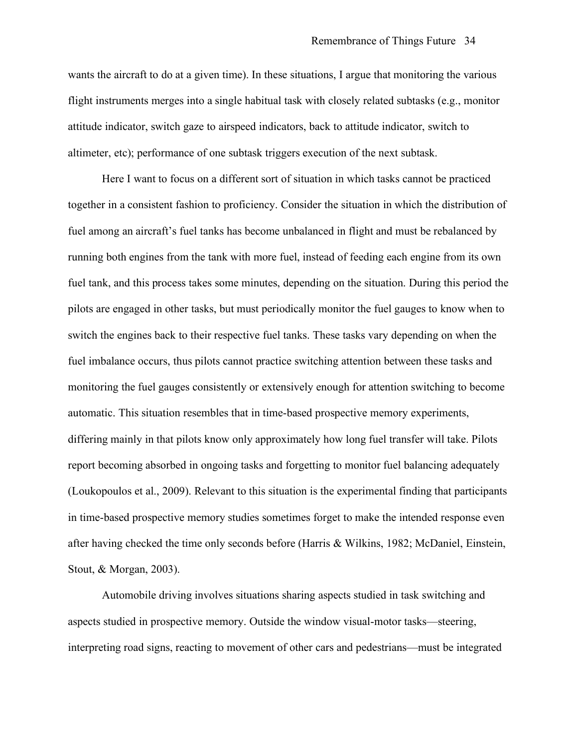wants the aircraft to do at a given time). In these situations, I argue that monitoring the various flight instruments merges into a single habitual task with closely related subtasks (e.g., monitor attitude indicator, switch gaze to airspeed indicators, back to attitude indicator, switch to altimeter, etc); performance of one subtask triggers execution of the next subtask.

Here I want to focus on a different sort of situation in which tasks cannot be practiced together in a consistent fashion to proficiency. Consider the situation in which the distribution of fuel among an aircraft's fuel tanks has become unbalanced in flight and must be rebalanced by running both engines from the tank with more fuel, instead of feeding each engine from its own fuel tank, and this process takes some minutes, depending on the situation. During this period the pilots are engaged in other tasks, but must periodically monitor the fuel gauges to know when to switch the engines back to their respective fuel tanks. These tasks vary depending on when the fuel imbalance occurs, thus pilots cannot practice switching attention between these tasks and monitoring the fuel gauges consistently or extensively enough for attention switching to become automatic. This situation resembles that in time-based prospective memory experiments, differing mainly in that pilots know only approximately how long fuel transfer will take. Pilots report becoming absorbed in ongoing tasks and forgetting to monitor fuel balancing adequately (Loukopoulos et al., 2009). Relevant to this situation is the experimental finding that participants in time-based prospective memory studies sometimes forget to make the intended response even after having checked the time only seconds before (Harris & Wilkins, 1982; McDaniel, Einstein, Stout, & Morgan, 2003).

Automobile driving involves situations sharing aspects studied in task switching and aspects studied in prospective memory. Outside the window visual-motor tasks—steering, interpreting road signs, reacting to movement of other cars and pedestrians—must be integrated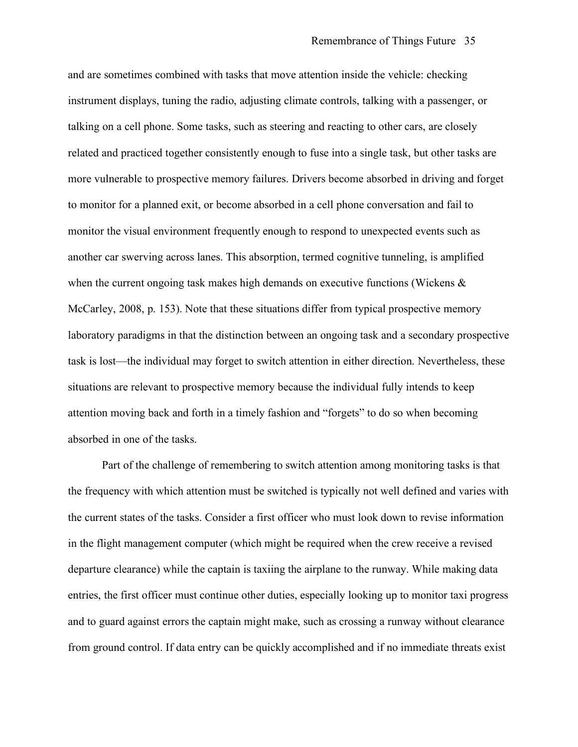and are sometimes combined with tasks that move attention inside the vehicle: checking instrument displays, tuning the radio, adjusting climate controls, talking with a passenger, or talking on a cell phone. Some tasks, such as steering and reacting to other cars, are closely related and practiced together consistently enough to fuse into a single task, but other tasks are more vulnerable to prospective memory failures. Drivers become absorbed in driving and forget to monitor for a planned exit, or become absorbed in a cell phone conversation and fail to monitor the visual environment frequently enough to respond to unexpected events such as another car swerving across lanes. This absorption, termed cognitive tunneling, is amplified when the current ongoing task makes high demands on executive functions (Wickens & McCarley, 2008, p. 153). Note that these situations differ from typical prospective memory laboratory paradigms in that the distinction between an ongoing task and a secondary prospective task is lost—the individual may forget to switch attention in either direction. Nevertheless, these situations are relevant to prospective memory because the individual fully intends to keep attention moving back and forth in a timely fashion and "forgets" to do so when becoming absorbed in one of the tasks.

Part of the challenge of remembering to switch attention among monitoring tasks is that the frequency with which attention must be switched is typically not well defined and varies with the current states of the tasks. Consider a first officer who must look down to revise information in the flight management computer (which might be required when the crew receive a revised departure clearance) while the captain is taxiing the airplane to the runway. While making data entries, the first officer must continue other duties, especially looking up to monitor taxi progress and to guard against errors the captain might make, such as crossing a runway without clearance from ground control. If data entry can be quickly accomplished and if no immediate threats exist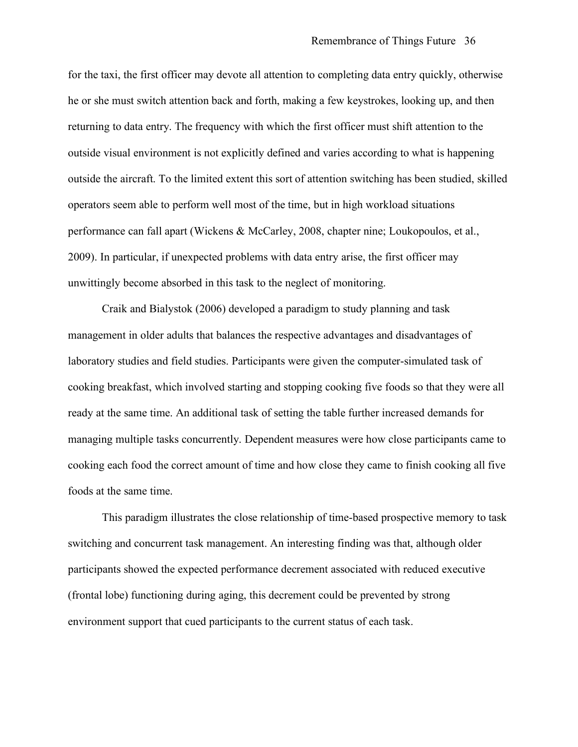for the taxi, the first officer may devote all attention to completing data entry quickly, otherwise he or she must switch attention back and forth, making a few keystrokes, looking up, and then returning to data entry. The frequency with which the first officer must shift attention to the outside visual environment is not explicitly defined and varies according to what is happening outside the aircraft. To the limited extent this sort of attention switching has been studied, skilled operators seem able to perform well most of the time, but in high workload situations performance can fall apart (Wickens & McCarley, 2008, chapter nine; Loukopoulos, et al., 2009). In particular, if unexpected problems with data entry arise, the first officer may unwittingly become absorbed in this task to the neglect of monitoring.

Craik and Bialystok (2006) developed a paradigm to study planning and task management in older adults that balances the respective advantages and disadvantages of laboratory studies and field studies. Participants were given the computer-simulated task of cooking breakfast, which involved starting and stopping cooking five foods so that they were all ready at the same time. An additional task of setting the table further increased demands for managing multiple tasks concurrently. Dependent measures were how close participants came to cooking each food the correct amount of time and how close they came to finish cooking all five foods at the same time.

This paradigm illustrates the close relationship of time-based prospective memory to task switching and concurrent task management. An interesting finding was that, although older participants showed the expected performance decrement associated with reduced executive (frontal lobe) functioning during aging, this decrement could be prevented by strong environment support that cued participants to the current status of each task.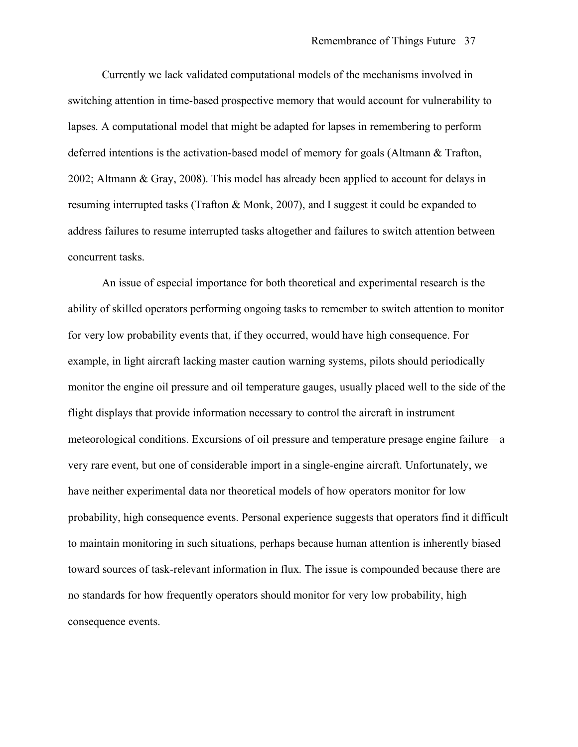Currently we lack validated computational models of the mechanisms involved in switching attention in time-based prospective memory that would account for vulnerability to lapses. A computational model that might be adapted for lapses in remembering to perform deferred intentions is the activation-based model of memory for goals (Altmann & Trafton, 2002; Altmann & Gray, 2008). This model has already been applied to account for delays in resuming interrupted tasks (Trafton & Monk, 2007), and I suggest it could be expanded to address failures to resume interrupted tasks altogether and failures to switch attention between concurrent tasks.

An issue of especial importance for both theoretical and experimental research is the ability of skilled operators performing ongoing tasks to remember to switch attention to monitor for very low probability events that, if they occurred, would have high consequence. For example, in light aircraft lacking master caution warning systems, pilots should periodically monitor the engine oil pressure and oil temperature gauges, usually placed well to the side of the flight displays that provide information necessary to control the aircraft in instrument meteorological conditions. Excursions of oil pressure and temperature presage engine failure—a very rare event, but one of considerable import in a single-engine aircraft. Unfortunately, we have neither experimental data nor theoretical models of how operators monitor for low probability, high consequence events. Personal experience suggests that operators find it difficult to maintain monitoring in such situations, perhaps because human attention is inherently biased toward sources of task-relevant information in flux. The issue is compounded because there are no standards for how frequently operators should monitor for very low probability, high consequence events.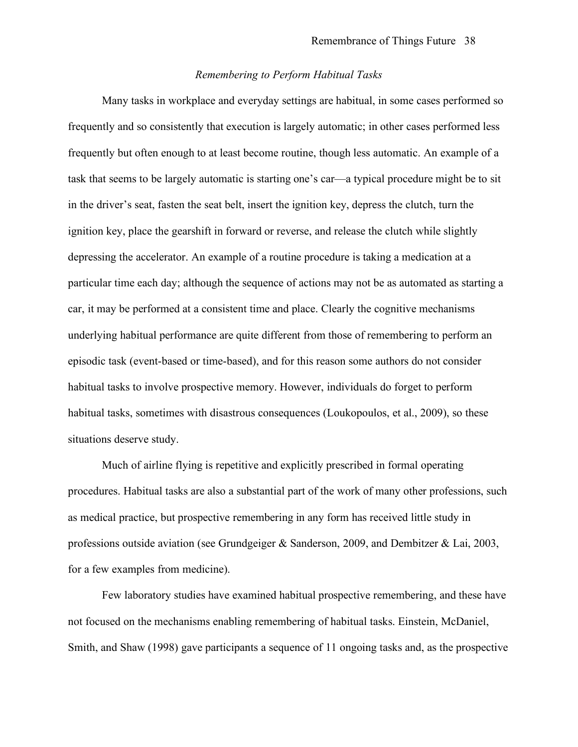### *Remembering to Perform Habitual Tasks*

Many tasks in workplace and everyday settings are habitual, in some cases performed so frequently and so consistently that execution is largely automatic; in other cases performed less frequently but often enough to at least become routine, though less automatic. An example of a task that seems to be largely automatic is starting one's car—a typical procedure might be to sit in the driver's seat, fasten the seat belt, insert the ignition key, depress the clutch, turn the ignition key, place the gearshift in forward or reverse, and release the clutch while slightly depressing the accelerator. An example of a routine procedure is taking a medication at a particular time each day; although the sequence of actions may not be as automated as starting a car, it may be performed at a consistent time and place. Clearly the cognitive mechanisms underlying habitual performance are quite different from those of remembering to perform an episodic task (event-based or time-based), and for this reason some authors do not consider habitual tasks to involve prospective memory. However, individuals do forget to perform habitual tasks, sometimes with disastrous consequences (Loukopoulos, et al., 2009), so these situations deserve study.

Much of airline flying is repetitive and explicitly prescribed in formal operating procedures. Habitual tasks are also a substantial part of the work of many other professions, such as medical practice, but prospective remembering in any form has received little study in professions outside aviation (see Grundgeiger & Sanderson, 2009, and Dembitzer & Lai, 2003, for a few examples from medicine).

Few laboratory studies have examined habitual prospective remembering, and these have not focused on the mechanisms enabling remembering of habitual tasks. Einstein, McDaniel, Smith, and Shaw (1998) gave participants a sequence of 11 ongoing tasks and, as the prospective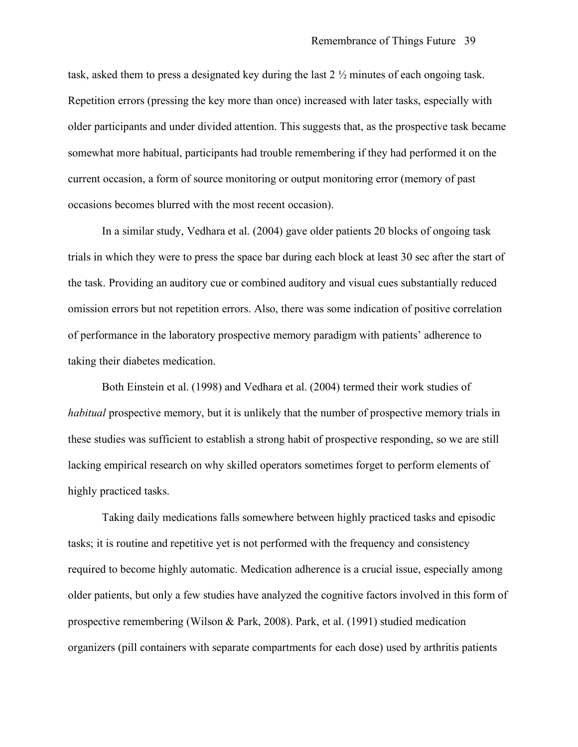task, asked them to press a designated key during the last 2 ½ minutes of each ongoing task. Repetition errors (pressing the key more than once) increased with later tasks, especially with older participants and under divided attention. This suggests that, as the prospective task became somewhat more habitual, participants had trouble remembering if they had performed it on the current occasion, a form of source monitoring or output monitoring error (memory of past occasions becomes blurred with the most recent occasion).

In a similar study, Vedhara et al. (2004) gave older patients 20 blocks of ongoing task trials in which they were to press the space bar during each block at least 30 sec after the start of the task. Providing an auditory cue or combined auditory and visual cues substantially reduced omission errors but not repetition errors. Also, there was some indication of positive correlation of performance in the laboratory prospective memory paradigm with patients' adherence to taking their diabetes medication.

Both Einstein et al. (1998) and Vedhara et al. (2004) termed their work studies of *habitual* prospective memory, but it is unlikely that the number of prospective memory trials in these studies was sufficient to establish a strong habit of prospective responding, so we are still lacking empirical research on why skilled operators sometimes forget to perform elements of highly practiced tasks.

Taking daily medications falls somewhere between highly practiced tasks and episodic tasks; it is routine and repetitive yet is not performed with the frequency and consistency required to become highly automatic. Medication adherence is a crucial issue, especially among older patients, but only a few studies have analyzed the cognitive factors involved in this form of prospective remembering (Wilson & Park, 2008). Park, et al. (1991) studied medication organizers (pill containers with separate compartments for each dose) used by arthritis patients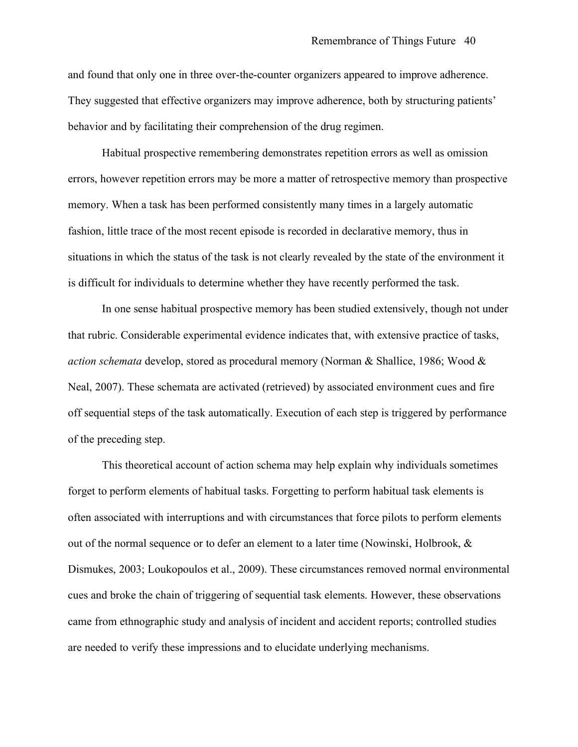and found that only one in three over-the-counter organizers appeared to improve adherence. They suggested that effective organizers may improve adherence, both by structuring patients' behavior and by facilitating their comprehension of the drug regimen.

Habitual prospective remembering demonstrates repetition errors as well as omission errors, however repetition errors may be more a matter of retrospective memory than prospective memory. When a task has been performed consistently many times in a largely automatic fashion, little trace of the most recent episode is recorded in declarative memory, thus in situations in which the status of the task is not clearly revealed by the state of the environment it is difficult for individuals to determine whether they have recently performed the task.

In one sense habitual prospective memory has been studied extensively, though not under that rubric. Considerable experimental evidence indicates that, with extensive practice of tasks, *action schemata* develop, stored as procedural memory (Norman & Shallice, 1986; Wood & Neal, 2007). These schemata are activated (retrieved) by associated environment cues and fire off sequential steps of the task automatically. Execution of each step is triggered by performance of the preceding step.

This theoretical account of action schema may help explain why individuals sometimes forget to perform elements of habitual tasks. Forgetting to perform habitual task elements is often associated with interruptions and with circumstances that force pilots to perform elements out of the normal sequence or to defer an element to a later time (Nowinski, Holbrook, & Dismukes, 2003; Loukopoulos et al., 2009). These circumstances removed normal environmental cues and broke the chain of triggering of sequential task elements. However, these observations came from ethnographic study and analysis of incident and accident reports; controlled studies are needed to verify these impressions and to elucidate underlying mechanisms.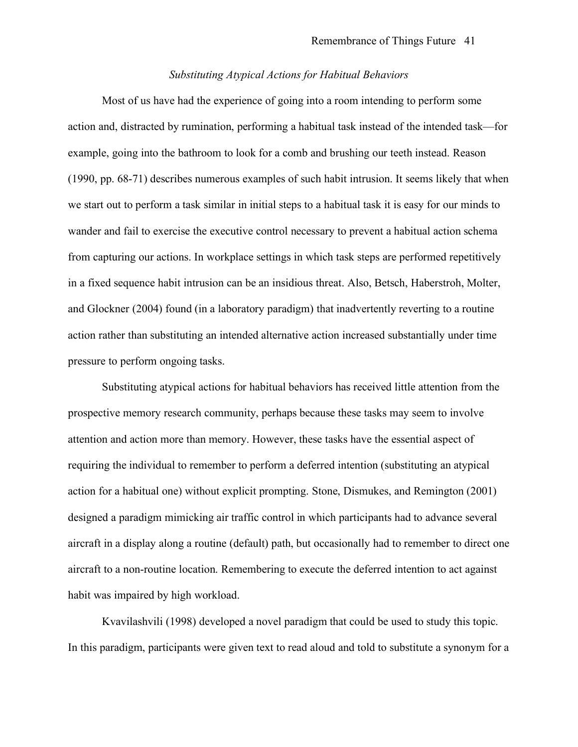## *Substituting Atypical Actions for Habitual Behaviors*

Most of us have had the experience of going into a room intending to perform some action and, distracted by rumination, performing a habitual task instead of the intended task—for example, going into the bathroom to look for a comb and brushing our teeth instead. Reason (1990, pp. 68-71) describes numerous examples of such habit intrusion. It seems likely that when we start out to perform a task similar in initial steps to a habitual task it is easy for our minds to wander and fail to exercise the executive control necessary to prevent a habitual action schema from capturing our actions. In workplace settings in which task steps are performed repetitively in a fixed sequence habit intrusion can be an insidious threat. Also, Betsch, Haberstroh, Molter, and Glockner (2004) found (in a laboratory paradigm) that inadvertently reverting to a routine action rather than substituting an intended alternative action increased substantially under time pressure to perform ongoing tasks.

Substituting atypical actions for habitual behaviors has received little attention from the prospective memory research community, perhaps because these tasks may seem to involve attention and action more than memory. However, these tasks have the essential aspect of requiring the individual to remember to perform a deferred intention (substituting an atypical action for a habitual one) without explicit prompting. Stone, Dismukes, and Remington (2001) designed a paradigm mimicking air traffic control in which participants had to advance several aircraft in a display along a routine (default) path, but occasionally had to remember to direct one aircraft to a non-routine location. Remembering to execute the deferred intention to act against habit was impaired by high workload.

Kvavilashvili (1998) developed a novel paradigm that could be used to study this topic. In this paradigm, participants were given text to read aloud and told to substitute a synonym for a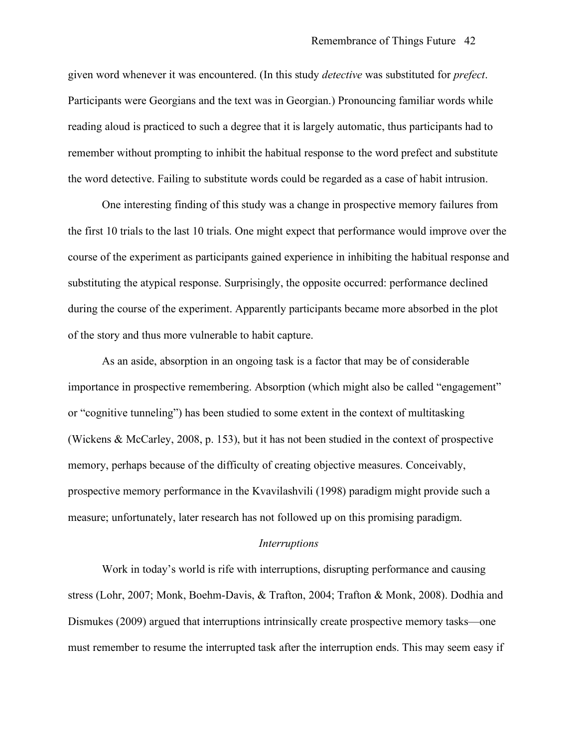given word whenever it was encountered. (In this study *detective* was substituted for *prefect*. Participants were Georgians and the text was in Georgian.) Pronouncing familiar words while reading aloud is practiced to such a degree that it is largely automatic, thus participants had to remember without prompting to inhibit the habitual response to the word prefect and substitute the word detective. Failing to substitute words could be regarded as a case of habit intrusion.

One interesting finding of this study was a change in prospective memory failures from the first 10 trials to the last 10 trials. One might expect that performance would improve over the course of the experiment as participants gained experience in inhibiting the habitual response and substituting the atypical response. Surprisingly, the opposite occurred: performance declined during the course of the experiment. Apparently participants became more absorbed in the plot of the story and thus more vulnerable to habit capture.

As an aside, absorption in an ongoing task is a factor that may be of considerable importance in prospective remembering. Absorption (which might also be called "engagement" or "cognitive tunneling") has been studied to some extent in the context of multitasking (Wickens & McCarley, 2008, p. 153), but it has not been studied in the context of prospective memory, perhaps because of the difficulty of creating objective measures. Conceivably, prospective memory performance in the Kvavilashvili (1998) paradigm might provide such a measure; unfortunately, later research has not followed up on this promising paradigm.

#### *Interruptions*

Work in today's world is rife with interruptions, disrupting performance and causing stress (Lohr, 2007; Monk, Boehm-Davis, & Trafton, 2004; Trafton & Monk, 2008). Dodhia and Dismukes (2009) argued that interruptions intrinsically create prospective memory tasks—one must remember to resume the interrupted task after the interruption ends. This may seem easy if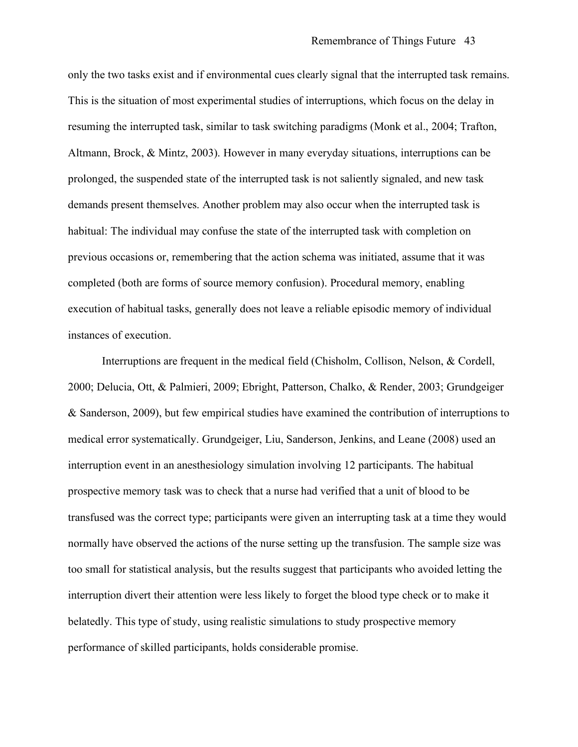only the two tasks exist and if environmental cues clearly signal that the interrupted task remains. This is the situation of most experimental studies of interruptions, which focus on the delay in resuming the interrupted task, similar to task switching paradigms (Monk et al., 2004; Trafton, Altmann, Brock, & Mintz, 2003). However in many everyday situations, interruptions can be prolonged, the suspended state of the interrupted task is not saliently signaled, and new task demands present themselves. Another problem may also occur when the interrupted task is habitual: The individual may confuse the state of the interrupted task with completion on previous occasions or, remembering that the action schema was initiated, assume that it was completed (both are forms of source memory confusion). Procedural memory, enabling execution of habitual tasks, generally does not leave a reliable episodic memory of individual instances of execution.

Interruptions are frequent in the medical field (Chisholm, Collison, Nelson, & Cordell, 2000; Delucia, Ott, & Palmieri, 2009; Ebright, Patterson, Chalko, & Render, 2003; Grundgeiger & Sanderson, 2009), but few empirical studies have examined the contribution of interruptions to medical error systematically. Grundgeiger, Liu, Sanderson, Jenkins, and Leane (2008) used an interruption event in an anesthesiology simulation involving 12 participants. The habitual prospective memory task was to check that a nurse had verified that a unit of blood to be transfused was the correct type; participants were given an interrupting task at a time they would normally have observed the actions of the nurse setting up the transfusion. The sample size was too small for statistical analysis, but the results suggest that participants who avoided letting the interruption divert their attention were less likely to forget the blood type check or to make it belatedly. This type of study, using realistic simulations to study prospective memory performance of skilled participants, holds considerable promise.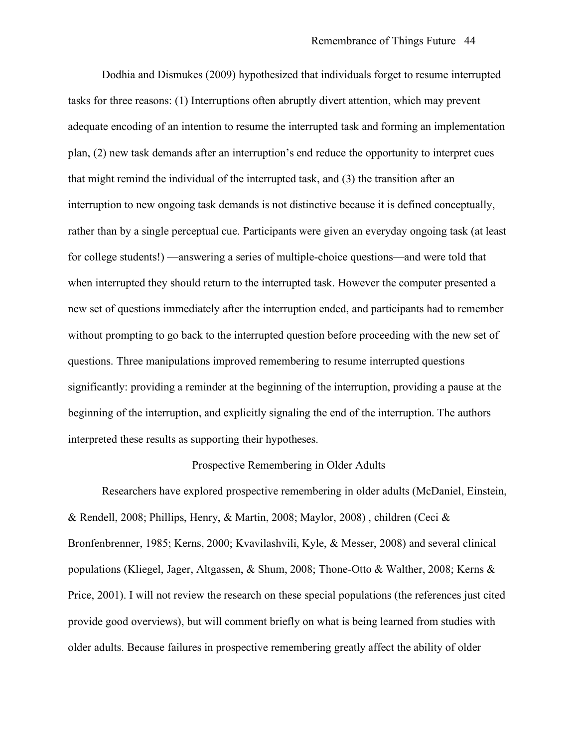Dodhia and Dismukes (2009) hypothesized that individuals forget to resume interrupted tasks for three reasons: (1) Interruptions often abruptly divert attention, which may prevent adequate encoding of an intention to resume the interrupted task and forming an implementation plan, (2) new task demands after an interruption's end reduce the opportunity to interpret cues that might remind the individual of the interrupted task, and (3) the transition after an interruption to new ongoing task demands is not distinctive because it is defined conceptually, rather than by a single perceptual cue. Participants were given an everyday ongoing task (at least for college students!) —answering a series of multiple-choice questions—and were told that when interrupted they should return to the interrupted task. However the computer presented a new set of questions immediately after the interruption ended, and participants had to remember without prompting to go back to the interrupted question before proceeding with the new set of questions. Three manipulations improved remembering to resume interrupted questions significantly: providing a reminder at the beginning of the interruption, providing a pause at the beginning of the interruption, and explicitly signaling the end of the interruption. The authors interpreted these results as supporting their hypotheses.

#### Prospective Remembering in Older Adults

Researchers have explored prospective remembering in older adults (McDaniel, Einstein, & Rendell, 2008; Phillips, Henry, & Martin, 2008; Maylor, 2008) , children (Ceci & Bronfenbrenner, 1985; Kerns, 2000; Kvavilashvili, Kyle, & Messer, 2008) and several clinical populations (Kliegel, Jager, Altgassen, & Shum, 2008; Thone-Otto & Walther, 2008; Kerns & Price, 2001). I will not review the research on these special populations (the references just cited provide good overviews), but will comment briefly on what is being learned from studies with older adults. Because failures in prospective remembering greatly affect the ability of older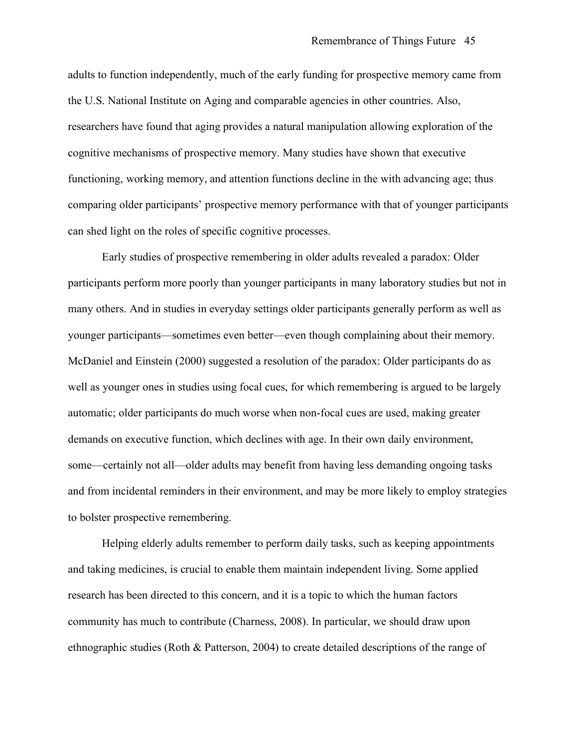adults to function independently, much of the early funding for prospective memory came from the U.S. National Institute on Aging and comparable agencies in other countries. Also, researchers have found that aging provides a natural manipulation allowing exploration of the cognitive mechanisms of prospective memory. Many studies have shown that executive functioning, working memory, and attention functions decline in the with advancing age; thus comparing older participants' prospective memory performance with that of younger participants can shed light on the roles of specific cognitive processes.

Early studies of prospective remembering in older adults revealed a paradox: Older participants perform more poorly than younger participants in many laboratory studies but not in many others. And in studies in everyday settings older participants generally perform as well as younger participants—sometimes even better—even though complaining about their memory. McDaniel and Einstein (2000) suggested a resolution of the paradox: Older participants do as well as younger ones in studies using focal cues, for which remembering is argued to be largely automatic; older participants do much worse when non-focal cues are used, making greater demands on executive function, which declines with age. In their own daily environment, some—certainly not all—older adults may benefit from having less demanding ongoing tasks and from incidental reminders in their environment, and may be more likely to employ strategies to bolster prospective remembering.

Helping elderly adults remember to perform daily tasks, such as keeping appointments and taking medicines, is crucial to enable them maintain independent living. Some applied research has been directed to this concern, and it is a topic to which the human factors community has much to contribute (Charness, 2008). In particular, we should draw upon ethnographic studies (Roth & Patterson, 2004) to create detailed descriptions of the range of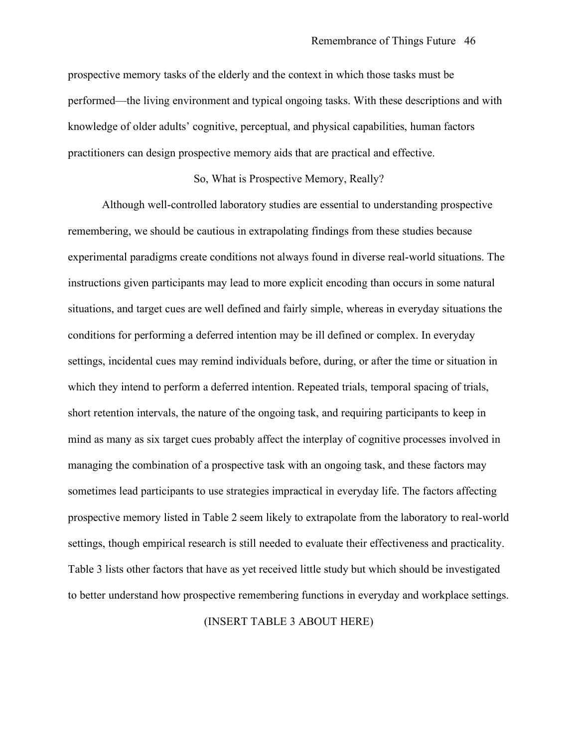prospective memory tasks of the elderly and the context in which those tasks must be performed—the living environment and typical ongoing tasks. With these descriptions and with knowledge of older adults' cognitive, perceptual, and physical capabilities, human factors practitioners can design prospective memory aids that are practical and effective.

# So, What is Prospective Memory, Really?

Although well-controlled laboratory studies are essential to understanding prospective remembering, we should be cautious in extrapolating findings from these studies because experimental paradigms create conditions not always found in diverse real-world situations. The instructions given participants may lead to more explicit encoding than occurs in some natural situations, and target cues are well defined and fairly simple, whereas in everyday situations the conditions for performing a deferred intention may be ill defined or complex. In everyday settings, incidental cues may remind individuals before, during, or after the time or situation in which they intend to perform a deferred intention. Repeated trials, temporal spacing of trials, short retention intervals, the nature of the ongoing task, and requiring participants to keep in mind as many as six target cues probably affect the interplay of cognitive processes involved in managing the combination of a prospective task with an ongoing task, and these factors may sometimes lead participants to use strategies impractical in everyday life. The factors affecting prospective memory listed in Table 2 seem likely to extrapolate from the laboratory to real-world settings, though empirical research is still needed to evaluate their effectiveness and practicality. Table 3 lists other factors that have as yet received little study but which should be investigated to better understand how prospective remembering functions in everyday and workplace settings.

#### (INSERT TABLE 3 ABOUT HERE)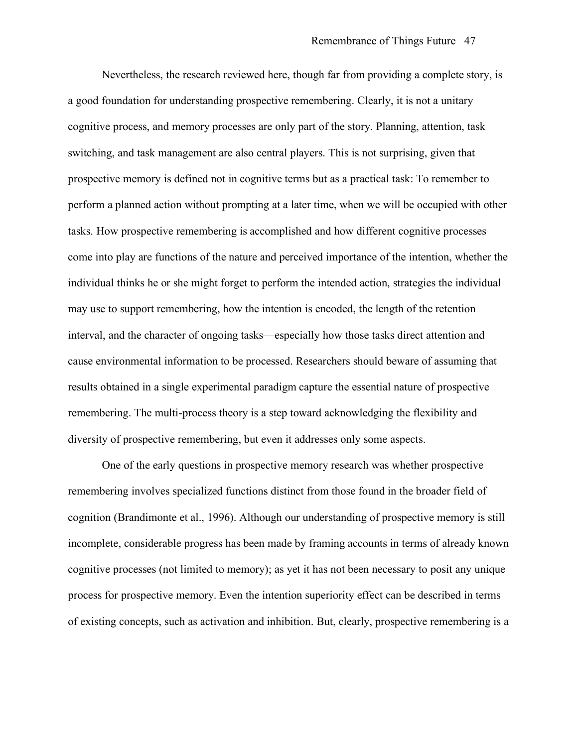Nevertheless, the research reviewed here, though far from providing a complete story, is a good foundation for understanding prospective remembering. Clearly, it is not a unitary cognitive process, and memory processes are only part of the story. Planning, attention, task switching, and task management are also central players. This is not surprising, given that prospective memory is defined not in cognitive terms but as a practical task: To remember to perform a planned action without prompting at a later time, when we will be occupied with other tasks. How prospective remembering is accomplished and how different cognitive processes come into play are functions of the nature and perceived importance of the intention, whether the individual thinks he or she might forget to perform the intended action, strategies the individual may use to support remembering, how the intention is encoded, the length of the retention interval, and the character of ongoing tasks—especially how those tasks direct attention and cause environmental information to be processed. Researchers should beware of assuming that results obtained in a single experimental paradigm capture the essential nature of prospective remembering. The multi-process theory is a step toward acknowledging the flexibility and diversity of prospective remembering, but even it addresses only some aspects.

One of the early questions in prospective memory research was whether prospective remembering involves specialized functions distinct from those found in the broader field of cognition (Brandimonte et al., 1996). Although our understanding of prospective memory is still incomplete, considerable progress has been made by framing accounts in terms of already known cognitive processes (not limited to memory); as yet it has not been necessary to posit any unique process for prospective memory. Even the intention superiority effect can be described in terms of existing concepts, such as activation and inhibition. But, clearly, prospective remembering is a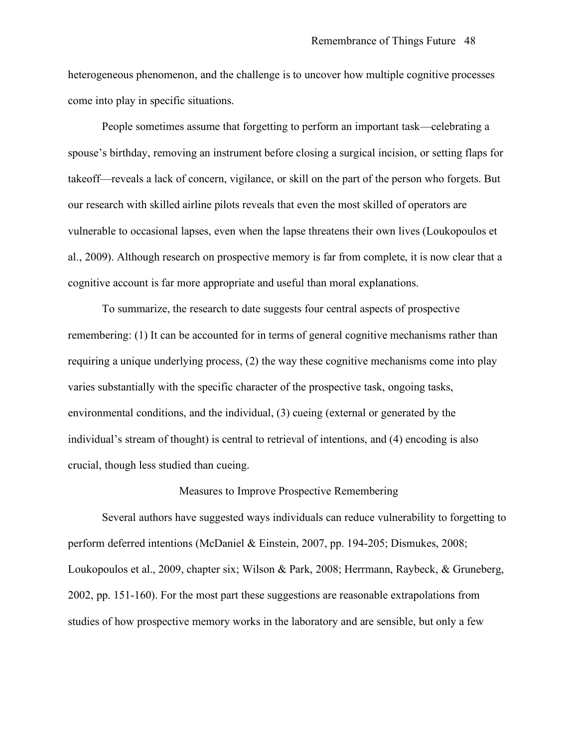heterogeneous phenomenon, and the challenge is to uncover how multiple cognitive processes come into play in specific situations.

People sometimes assume that forgetting to perform an important task—celebrating a spouse's birthday, removing an instrument before closing a surgical incision, or setting flaps for takeoff—reveals a lack of concern, vigilance, or skill on the part of the person who forgets. But our research with skilled airline pilots reveals that even the most skilled of operators are vulnerable to occasional lapses, even when the lapse threatens their own lives (Loukopoulos et al., 2009). Although research on prospective memory is far from complete, it is now clear that a cognitive account is far more appropriate and useful than moral explanations.

To summarize, the research to date suggests four central aspects of prospective remembering: (1) It can be accounted for in terms of general cognitive mechanisms rather than requiring a unique underlying process, (2) the way these cognitive mechanisms come into play varies substantially with the specific character of the prospective task, ongoing tasks, environmental conditions, and the individual, (3) cueing (external or generated by the individual's stream of thought) is central to retrieval of intentions, and (4) encoding is also crucial, though less studied than cueing.

#### Measures to Improve Prospective Remembering

Several authors have suggested ways individuals can reduce vulnerability to forgetting to perform deferred intentions (McDaniel & Einstein, 2007, pp. 194-205; Dismukes, 2008; Loukopoulos et al., 2009, chapter six; Wilson & Park, 2008; Herrmann, Raybeck, & Gruneberg, 2002, pp. 151-160). For the most part these suggestions are reasonable extrapolations from studies of how prospective memory works in the laboratory and are sensible, but only a few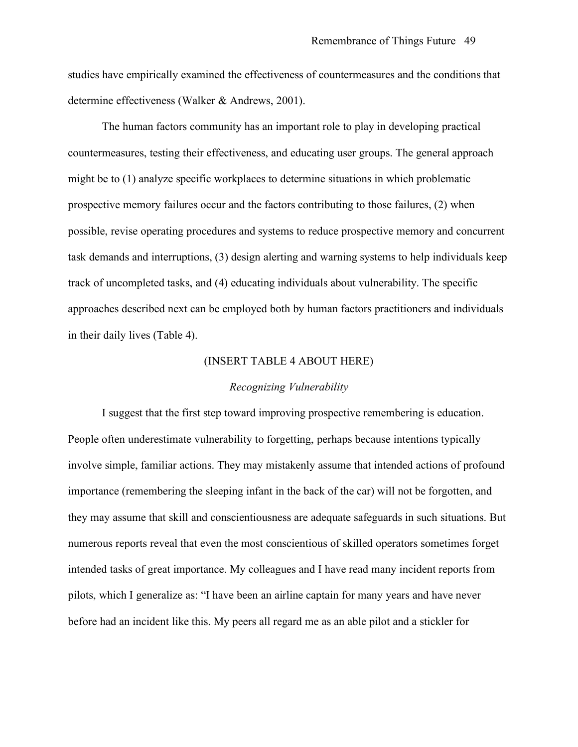studies have empirically examined the effectiveness of countermeasures and the conditions that determine effectiveness (Walker & Andrews, 2001).

The human factors community has an important role to play in developing practical countermeasures, testing their effectiveness, and educating user groups. The general approach might be to (1) analyze specific workplaces to determine situations in which problematic prospective memory failures occur and the factors contributing to those failures, (2) when possible, revise operating procedures and systems to reduce prospective memory and concurrent task demands and interruptions, (3) design alerting and warning systems to help individuals keep track of uncompleted tasks, and (4) educating individuals about vulnerability. The specific approaches described next can be employed both by human factors practitioners and individuals in their daily lives (Table 4).

#### (INSERT TABLE 4 ABOUT HERE)

#### *Recognizing Vulnerability*

I suggest that the first step toward improving prospective remembering is education. People often underestimate vulnerability to forgetting, perhaps because intentions typically involve simple, familiar actions. They may mistakenly assume that intended actions of profound importance (remembering the sleeping infant in the back of the car) will not be forgotten, and they may assume that skill and conscientiousness are adequate safeguards in such situations. But numerous reports reveal that even the most conscientious of skilled operators sometimes forget intended tasks of great importance. My colleagues and I have read many incident reports from pilots, which I generalize as: "I have been an airline captain for many years and have never before had an incident like this. My peers all regard me as an able pilot and a stickler for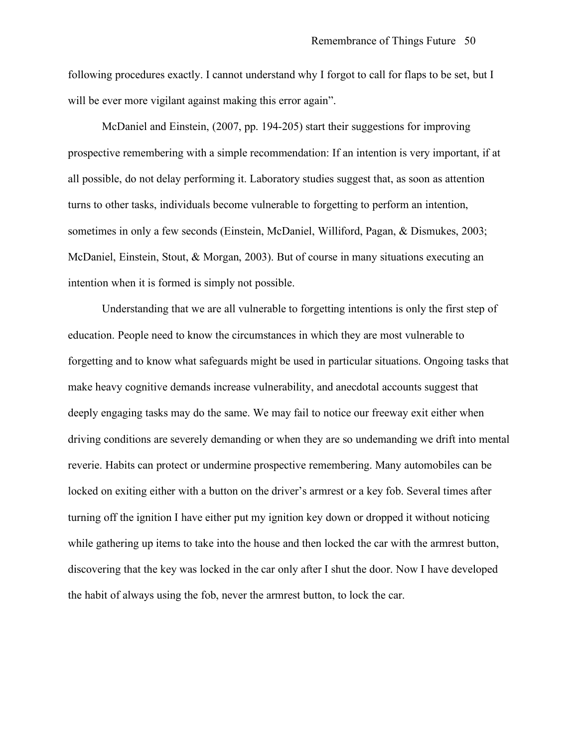following procedures exactly. I cannot understand why I forgot to call for flaps to be set, but I will be ever more vigilant against making this error again".

McDaniel and Einstein, (2007, pp. 194-205) start their suggestions for improving prospective remembering with a simple recommendation: If an intention is very important, if at all possible, do not delay performing it. Laboratory studies suggest that, as soon as attention turns to other tasks, individuals become vulnerable to forgetting to perform an intention, sometimes in only a few seconds (Einstein, McDaniel, Williford, Pagan, & Dismukes, 2003; McDaniel, Einstein, Stout, & Morgan, 2003). But of course in many situations executing an intention when it is formed is simply not possible.

Understanding that we are all vulnerable to forgetting intentions is only the first step of education. People need to know the circumstances in which they are most vulnerable to forgetting and to know what safeguards might be used in particular situations. Ongoing tasks that make heavy cognitive demands increase vulnerability, and anecdotal accounts suggest that deeply engaging tasks may do the same. We may fail to notice our freeway exit either when driving conditions are severely demanding or when they are so undemanding we drift into mental reverie. Habits can protect or undermine prospective remembering. Many automobiles can be locked on exiting either with a button on the driver's armrest or a key fob. Several times after turning off the ignition I have either put my ignition key down or dropped it without noticing while gathering up items to take into the house and then locked the car with the armrest button, discovering that the key was locked in the car only after I shut the door. Now I have developed the habit of always using the fob, never the armrest button, to lock the car.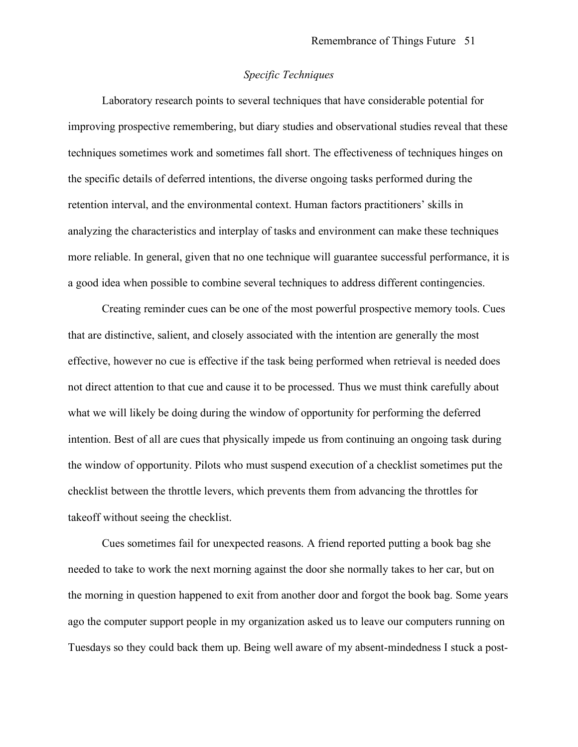# *Specific Techniques*

Laboratory research points to several techniques that have considerable potential for improving prospective remembering, but diary studies and observational studies reveal that these techniques sometimes work and sometimes fall short. The effectiveness of techniques hinges on the specific details of deferred intentions, the diverse ongoing tasks performed during the retention interval, and the environmental context. Human factors practitioners' skills in analyzing the characteristics and interplay of tasks and environment can make these techniques more reliable. In general, given that no one technique will guarantee successful performance, it is a good idea when possible to combine several techniques to address different contingencies.

Creating reminder cues can be one of the most powerful prospective memory tools. Cues that are distinctive, salient, and closely associated with the intention are generally the most effective, however no cue is effective if the task being performed when retrieval is needed does not direct attention to that cue and cause it to be processed. Thus we must think carefully about what we will likely be doing during the window of opportunity for performing the deferred intention. Best of all are cues that physically impede us from continuing an ongoing task during the window of opportunity. Pilots who must suspend execution of a checklist sometimes put the checklist between the throttle levers, which prevents them from advancing the throttles for takeoff without seeing the checklist.

Cues sometimes fail for unexpected reasons. A friend reported putting a book bag she needed to take to work the next morning against the door she normally takes to her car, but on the morning in question happened to exit from another door and forgot the book bag. Some years ago the computer support people in my organization asked us to leave our computers running on Tuesdays so they could back them up. Being well aware of my absent-mindedness I stuck a post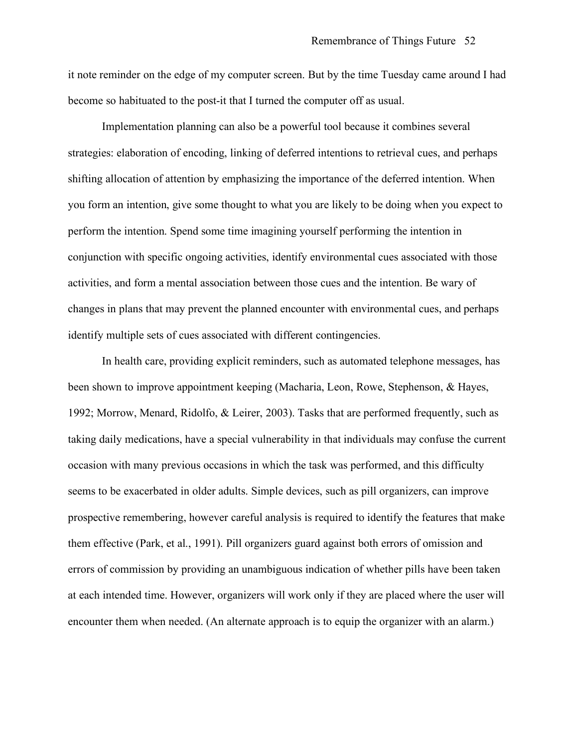it note reminder on the edge of my computer screen. But by the time Tuesday came around I had become so habituated to the post-it that I turned the computer off as usual.

Implementation planning can also be a powerful tool because it combines several strategies: elaboration of encoding, linking of deferred intentions to retrieval cues, and perhaps shifting allocation of attention by emphasizing the importance of the deferred intention. When you form an intention, give some thought to what you are likely to be doing when you expect to perform the intention. Spend some time imagining yourself performing the intention in conjunction with specific ongoing activities, identify environmental cues associated with those activities, and form a mental association between those cues and the intention. Be wary of changes in plans that may prevent the planned encounter with environmental cues, and perhaps identify multiple sets of cues associated with different contingencies.

In health care, providing explicit reminders, such as automated telephone messages, has been shown to improve appointment keeping (Macharia, Leon, Rowe, Stephenson, & Hayes, 1992; Morrow, Menard, Ridolfo, & Leirer, 2003). Tasks that are performed frequently, such as taking daily medications, have a special vulnerability in that individuals may confuse the current occasion with many previous occasions in which the task was performed, and this difficulty seems to be exacerbated in older adults. Simple devices, such as pill organizers, can improve prospective remembering, however careful analysis is required to identify the features that make them effective (Park, et al., 1991). Pill organizers guard against both errors of omission and errors of commission by providing an unambiguous indication of whether pills have been taken at each intended time. However, organizers will work only if they are placed where the user will encounter them when needed. (An alternate approach is to equip the organizer with an alarm.)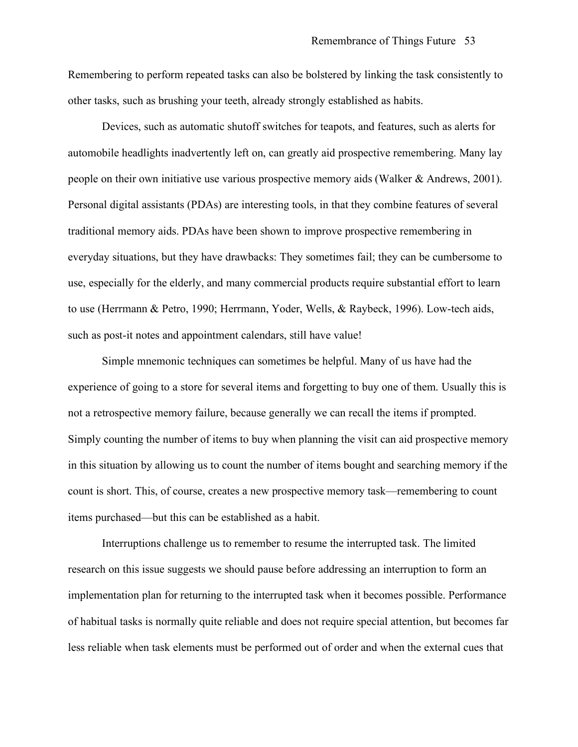Remembering to perform repeated tasks can also be bolstered by linking the task consistently to other tasks, such as brushing your teeth, already strongly established as habits.

Devices, such as automatic shutoff switches for teapots, and features, such as alerts for automobile headlights inadvertently left on, can greatly aid prospective remembering. Many lay people on their own initiative use various prospective memory aids (Walker & Andrews, 2001). Personal digital assistants (PDAs) are interesting tools, in that they combine features of several traditional memory aids. PDAs have been shown to improve prospective remembering in everyday situations, but they have drawbacks: They sometimes fail; they can be cumbersome to use, especially for the elderly, and many commercial products require substantial effort to learn to use (Herrmann & Petro, 1990; Herrmann, Yoder, Wells, & Raybeck, 1996). Low-tech aids, such as post-it notes and appointment calendars, still have value!

Simple mnemonic techniques can sometimes be helpful. Many of us have had the experience of going to a store for several items and forgetting to buy one of them. Usually this is not a retrospective memory failure, because generally we can recall the items if prompted. Simply counting the number of items to buy when planning the visit can aid prospective memory in this situation by allowing us to count the number of items bought and searching memory if the count is short. This, of course, creates a new prospective memory task—remembering to count items purchased—but this can be established as a habit.

Interruptions challenge us to remember to resume the interrupted task. The limited research on this issue suggests we should pause before addressing an interruption to form an implementation plan for returning to the interrupted task when it becomes possible. Performance of habitual tasks is normally quite reliable and does not require special attention, but becomes far less reliable when task elements must be performed out of order and when the external cues that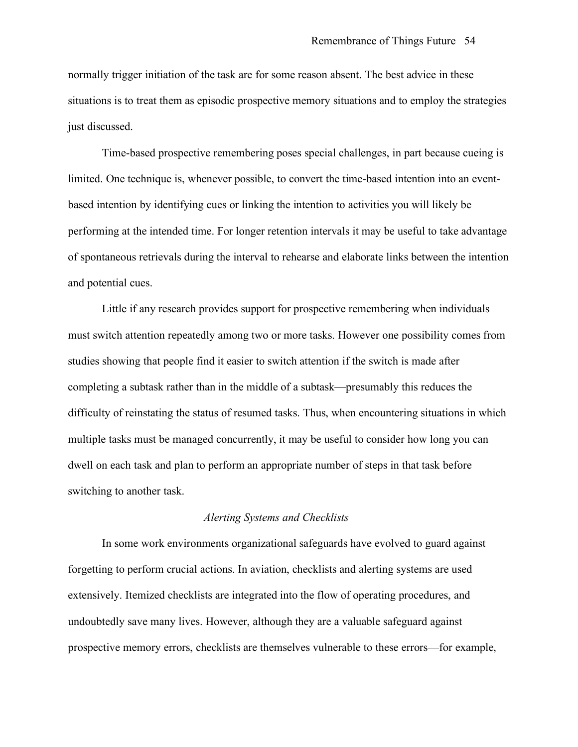normally trigger initiation of the task are for some reason absent. The best advice in these situations is to treat them as episodic prospective memory situations and to employ the strategies just discussed.

Time-based prospective remembering poses special challenges, in part because cueing is limited. One technique is, whenever possible, to convert the time-based intention into an eventbased intention by identifying cues or linking the intention to activities you will likely be performing at the intended time. For longer retention intervals it may be useful to take advantage of spontaneous retrievals during the interval to rehearse and elaborate links between the intention and potential cues.

Little if any research provides support for prospective remembering when individuals must switch attention repeatedly among two or more tasks. However one possibility comes from studies showing that people find it easier to switch attention if the switch is made after completing a subtask rather than in the middle of a subtask—presumably this reduces the difficulty of reinstating the status of resumed tasks. Thus, when encountering situations in which multiple tasks must be managed concurrently, it may be useful to consider how long you can dwell on each task and plan to perform an appropriate number of steps in that task before switching to another task.

### *Alerting Systems and Checklists*

In some work environments organizational safeguards have evolved to guard against forgetting to perform crucial actions. In aviation, checklists and alerting systems are used extensively. Itemized checklists are integrated into the flow of operating procedures, and undoubtedly save many lives. However, although they are a valuable safeguard against prospective memory errors, checklists are themselves vulnerable to these errors—for example,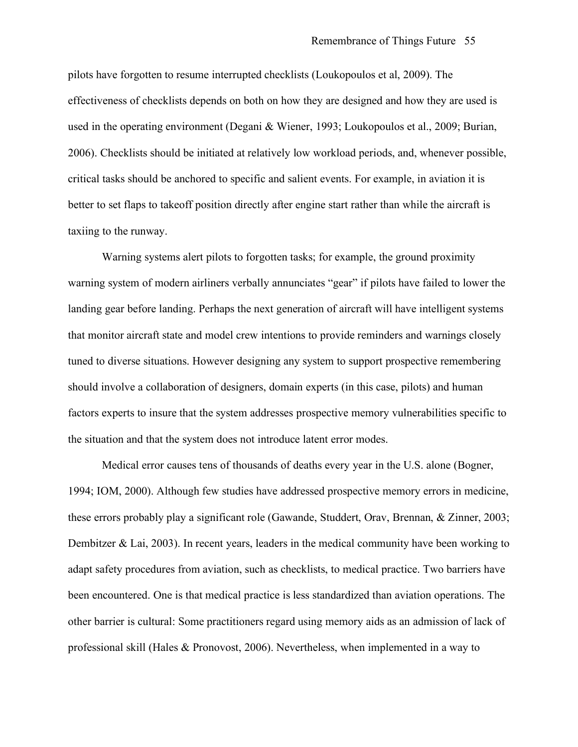pilots have forgotten to resume interrupted checklists (Loukopoulos et al, 2009). The effectiveness of checklists depends on both on how they are designed and how they are used is used in the operating environment (Degani & Wiener, 1993; Loukopoulos et al., 2009; Burian, 2006). Checklists should be initiated at relatively low workload periods, and, whenever possible, critical tasks should be anchored to specific and salient events. For example, in aviation it is better to set flaps to takeoff position directly after engine start rather than while the aircraft is taxiing to the runway.

Warning systems alert pilots to forgotten tasks; for example, the ground proximity warning system of modern airliners verbally annunciates "gear" if pilots have failed to lower the landing gear before landing. Perhaps the next generation of aircraft will have intelligent systems that monitor aircraft state and model crew intentions to provide reminders and warnings closely tuned to diverse situations. However designing any system to support prospective remembering should involve a collaboration of designers, domain experts (in this case, pilots) and human factors experts to insure that the system addresses prospective memory vulnerabilities specific to the situation and that the system does not introduce latent error modes.

Medical error causes tens of thousands of deaths every year in the U.S. alone (Bogner, 1994; IOM, 2000). Although few studies have addressed prospective memory errors in medicine, these errors probably play a significant role (Gawande, Studdert, Orav, Brennan, & Zinner, 2003; Dembitzer  $\&$  Lai, 2003). In recent years, leaders in the medical community have been working to adapt safety procedures from aviation, such as checklists, to medical practice. Two barriers have been encountered. One is that medical practice is less standardized than aviation operations. The other barrier is cultural: Some practitioners regard using memory aids as an admission of lack of professional skill (Hales & Pronovost, 2006). Nevertheless, when implemented in a way to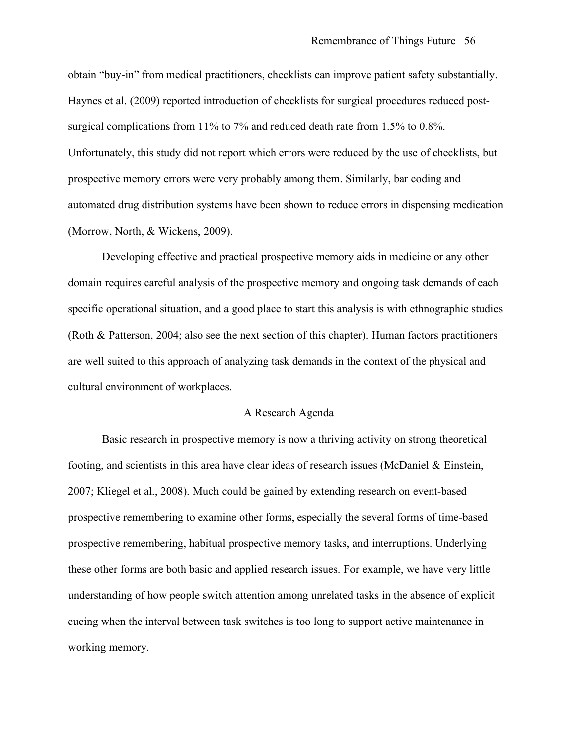obtain "buy-in" from medical practitioners, checklists can improve patient safety substantially. Haynes et al. (2009) reported introduction of checklists for surgical procedures reduced postsurgical complications from 11% to 7% and reduced death rate from 1.5% to 0.8%. Unfortunately, this study did not report which errors were reduced by the use of checklists, but prospective memory errors were very probably among them. Similarly, bar coding and automated drug distribution systems have been shown to reduce errors in dispensing medication (Morrow, North, & Wickens, 2009).

Developing effective and practical prospective memory aids in medicine or any other domain requires careful analysis of the prospective memory and ongoing task demands of each specific operational situation, and a good place to start this analysis is with ethnographic studies (Roth & Patterson, 2004; also see the next section of this chapter). Human factors practitioners are well suited to this approach of analyzing task demands in the context of the physical and cultural environment of workplaces.

### A Research Agenda

Basic research in prospective memory is now a thriving activity on strong theoretical footing, and scientists in this area have clear ideas of research issues (McDaniel & Einstein, 2007; Kliegel et al., 2008). Much could be gained by extending research on event-based prospective remembering to examine other forms, especially the several forms of time-based prospective remembering, habitual prospective memory tasks, and interruptions. Underlying these other forms are both basic and applied research issues. For example, we have very little understanding of how people switch attention among unrelated tasks in the absence of explicit cueing when the interval between task switches is too long to support active maintenance in working memory.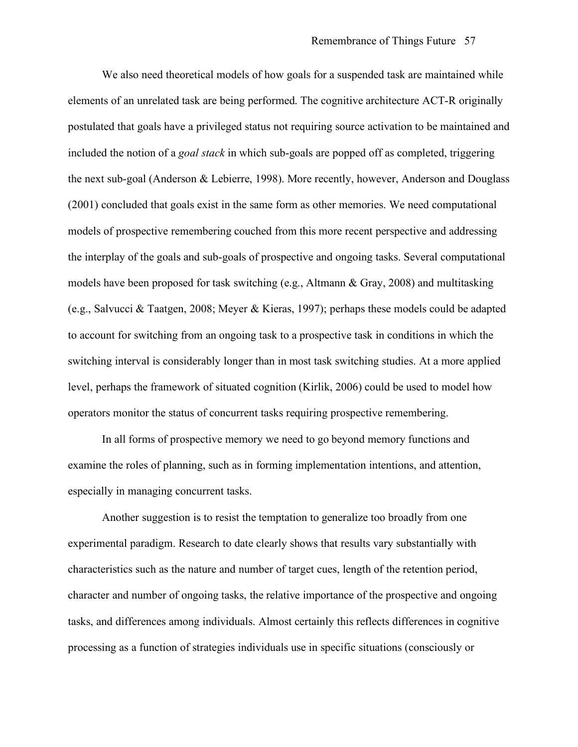We also need theoretical models of how goals for a suspended task are maintained while elements of an unrelated task are being performed. The cognitive architecture ACT-R originally postulated that goals have a privileged status not requiring source activation to be maintained and included the notion of a *goal stack* in which sub-goals are popped off as completed, triggering the next sub-goal (Anderson & Lebierre, 1998). More recently, however, Anderson and Douglass (2001) concluded that goals exist in the same form as other memories. We need computational models of prospective remembering couched from this more recent perspective and addressing the interplay of the goals and sub-goals of prospective and ongoing tasks. Several computational models have been proposed for task switching (e.g., Altmann & Gray, 2008) and multitasking (e.g., Salvucci & Taatgen, 2008; Meyer & Kieras, 1997); perhaps these models could be adapted to account for switching from an ongoing task to a prospective task in conditions in which the switching interval is considerably longer than in most task switching studies. At a more applied level, perhaps the framework of situated cognition (Kirlik, 2006) could be used to model how operators monitor the status of concurrent tasks requiring prospective remembering.

In all forms of prospective memory we need to go beyond memory functions and examine the roles of planning, such as in forming implementation intentions, and attention, especially in managing concurrent tasks.

Another suggestion is to resist the temptation to generalize too broadly from one experimental paradigm. Research to date clearly shows that results vary substantially with characteristics such as the nature and number of target cues, length of the retention period, character and number of ongoing tasks, the relative importance of the prospective and ongoing tasks, and differences among individuals. Almost certainly this reflects differences in cognitive processing as a function of strategies individuals use in specific situations (consciously or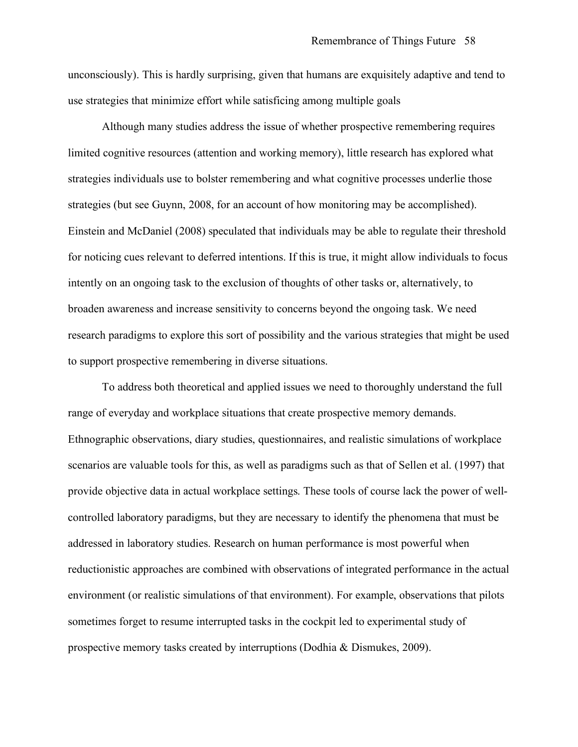unconsciously). This is hardly surprising, given that humans are exquisitely adaptive and tend to use strategies that minimize effort while satisficing among multiple goals

Although many studies address the issue of whether prospective remembering requires limited cognitive resources (attention and working memory), little research has explored what strategies individuals use to bolster remembering and what cognitive processes underlie those strategies (but see Guynn, 2008, for an account of how monitoring may be accomplished). Einstein and McDaniel (2008) speculated that individuals may be able to regulate their threshold for noticing cues relevant to deferred intentions. If this is true, it might allow individuals to focus intently on an ongoing task to the exclusion of thoughts of other tasks or, alternatively, to broaden awareness and increase sensitivity to concerns beyond the ongoing task. We need research paradigms to explore this sort of possibility and the various strategies that might be used to support prospective remembering in diverse situations.

To address both theoretical and applied issues we need to thoroughly understand the full range of everyday and workplace situations that create prospective memory demands. Ethnographic observations, diary studies, questionnaires, and realistic simulations of workplace scenarios are valuable tools for this, as well as paradigms such as that of Sellen et al. (1997) that provide objective data in actual workplace settings. These tools of course lack the power of wellcontrolled laboratory paradigms, but they are necessary to identify the phenomena that must be addressed in laboratory studies. Research on human performance is most powerful when reductionistic approaches are combined with observations of integrated performance in the actual environment (or realistic simulations of that environment). For example, observations that pilots sometimes forget to resume interrupted tasks in the cockpit led to experimental study of prospective memory tasks created by interruptions (Dodhia & Dismukes, 2009).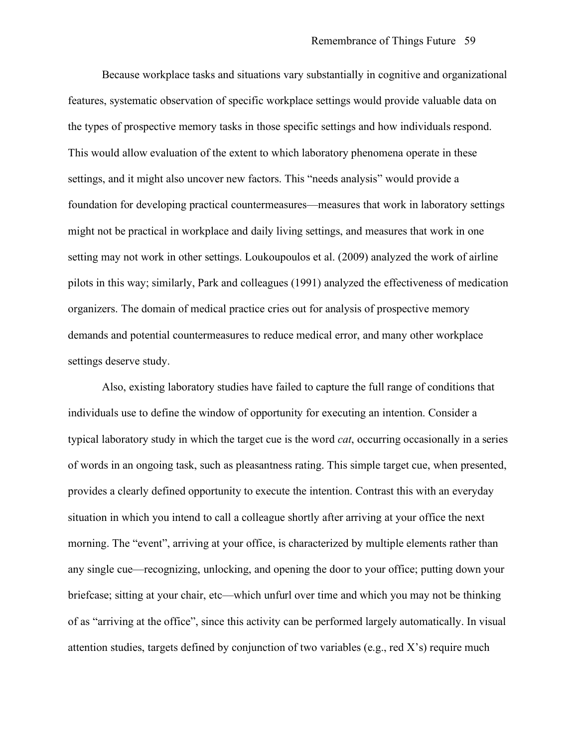Because workplace tasks and situations vary substantially in cognitive and organizational features, systematic observation of specific workplace settings would provide valuable data on the types of prospective memory tasks in those specific settings and how individuals respond. This would allow evaluation of the extent to which laboratory phenomena operate in these settings, and it might also uncover new factors. This "needs analysis" would provide a foundation for developing practical countermeasures—measures that work in laboratory settings might not be practical in workplace and daily living settings, and measures that work in one setting may not work in other settings. Loukoupoulos et al. (2009) analyzed the work of airline pilots in this way; similarly, Park and colleagues (1991) analyzed the effectiveness of medication organizers. The domain of medical practice cries out for analysis of prospective memory demands and potential countermeasures to reduce medical error, and many other workplace settings deserve study.

Also, existing laboratory studies have failed to capture the full range of conditions that individuals use to define the window of opportunity for executing an intention. Consider a typical laboratory study in which the target cue is the word *cat*, occurring occasionally in a series of words in an ongoing task, such as pleasantness rating. This simple target cue, when presented, provides a clearly defined opportunity to execute the intention. Contrast this with an everyday situation in which you intend to call a colleague shortly after arriving at your office the next morning. The "event", arriving at your office, is characterized by multiple elements rather than any single cue—recognizing, unlocking, and opening the door to your office; putting down your briefcase; sitting at your chair, etc—which unfurl over time and which you may not be thinking of as "arriving at the office", since this activity can be performed largely automatically. In visual attention studies, targets defined by conjunction of two variables (e.g., red X's) require much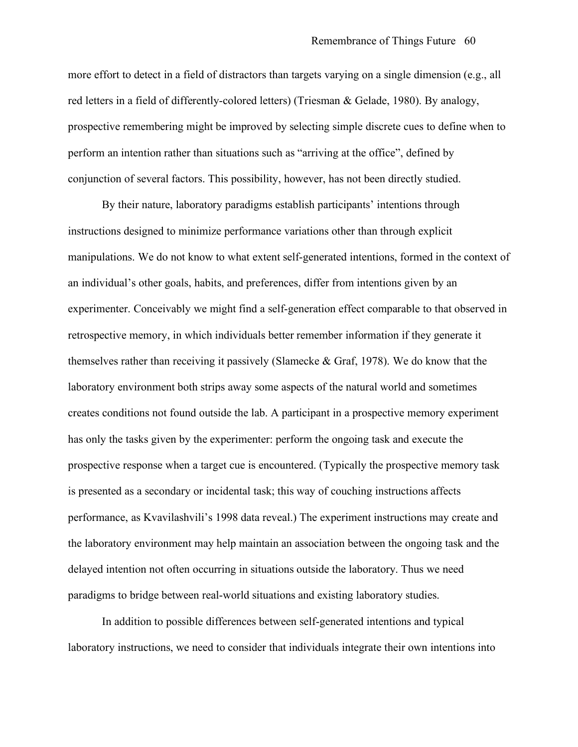more effort to detect in a field of distractors than targets varying on a single dimension (e.g., all red letters in a field of differently-colored letters) (Triesman & Gelade, 1980). By analogy, prospective remembering might be improved by selecting simple discrete cues to define when to perform an intention rather than situations such as "arriving at the office", defined by conjunction of several factors. This possibility, however, has not been directly studied.

By their nature, laboratory paradigms establish participants' intentions through instructions designed to minimize performance variations other than through explicit manipulations. We do not know to what extent self-generated intentions, formed in the context of an individual's other goals, habits, and preferences, differ from intentions given by an experimenter. Conceivably we might find a self-generation effect comparable to that observed in retrospective memory, in which individuals better remember information if they generate it themselves rather than receiving it passively (Slamecke & Graf, 1978). We do know that the laboratory environment both strips away some aspects of the natural world and sometimes creates conditions not found outside the lab. A participant in a prospective memory experiment has only the tasks given by the experimenter: perform the ongoing task and execute the prospective response when a target cue is encountered. (Typically the prospective memory task is presented as a secondary or incidental task; this way of couching instructions affects performance, as Kvavilashvili's 1998 data reveal.) The experiment instructions may create and the laboratory environment may help maintain an association between the ongoing task and the delayed intention not often occurring in situations outside the laboratory. Thus we need paradigms to bridge between real-world situations and existing laboratory studies.

In addition to possible differences between self-generated intentions and typical laboratory instructions, we need to consider that individuals integrate their own intentions into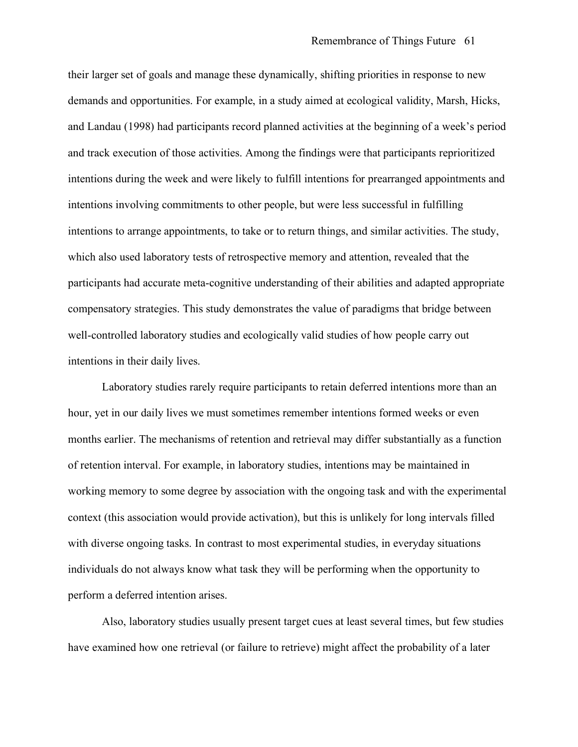their larger set of goals and manage these dynamically, shifting priorities in response to new demands and opportunities. For example, in a study aimed at ecological validity, Marsh, Hicks, and Landau (1998) had participants record planned activities at the beginning of a week's period and track execution of those activities. Among the findings were that participants reprioritized intentions during the week and were likely to fulfill intentions for prearranged appointments and intentions involving commitments to other people, but were less successful in fulfilling intentions to arrange appointments, to take or to return things, and similar activities. The study, which also used laboratory tests of retrospective memory and attention, revealed that the participants had accurate meta-cognitive understanding of their abilities and adapted appropriate compensatory strategies. This study demonstrates the value of paradigms that bridge between well-controlled laboratory studies and ecologically valid studies of how people carry out intentions in their daily lives.

Laboratory studies rarely require participants to retain deferred intentions more than an hour, yet in our daily lives we must sometimes remember intentions formed weeks or even months earlier. The mechanisms of retention and retrieval may differ substantially as a function of retention interval. For example, in laboratory studies, intentions may be maintained in working memory to some degree by association with the ongoing task and with the experimental context (this association would provide activation), but this is unlikely for long intervals filled with diverse ongoing tasks. In contrast to most experimental studies, in everyday situations individuals do not always know what task they will be performing when the opportunity to perform a deferred intention arises.

Also, laboratory studies usually present target cues at least several times, but few studies have examined how one retrieval (or failure to retrieve) might affect the probability of a later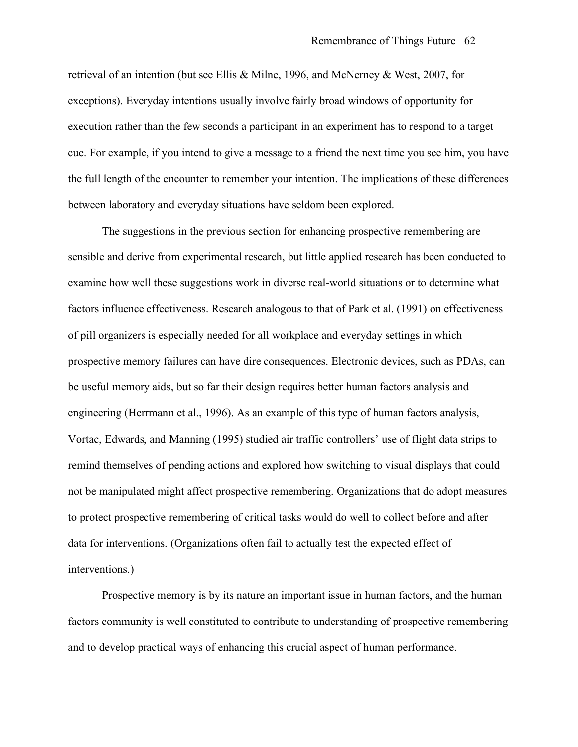retrieval of an intention (but see Ellis & Milne, 1996, and McNerney & West, 2007, for exceptions). Everyday intentions usually involve fairly broad windows of opportunity for execution rather than the few seconds a participant in an experiment has to respond to a target cue. For example, if you intend to give a message to a friend the next time you see him, you have the full length of the encounter to remember your intention. The implications of these differences between laboratory and everyday situations have seldom been explored.

The suggestions in the previous section for enhancing prospective remembering are sensible and derive from experimental research, but little applied research has been conducted to examine how well these suggestions work in diverse real-world situations or to determine what factors influence effectiveness. Research analogous to that of Park et al. (1991) on effectiveness of pill organizers is especially needed for all workplace and everyday settings in which prospective memory failures can have dire consequences. Electronic devices, such as PDAs, can be useful memory aids, but so far their design requires better human factors analysis and engineering (Herrmann et al., 1996). As an example of this type of human factors analysis, Vortac, Edwards, and Manning (1995) studied air traffic controllers' use of flight data strips to remind themselves of pending actions and explored how switching to visual displays that could not be manipulated might affect prospective remembering. Organizations that do adopt measures to protect prospective remembering of critical tasks would do well to collect before and after data for interventions. (Organizations often fail to actually test the expected effect of interventions.)

Prospective memory is by its nature an important issue in human factors, and the human factors community is well constituted to contribute to understanding of prospective remembering and to develop practical ways of enhancing this crucial aspect of human performance.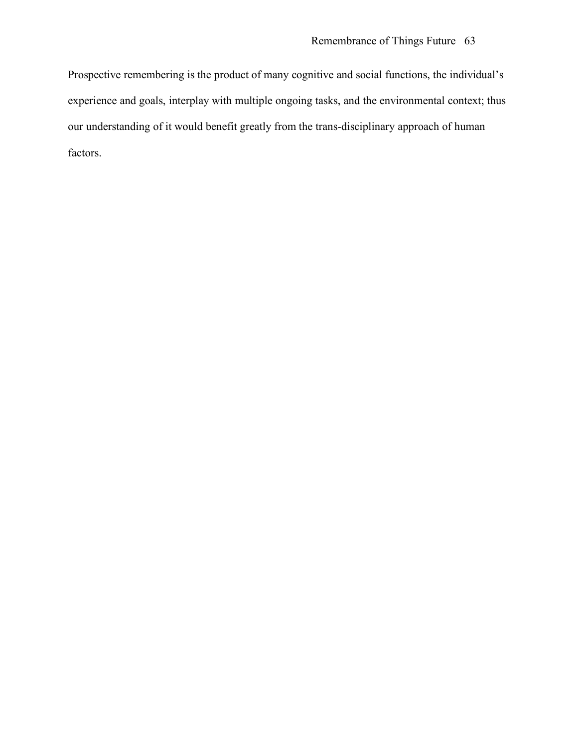Prospective remembering is the product of many cognitive and social functions, the individual's experience and goals, interplay with multiple ongoing tasks, and the environmental context; thus our understanding of it would benefit greatly from the trans-disciplinary approach of human factors.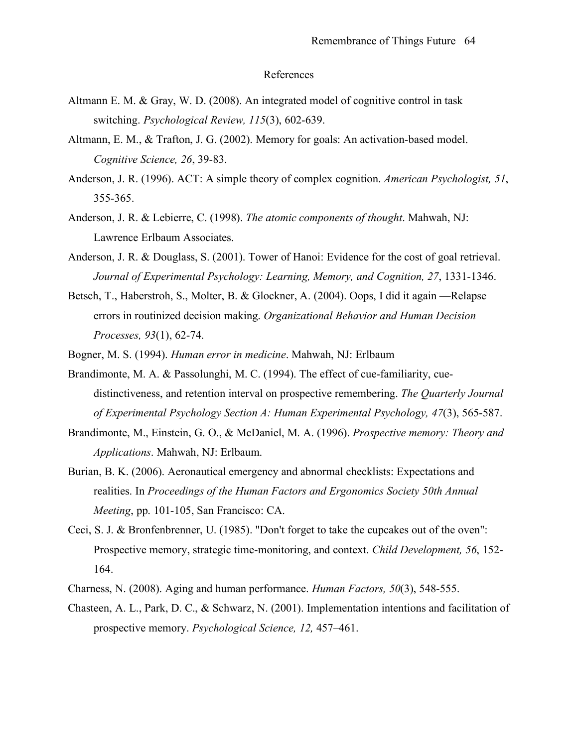#### References

- Altmann E. M. & Gray, W. D. (2008). An integrated model of cognitive control in task switching. *Psychological Review, 115*(3), 602-639.
- Altmann, E. M., & Trafton, J. G. (2002). Memory for goals: An activation-based model. *Cognitive Science, 26*, 39-83.
- Anderson, J. R. (1996). ACT: A simple theory of complex cognition. *American Psychologist, 51*, 355-365.
- Anderson, J. R. & Lebierre, C. (1998). *The atomic components of thought*. Mahwah, NJ: Lawrence Erlbaum Associates.
- Anderson, J. R. & Douglass, S. (2001). Tower of Hanoi: Evidence for the cost of goal retrieval. *Journal of Experimental Psychology: Learning, Memory, and Cognition, 27*, 1331-1346.
- Betsch, T., Haberstroh, S., Molter, B. & Glockner, A. (2004). Oops, I did it again —Relapse errors in routinized decision making. *Organizational Behavior and Human Decision Processes, 93*(1), 62-74.
- Bogner, M. S. (1994). *Human error in medicine*. Mahwah, NJ: Erlbaum
- Brandimonte, M. A. & Passolunghi, M. C. (1994). The effect of cue-familiarity, cuedistinctiveness, and retention interval on prospective remembering. *The Quarterly Journal of Experimental Psychology Section A: Human Experimental Psychology, 47*(3), 565-587.
- Brandimonte, M., Einstein, G. O., & McDaniel, M. A. (1996). *Prospective memory: Theory and Applications*. Mahwah, NJ: Erlbaum.
- Burian, B. K. (2006). Aeronautical emergency and abnormal checklists: Expectations and realities. In *Proceedings of the Human Factors and Ergonomics Society 50th Annual Meeting*, pp. 101-105, San Francisco: CA.
- Ceci, S. J. & Bronfenbrenner, U. (1985). "Don't forget to take the cupcakes out of the oven": Prospective memory, strategic time-monitoring, and context. *Child Development, 56*, 152- 164.
- Charness, N. (2008). Aging and human performance. *Human Factors, 50*(3), 548-555.
- Chasteen, A. L., Park, D. C., & Schwarz, N. (2001). Implementation intentions and facilitation of prospective memory. *Psychological Science, 12,* 457–461.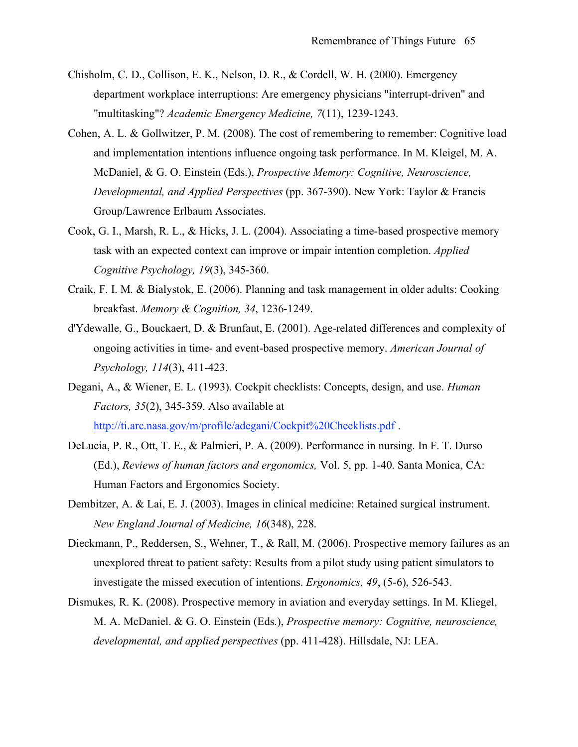- Chisholm, C. D., Collison, E. K., Nelson, D. R., & Cordell, W. H. (2000). Emergency department workplace interruptions: Are emergency physicians "interrupt-driven" and "multitasking"? *Academic Emergency Medicine, 7*(11), 1239-1243.
- Cohen, A. L. & Gollwitzer, P. M. (2008). The cost of remembering to remember: Cognitive load and implementation intentions influence ongoing task performance. In M. Kleigel, M. A. McDaniel, & G. O. Einstein (Eds.), *Prospective Memory: Cognitive, Neuroscience, Developmental, and Applied Perspectives* (pp. 367-390). New York: Taylor & Francis Group/Lawrence Erlbaum Associates.
- Cook, G. I., Marsh, R. L., & Hicks, J. L. (2004). Associating a time-based prospective memory task with an expected context can improve or impair intention completion. *Applied Cognitive Psychology, 19*(3), 345-360.
- Craik, F. I. M. & Bialystok, E. (2006). Planning and task management in older adults: Cooking breakfast. *Memory & Cognition, 34*, 1236-1249.
- d'Ydewalle, G., Bouckaert, D. & Brunfaut, E. (2001). Age-related differences and complexity of ongoing activities in time- and event-based prospective memory. *American Journal of Psychology, 114*(3), 411-423.
- Degani, A., & Wiener, E. L. (1993). Cockpit checklists: Concepts, design, and use. *Human Factors, 35*(2), 345-359. Also available at http://ti.arc.nasa.gov/m/profile/adegani/Cockpit%20Checklists.pdf .
- DeLucia, P. R., Ott, T. E., & Palmieri, P. A. (2009). Performance in nursing. In F. T. Durso (Ed.), *Reviews of human factors and ergonomics,* Vol. 5, pp. 1-40. Santa Monica, CA: Human Factors and Ergonomics Society.
- Dembitzer, A. & Lai, E. J. (2003). Images in clinical medicine: Retained surgical instrument. *New England Journal of Medicine, 16*(348), 228.
- Dieckmann, P., Reddersen, S., Wehner, T., & Rall, M. (2006). Prospective memory failures as an unexplored threat to patient safety: Results from a pilot study using patient simulators to investigate the missed execution of intentions. *Ergonomics, 49*, (5-6), 526-543.
- Dismukes, R. K. (2008). Prospective memory in aviation and everyday settings. In M. Kliegel, M. A. McDaniel. & G. O. Einstein (Eds.), *Prospective memory: Cognitive, neuroscience, developmental, and applied perspectives* (pp. 411-428). Hillsdale, NJ: LEA.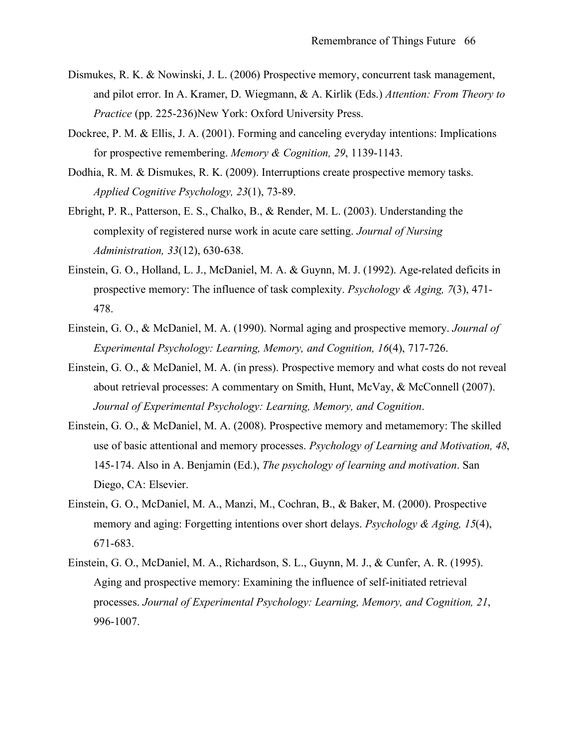- Dismukes, R. K. & Nowinski, J. L. (2006) Prospective memory, concurrent task management, and pilot error. In A. Kramer, D. Wiegmann, & A. Kirlik (Eds.) *Attention: From Theory to Practice* (pp. 225-236)New York: Oxford University Press.
- Dockree, P. M. & Ellis, J. A. (2001). Forming and canceling everyday intentions: Implications for prospective remembering. *Memory & Cognition, 29*, 1139-1143.
- Dodhia, R. M. & Dismukes, R. K. (2009). Interruptions create prospective memory tasks. *Applied Cognitive Psychology, 23*(1), 73-89.
- Ebright, P. R., Patterson, E. S., Chalko, B., & Render, M. L. (2003). Understanding the complexity of registered nurse work in acute care setting. *Journal of Nursing Administration, 33*(12), 630-638.
- Einstein, G. O., Holland, L. J., McDaniel, M. A. & Guynn, M. J. (1992). Age-related deficits in prospective memory: The influence of task complexity. *Psychology & Aging, 7*(3), 471- 478.
- Einstein, G. O., & McDaniel, M. A. (1990). Normal aging and prospective memory. *Journal of Experimental Psychology: Learning, Memory, and Cognition, 16*(4), 717-726.
- Einstein, G. O., & McDaniel, M. A. (in press). Prospective memory and what costs do not reveal about retrieval processes: A commentary on Smith, Hunt, McVay, & McConnell (2007). *Journal of Experimental Psychology: Learning, Memory, and Cognition*.
- Einstein, G. O., & McDaniel, M. A. (2008). Prospective memory and metamemory: The skilled use of basic attentional and memory processes. *Psychology of Learning and Motivation, 48*, 145-174. Also in A. Benjamin (Ed.), *The psychology of learning and motivation*. San Diego, CA: Elsevier.
- Einstein, G. O., McDaniel, M. A., Manzi, M., Cochran, B., & Baker, M. (2000). Prospective memory and aging: Forgetting intentions over short delays. *Psychology & Aging, 15*(4), 671-683.
- Einstein, G. O., McDaniel, M. A., Richardson, S. L., Guynn, M. J., & Cunfer, A. R. (1995). Aging and prospective memory: Examining the influence of self-initiated retrieval processes. *Journal of Experimental Psychology: Learning, Memory, and Cognition, 21*, 996-1007.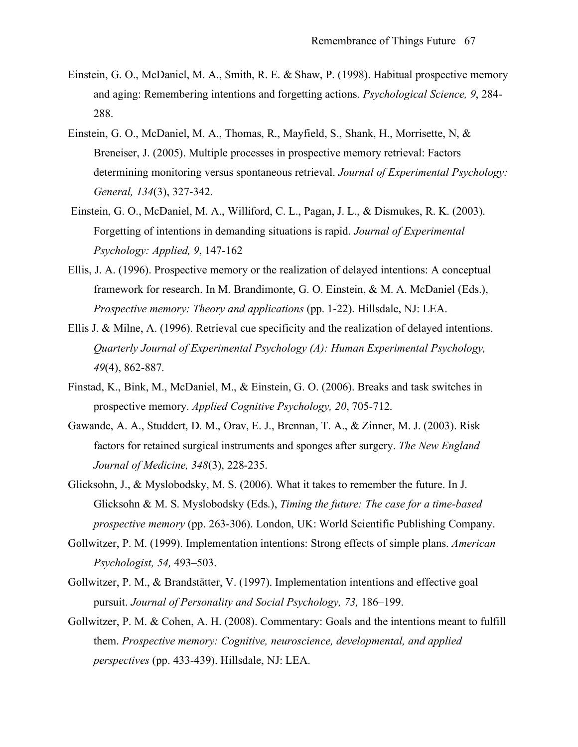- Einstein, G. O., McDaniel, M. A., Smith, R. E. & Shaw, P. (1998). Habitual prospective memory and aging: Remembering intentions and forgetting actions. *Psychological Science, 9*, 284- 288.
- Einstein, G. O., McDaniel, M. A., Thomas, R., Mayfield, S., Shank, H., Morrisette, N, & Breneiser, J. (2005). Multiple processes in prospective memory retrieval: Factors determining monitoring versus spontaneous retrieval. *Journal of Experimental Psychology: General, 134*(3), 327-342.
- Einstein, G. O., McDaniel, M. A., Williford, C. L., Pagan, J. L., & Dismukes, R. K. (2003). Forgetting of intentions in demanding situations is rapid. *Journal of Experimental Psychology: Applied, 9*, 147-162
- Ellis, J. A. (1996). Prospective memory or the realization of delayed intentions: A conceptual framework for research. In M. Brandimonte, G. O. Einstein, & M. A. McDaniel (Eds.), *Prospective memory: Theory and applications* (pp. 1-22). Hillsdale, NJ: LEA.
- Ellis J. & Milne, A. (1996). Retrieval cue specificity and the realization of delayed intentions. *Quarterly Journal of Experimental Psychology (A): Human Experimental Psychology, 49*(4), 862-887.
- Finstad, K., Bink, M., McDaniel, M., & Einstein, G. O. (2006). Breaks and task switches in prospective memory. *Applied Cognitive Psychology, 20*, 705-712.
- Gawande, A. A., Studdert, D. M., Orav, E. J., Brennan, T. A., & Zinner, M. J. (2003). Risk factors for retained surgical instruments and sponges after surgery. *The New England Journal of Medicine, 348*(3), 228-235.
- Glicksohn, J., & Myslobodsky, M. S. (2006). What it takes to remember the future. In J. Glicksohn & M. S. Myslobodsky (Eds.), *Timing the future: The case for a time-based prospective memory* (pp. 263-306). London, UK: World Scientific Publishing Company.
- Gollwitzer, P. M. (1999). Implementation intentions: Strong effects of simple plans. *American Psychologist, 54,* 493–503.
- Gollwitzer, P. M., & Brandstätter, V. (1997). Implementation intentions and effective goal pursuit. *Journal of Personality and Social Psychology, 73,* 186–199.
- Gollwitzer, P. M. & Cohen, A. H. (2008). Commentary: Goals and the intentions meant to fulfill them. *Prospective memory: Cognitive, neuroscience, developmental, and applied perspectives* (pp. 433-439). Hillsdale, NJ: LEA.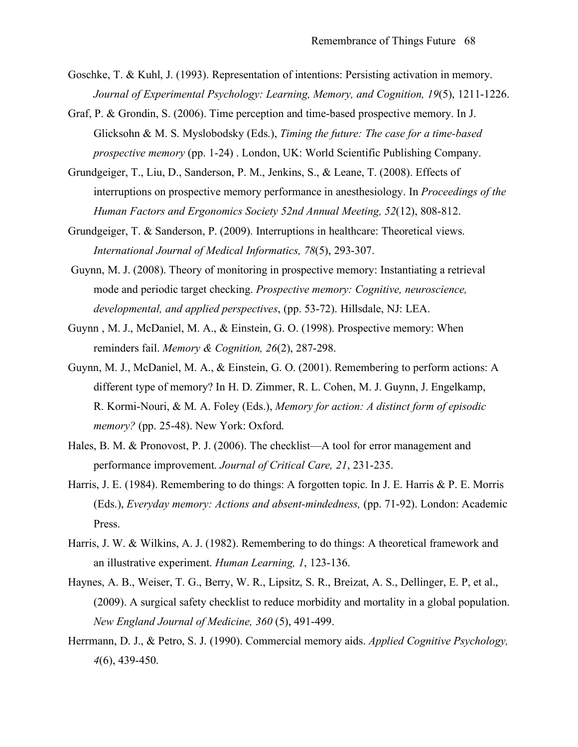- Goschke, T. & Kuhl, J. (1993). Representation of intentions: Persisting activation in memory. *Journal of Experimental Psychology: Learning, Memory, and Cognition, 19*(5), 1211-1226.
- Graf, P. & Grondin, S. (2006). Time perception and time-based prospective memory. In J. Glicksohn & M. S. Myslobodsky (Eds.), *Timing the future: The case for a time-based prospective memory* (pp. 1-24) . London, UK: World Scientific Publishing Company.
- Grundgeiger, T., Liu, D., Sanderson, P. M., Jenkins, S., & Leane, T. (2008). Effects of interruptions on prospective memory performance in anesthesiology. In *Proceedings of the Human Factors and Ergonomics Society 52nd Annual Meeting, 52*(12), 808-812.
- Grundgeiger, T. & Sanderson, P. (2009). Interruptions in healthcare: Theoretical views. *International Journal of Medical Informatics, 78*(5), 293-307.
- Guynn, M. J. (2008). Theory of monitoring in prospective memory: Instantiating a retrieval mode and periodic target checking. *Prospective memory: Cognitive, neuroscience, developmental, and applied perspectives*, (pp. 53-72). Hillsdale, NJ: LEA.
- Guynn , M. J., McDaniel, M. A., & Einstein, G. O. (1998). Prospective memory: When reminders fail. *Memory & Cognition, 26*(2), 287-298.
- Guynn, M. J., McDaniel, M. A., & Einstein, G. O. (2001). Remembering to perform actions: A different type of memory? In H. D. Zimmer, R. L. Cohen, M. J. Guynn, J. Engelkamp, R. Kormi-Nouri, & M. A. Foley (Eds.), *Memory for action: A distinct form of episodic memory?* (pp. 25-48). New York: Oxford.
- Hales, B. M. & Pronovost, P. J. (2006). The checklist—A tool for error management and performance improvement. *Journal of Critical Care, 21*, 231-235.
- Harris, J. E. (1984). Remembering to do things: A forgotten topic. In J. E. Harris & P. E. Morris (Eds.), *Everyday memory: Actions and absent-mindedness,* (pp. 71-92). London: Academic Press.
- Harris, J. W. & Wilkins, A. J. (1982). Remembering to do things: A theoretical framework and an illustrative experiment. *Human Learning, 1*, 123-136.
- Haynes, A. B., Weiser, T. G., Berry, W. R., Lipsitz, S. R., Breizat, A. S., Dellinger, E. P, et al., (2009). A surgical safety checklist to reduce morbidity and mortality in a global population. *New England Journal of Medicine, 360* (5), 491-499.
- Herrmann, D. J., & Petro, S. J. (1990). Commercial memory aids. *Applied Cognitive Psychology, 4*(6), 439-450.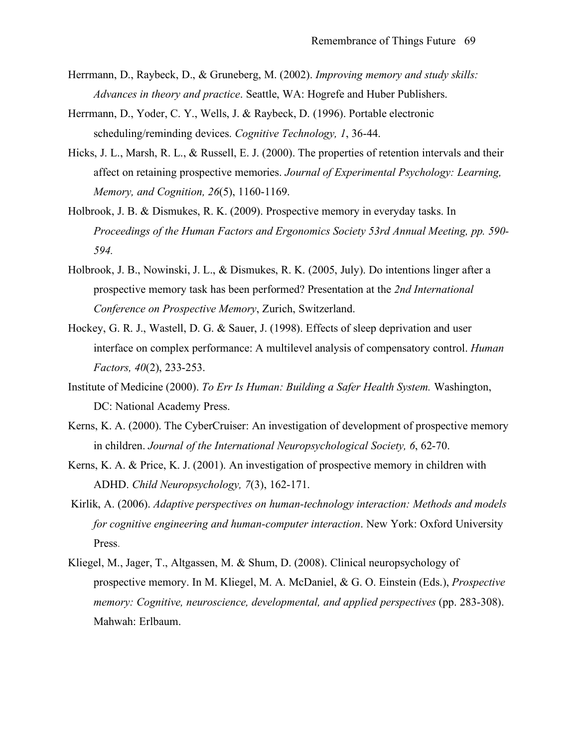- Herrmann, D., Raybeck, D., & Gruneberg, M. (2002). *Improving memory and study skills: Advances in theory and practice*. Seattle, WA: Hogrefe and Huber Publishers.
- Herrmann, D., Yoder, C. Y., Wells, J. & Raybeck, D. (1996). Portable electronic scheduling/reminding devices. *Cognitive Technology, 1*, 36-44.
- Hicks, J. L., Marsh, R. L., & Russell, E. J. (2000). The properties of retention intervals and their affect on retaining prospective memories. *Journal of Experimental Psychology: Learning, Memory, and Cognition, 26*(5), 1160-1169.
- Holbrook, J. B. & Dismukes, R. K. (2009). Prospective memory in everyday tasks. In *Proceedings of the Human Factors and Ergonomics Society 53rd Annual Meeting, pp. 590- 594.*
- Holbrook, J. B., Nowinski, J. L., & Dismukes, R. K. (2005, July). Do intentions linger after a prospective memory task has been performed? Presentation at the *2nd International Conference on Prospective Memory*, Zurich, Switzerland.
- Hockey, G. R. J., Wastell, D. G. & Sauer, J. (1998). Effects of sleep deprivation and user interface on complex performance: A multilevel analysis of compensatory control. *Human Factors, 40*(2), 233-253.
- Institute of Medicine (2000). *To Err Is Human: Building a Safer Health System.* Washington, DC: National Academy Press.
- Kerns, K. A. (2000). The CyberCruiser: An investigation of development of prospective memory in children. *Journal of the International Neuropsychological Society, 6*, 62-70.
- Kerns, K. A. & Price, K. J. (2001). An investigation of prospective memory in children with ADHD. *Child Neuropsychology, 7*(3), 162-171.
- Kirlik, A. (2006). *Adaptive perspectives on human-technology interaction: Methods and models for cognitive engineering and human-computer interaction*. New York: Oxford University Press.
- Kliegel, M., Jager, T., Altgassen, M. & Shum, D. (2008). Clinical neuropsychology of prospective memory. In M. Kliegel, M. A. McDaniel, & G. O. Einstein (Eds.), *Prospective memory: Cognitive, neuroscience, developmental, and applied perspectives* (pp. 283-308). Mahwah: Erlbaum.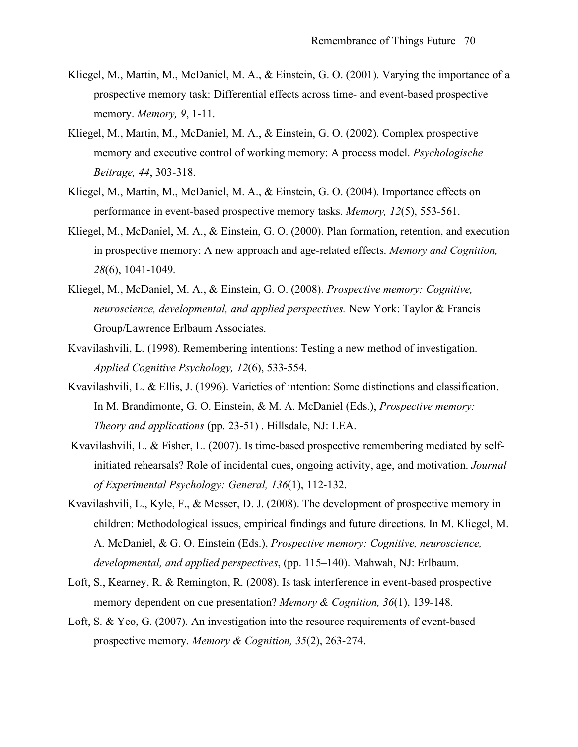- Kliegel, M., Martin, M., McDaniel, M. A., & Einstein, G. O. (2001). Varying the importance of a prospective memory task: Differential effects across time- and event-based prospective memory. *Memory, 9*, 1-11.
- Kliegel, M., Martin, M., McDaniel, M. A., & Einstein, G. O. (2002). Complex prospective memory and executive control of working memory: A process model. *Psychologische Beitrage, 44*, 303-318.
- Kliegel, M., Martin, M., McDaniel, M. A., & Einstein, G. O. (2004). Importance effects on performance in event-based prospective memory tasks. *Memory, 12*(5), 553-561.
- Kliegel, M., McDaniel, M. A., & Einstein, G. O. (2000). Plan formation, retention, and execution in prospective memory: A new approach and age-related effects. *Memory and Cognition, 28*(6), 1041-1049.
- Kliegel, M., McDaniel, M. A., & Einstein, G. O. (2008). *Prospective memory: Cognitive, neuroscience, developmental, and applied perspectives.* New York: Taylor & Francis Group/Lawrence Erlbaum Associates.
- Kvavilashvili, L. (1998). Remembering intentions: Testing a new method of investigation. *Applied Cognitive Psychology, 12*(6), 533-554.
- Kvavilashvili, L. & Ellis, J. (1996). Varieties of intention: Some distinctions and classification. In M. Brandimonte, G. O. Einstein, & M. A. McDaniel (Eds.), *Prospective memory: Theory and applications* (pp. 23-51) . Hillsdale, NJ: LEA.
- Kvavilashvili, L. & Fisher, L. (2007). Is time-based prospective remembering mediated by selfinitiated rehearsals? Role of incidental cues, ongoing activity, age, and motivation. *Journal of Experimental Psychology: General, 136*(1), 112-132.
- Kvavilashvili, L., Kyle, F., & Messer, D. J. (2008). The development of prospective memory in children: Methodological issues, empirical findings and future directions. In M. Kliegel, M. A. McDaniel, & G. O. Einstein (Eds.), *Prospective memory: Cognitive, neuroscience, developmental, and applied perspectives*, (pp. 115–140). Mahwah, NJ: Erlbaum.
- Loft, S., Kearney, R. & Remington, R. (2008). Is task interference in event-based prospective memory dependent on cue presentation? *Memory & Cognition, 36*(1), 139-148.
- Loft, S. & Yeo, G. (2007). An investigation into the resource requirements of event-based prospective memory. *Memory & Cognition, 35*(2), 263-274.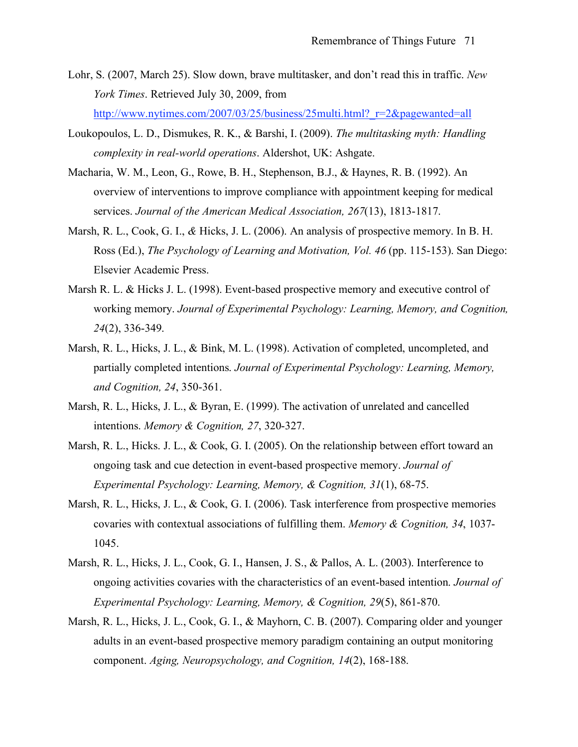- Lohr, S. (2007, March 25). Slow down, brave multitasker, and don't read this in traffic. *New York Times*. Retrieved July 30, 2009, from http://www.nytimes.com/2007/03/25/business/25multi.html? r=2&pagewanted=all
- Loukopoulos, L. D., Dismukes, R. K., & Barshi, I. (2009). *The multitasking myth: Handling*
- *complexity in real-world operations*. Aldershot, UK: Ashgate.
- Macharia, W. M., Leon, G., Rowe, B. H., Stephenson, B.J., & Haynes, R. B. (1992). An overview of interventions to improve compliance with appointment keeping for medical services. *Journal of the American Medical Association, 267*(13), 1813-1817.
- Marsh, R. L., Cook, G. I., *&* Hicks, J. L. (2006). An analysis of prospective memory. In B. H. Ross (Ed.), *The Psychology of Learning and Motivation, Vol. 46* (pp. 115-153). San Diego: Elsevier Academic Press.
- Marsh R. L. & Hicks J. L. (1998). Event-based prospective memory and executive control of working memory. *Journal of Experimental Psychology: Learning, Memory, and Cognition, 24*(2), 336-349.
- Marsh, R. L., Hicks, J. L., & Bink, M. L. (1998). Activation of completed, uncompleted, and partially completed intentions. *Journal of Experimental Psychology: Learning, Memory, and Cognition, 24*, 350-361.
- Marsh, R. L., Hicks, J. L., & Byran, E. (1999). The activation of unrelated and cancelled intentions. *Memory & Cognition, 27*, 320-327.
- Marsh, R. L., Hicks. J. L., & Cook, G. I. (2005). On the relationship between effort toward an ongoing task and cue detection in event-based prospective memory. *Journal of Experimental Psychology: Learning, Memory, & Cognition, 31*(1), 68-75.
- Marsh, R. L., Hicks, J. L., & Cook, G. I. (2006). Task interference from prospective memories covaries with contextual associations of fulfilling them. *Memory & Cognition, 34*, 1037- 1045.
- Marsh, R. L., Hicks, J. L., Cook, G. I., Hansen, J. S., & Pallos, A. L. (2003). Interference to ongoing activities covaries with the characteristics of an event-based intention. *Journal of Experimental Psychology: Learning, Memory, & Cognition, 29*(5), 861-870.
- Marsh, R. L., Hicks, J. L., Cook, G. I., & Mayhorn, C. B. (2007). Comparing older and younger adults in an event-based prospective memory paradigm containing an output monitoring component. *Aging, Neuropsychology, and Cognition, 14*(2), 168-188.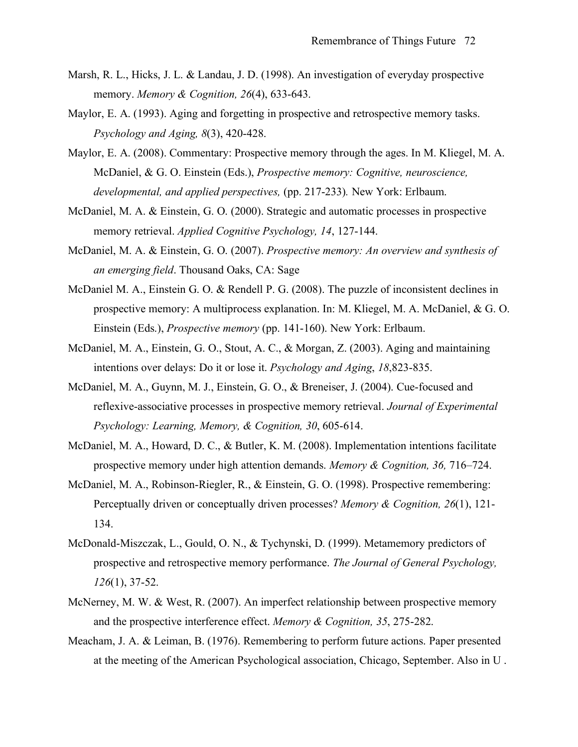- Marsh, R. L., Hicks, J. L. & Landau, J. D. (1998). An investigation of everyday prospective memory. *Memory & Cognition, 26*(4), 633-643.
- Maylor, E. A. (1993). Aging and forgetting in prospective and retrospective memory tasks. *Psychology and Aging, 8*(3), 420-428.
- Maylor, E. A. (2008). Commentary: Prospective memory through the ages. In M. Kliegel, M. A. McDaniel, & G. O. Einstein (Eds.), *Prospective memory: Cognitive, neuroscience, developmental, and applied perspectives,* (pp. 217-233)*.* New York: Erlbaum.
- McDaniel, M. A. & Einstein, G. O. (2000). Strategic and automatic processes in prospective memory retrieval. *Applied Cognitive Psychology, 14*, 127-144.
- McDaniel, M. A. & Einstein, G. O. (2007). *Prospective memory: An overview and synthesis of an emerging field*. Thousand Oaks, CA: Sage
- McDaniel M. A., Einstein G. O. & Rendell P. G. (2008). The puzzle of inconsistent declines in prospective memory: A multiprocess explanation. In: M. Kliegel, M. A. McDaniel, & G. O. Einstein (Eds.), *Prospective memory* (pp. 141-160). New York: Erlbaum.
- McDaniel, M. A., Einstein, G. O., Stout, A. C., & Morgan, Z. (2003). Aging and maintaining intentions over delays: Do it or lose it. *Psychology and Aging*, *18*,823-835.
- McDaniel, M. A., Guynn, M. J., Einstein, G. O., & Breneiser, J. (2004). Cue-focused and reflexive-associative processes in prospective memory retrieval. *Journal of Experimental Psychology: Learning, Memory, & Cognition, 30*, 605-614.
- McDaniel, M. A., Howard, D. C., & Butler, K. M. (2008). Implementation intentions facilitate prospective memory under high attention demands. *Memory & Cognition, 36,* 716–724.
- McDaniel, M. A., Robinson-Riegler, R., & Einstein, G. O. (1998). Prospective remembering: Perceptually driven or conceptually driven processes? *Memory & Cognition, 26*(1), 121- 134.
- McDonald-Miszczak, L., Gould, O. N., & Tychynski, D. (1999). Metamemory predictors of prospective and retrospective memory performance. *The Journal of General Psychology, 126*(1), 37-52.
- McNerney, M. W. & West, R. (2007). An imperfect relationship between prospective memory and the prospective interference effect. *Memory & Cognition, 35*, 275-282.
- Meacham, J. A. & Leiman, B. (1976). Remembering to perform future actions. Paper presented at the meeting of the American Psychological association, Chicago, September. Also in U .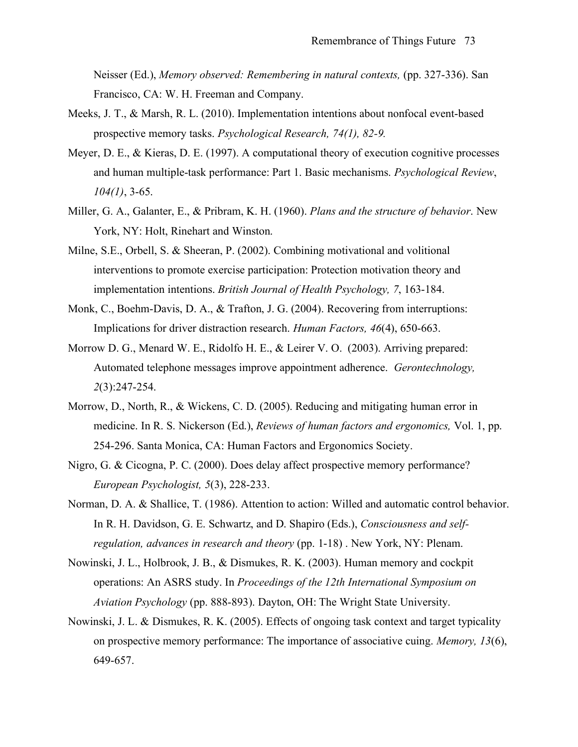Neisser (Ed.), *Memory observed: Remembering in natural contexts,* (pp. 327-336). San Francisco, CA: W. H. Freeman and Company.

- Meeks, J. T., & Marsh, R. L. (2010). Implementation intentions about nonfocal event-based prospective memory tasks. *Psychological Research, 74(1), 82-9.*
- Meyer, D. E., & Kieras, D. E. (1997). A computational theory of execution cognitive processes and human multiple-task performance: Part 1. Basic mechanisms. *Psychological Review*, *104(1)*, 3-65.
- Miller, G. A., Galanter, E., & Pribram, K. H. (1960). *Plans and the structure of behavior*. New York, NY: Holt, Rinehart and Winston.
- Milne, S.E., Orbell, S. & Sheeran, P. (2002). Combining motivational and volitional interventions to promote exercise participation: Protection motivation theory and implementation intentions. *British Journal of Health Psychology, 7*, 163-184.
- Monk, C., Boehm-Davis, D. A., & Trafton, J. G. (2004). Recovering from interruptions: Implications for driver distraction research. *Human Factors, 46*(4), 650-663.
- Morrow D. G., Menard W. E., Ridolfo H. E., & Leirer V. O. (2003). Arriving prepared: Automated telephone messages improve appointment adherence. *Gerontechnology, 2*(3):247-254.
- Morrow, D., North, R., & Wickens, C. D. (2005). Reducing and mitigating human error in medicine. In R. S. Nickerson (Ed.), *Reviews of human factors and ergonomics,* Vol. 1, pp. 254-296. Santa Monica, CA: Human Factors and Ergonomics Society.
- Nigro, G. & Cicogna, P. C. (2000). Does delay affect prospective memory performance? *European Psychologist, 5*(3), 228-233.
- Norman, D. A. & Shallice, T. (1986). Attention to action: Willed and automatic control behavior. In R. H. Davidson, G. E. Schwartz, and D. Shapiro (Eds.), *Consciousness and selfregulation, advances in research and theory* (pp. 1-18) . New York, NY: Plenam.
- Nowinski, J. L., Holbrook, J. B., & Dismukes, R. K. (2003). Human memory and cockpit operations: An ASRS study. In *Proceedings of the 12th International Symposium on Aviation Psychology* (pp. 888-893). Dayton, OH: The Wright State University.
- Nowinski, J. L. & Dismukes, R. K. (2005). Effects of ongoing task context and target typicality on prospective memory performance: The importance of associative cuing. *Memory, 13*(6), 649-657.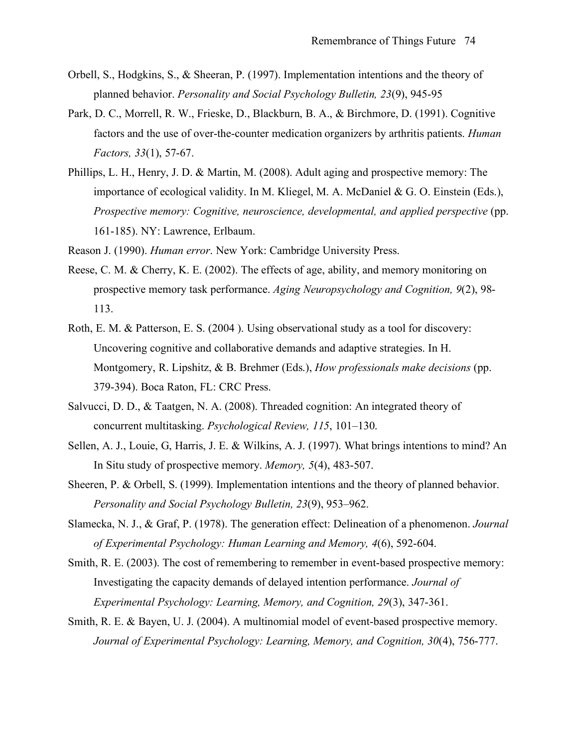- Orbell, S., Hodgkins, S., & Sheeran, P. (1997). Implementation intentions and the theory of planned behavior. *Personality and Social Psychology Bulletin, 23*(9), 945-95
- Park, D. C., Morrell, R. W., Frieske, D., Blackburn, B. A., & Birchmore, D. (1991). Cognitive factors and the use of over-the-counter medication organizers by arthritis patients. *Human Factors, 33*(1), 57-67.
- Phillips, L. H., Henry, J. D. & Martin, M. (2008). Adult aging and prospective memory: The importance of ecological validity. In M. Kliegel, M. A. McDaniel & G. O. Einstein (Eds.), *Prospective memory: Cognitive, neuroscience, developmental, and applied perspective* (pp. 161-185). NY: Lawrence, Erlbaum.
- Reason J. (1990). *Human error*. New York: Cambridge University Press.
- Reese, C. M. & Cherry, K. E. (2002). The effects of age, ability, and memory monitoring on prospective memory task performance. *Aging Neuropsychology and Cognition, 9*(2), 98- 113.
- Roth, E. M. & Patterson, E. S. (2004 ). Using observational study as a tool for discovery: Uncovering cognitive and collaborative demands and adaptive strategies. In H. Montgomery, R. Lipshitz, & B. Brehmer (Eds.), *How professionals make decisions* (pp. 379-394). Boca Raton, FL: CRC Press.
- Salvucci, D. D., & Taatgen, N. A. (2008). Threaded cognition: An integrated theory of concurrent multitasking. *Psychological Review, 115*, 101–130.
- Sellen, A. J., Louie, G, Harris, J. E. & Wilkins, A. J. (1997). What brings intentions to mind? An In Situ study of prospective memory. *Memory, 5*(4), 483-507.
- Sheeren, P. & Orbell, S. (1999). Implementation intentions and the theory of planned behavior. *Personality and Social Psychology Bulletin, 23*(9), 953–962.
- Slamecka, N. J., & Graf, P. (1978). The generation effect: Delineation of a phenomenon. *Journal of Experimental Psychology: Human Learning and Memory, 4*(6), 592-604.
- Smith, R. E. (2003). The cost of remembering to remember in event-based prospective memory: Investigating the capacity demands of delayed intention performance. *Journal of Experimental Psychology: Learning, Memory, and Cognition, 29*(3), 347-361.
- Smith, R. E. & Bayen, U. J. (2004). A multinomial model of event-based prospective memory. *Journal of Experimental Psychology: Learning, Memory, and Cognition, 30*(4), 756-777.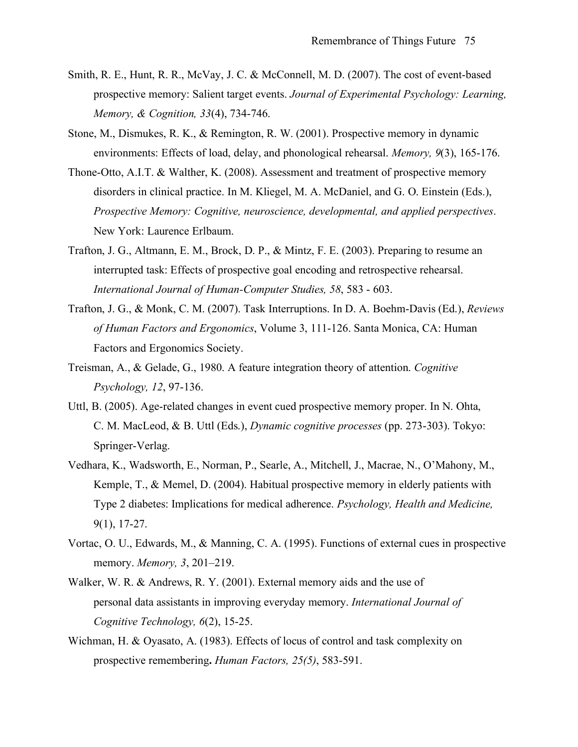- Smith, R. E., Hunt, R. R., McVay, J. C. & McConnell, M. D. (2007). The cost of event-based prospective memory: Salient target events. *Journal of Experimental Psychology: Learning, Memory, & Cognition, 33*(4), 734-746.
- Stone, M., Dismukes, R. K., & Remington, R. W. (2001). Prospective memory in dynamic environments: Effects of load, delay, and phonological rehearsal. *Memory, 9*(3), 165-176.
- Thone-Otto, A.I.T. & Walther, K. (2008). Assessment and treatment of prospective memory disorders in clinical practice. In M. Kliegel, M. A. McDaniel, and G. O. Einstein (Eds.), *Prospective Memory: Cognitive, neuroscience, developmental, and applied perspectives*. New York: Laurence Erlbaum.
- Trafton, J. G., Altmann, E. M., Brock, D. P., & Mintz, F. E. (2003). Preparing to resume an interrupted task: Effects of prospective goal encoding and retrospective rehearsal. *International Journal of Human-Computer Studies, 58*, 583 - 603.
- Trafton, J. G., & Monk, C. M. (2007). Task Interruptions. In D. A. Boehm-Davis (Ed.), *Reviews of Human Factors and Ergonomics*, Volume 3, 111-126. Santa Monica, CA: Human Factors and Ergonomics Society.
- Treisman, A., & Gelade, G., 1980. A feature integration theory of attention. *Cognitive Psychology, 12*, 97-136.
- Uttl, B. (2005). Age-related changes in event cued prospective memory proper. In N. Ohta, C. M. MacLeod, & B. Uttl (Eds.), *Dynamic cognitive processes* (pp. 273-303). Tokyo: Springer-Verlag.
- Vedhara, K., Wadsworth, E., Norman, P., Searle, A., Mitchell, J., Macrae, N., O'Mahony, M., Kemple, T., & Memel, D. (2004). Habitual prospective memory in elderly patients with Type 2 diabetes: Implications for medical adherence. *Psychology, Health and Medicine,* 9(1), 17-27.
- Vortac, O. U., Edwards, M., & Manning, C. A. (1995). Functions of external cues in prospective memory. *Memory, 3*, 201–219.
- Walker, W. R. & Andrews, R. Y. (2001). External memory aids and the use of personal data assistants in improving everyday memory. *International Journal of Cognitive Technology, 6*(2), 15-25.
- Wichman, H. & Oyasato, A. (1983). Effects of locus of control and task complexity on prospective remembering. *Human Factors, 25(5)*, 583-591.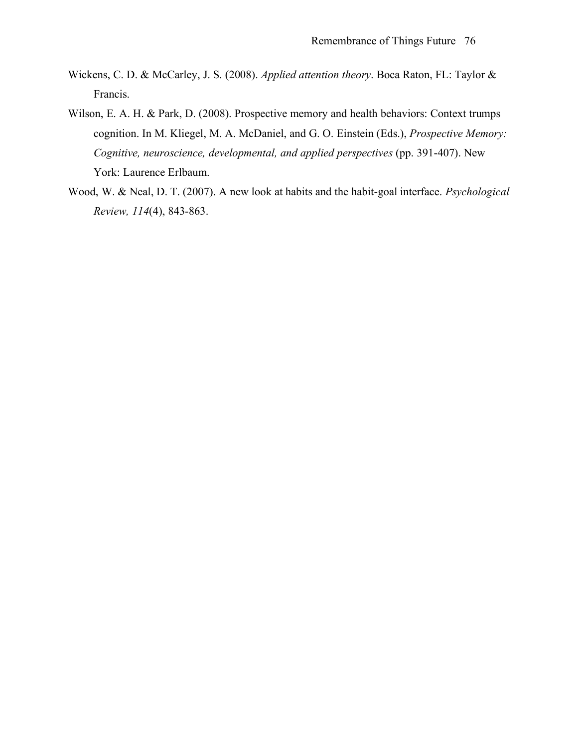- Wickens, C. D. & McCarley, J. S. (2008). *Applied attention theory*. Boca Raton, FL: Taylor & Francis.
- Wilson, E. A. H. & Park, D. (2008). Prospective memory and health behaviors: Context trumps cognition. In M. Kliegel, M. A. McDaniel, and G. O. Einstein (Eds.), *Prospective Memory: Cognitive, neuroscience, developmental, and applied perspectives* (pp. 391-407). New York: Laurence Erlbaum.
- Wood, W. & Neal, D. T. (2007). A new look at habits and the habit-goal interface. *Psychological Review, 114*(4), 843-863.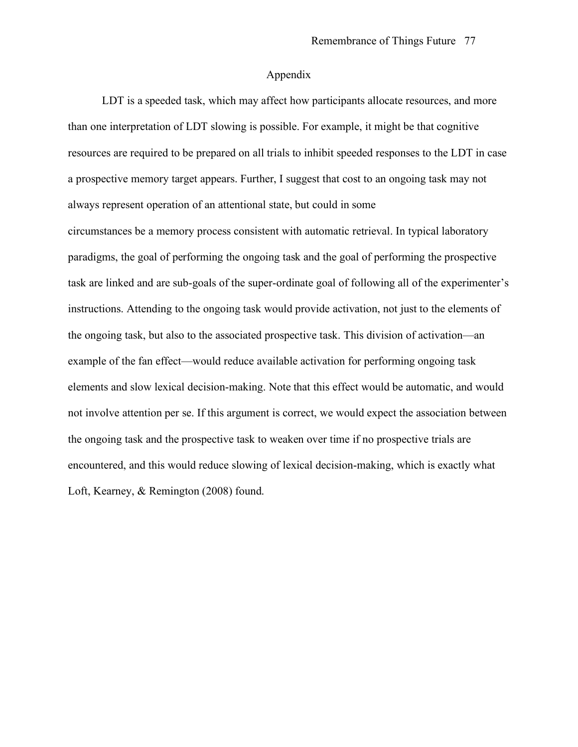#### Appendix

LDT is a speeded task, which may affect how participants allocate resources, and more than one interpretation of LDT slowing is possible. For example, it might be that cognitive resources are required to be prepared on all trials to inhibit speeded responses to the LDT in case a prospective memory target appears. Further, I suggest that cost to an ongoing task may not always represent operation of an attentional state, but could in some

circumstances be a memory process consistent with automatic retrieval. In typical laboratory paradigms, the goal of performing the ongoing task and the goal of performing the prospective task are linked and are sub-goals of the super-ordinate goal of following all of the experimenter's instructions. Attending to the ongoing task would provide activation, not just to the elements of the ongoing task, but also to the associated prospective task. This division of activation—an example of the fan effect—would reduce available activation for performing ongoing task elements and slow lexical decision-making. Note that this effect would be automatic, and would not involve attention per se. If this argument is correct, we would expect the association between the ongoing task and the prospective task to weaken over time if no prospective trials are encountered, and this would reduce slowing of lexical decision-making, which is exactly what Loft, Kearney, & Remington (2008) found.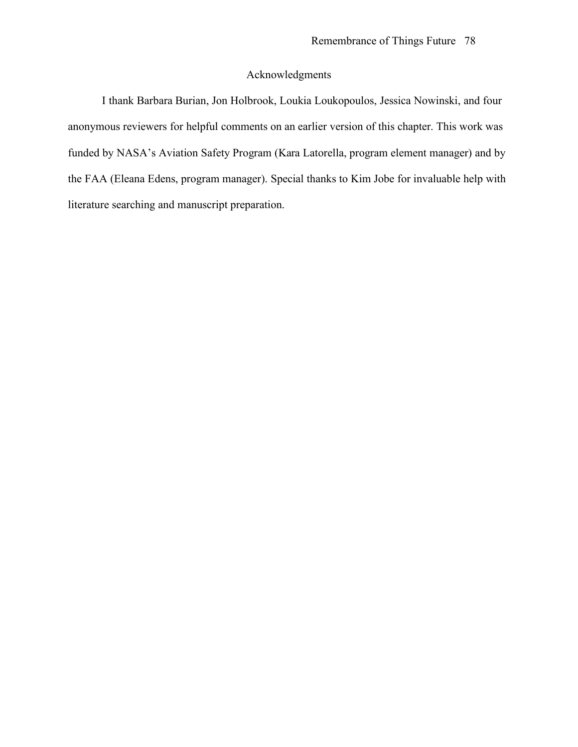### Acknowledgments

I thank Barbara Burian, Jon Holbrook, Loukia Loukopoulos, Jessica Nowinski, and four anonymous reviewers for helpful comments on an earlier version of this chapter. This work was funded by NASA's Aviation Safety Program (Kara Latorella, program element manager) and by the FAA (Eleana Edens, program manager). Special thanks to Kim Jobe for invaluable help with literature searching and manuscript preparation.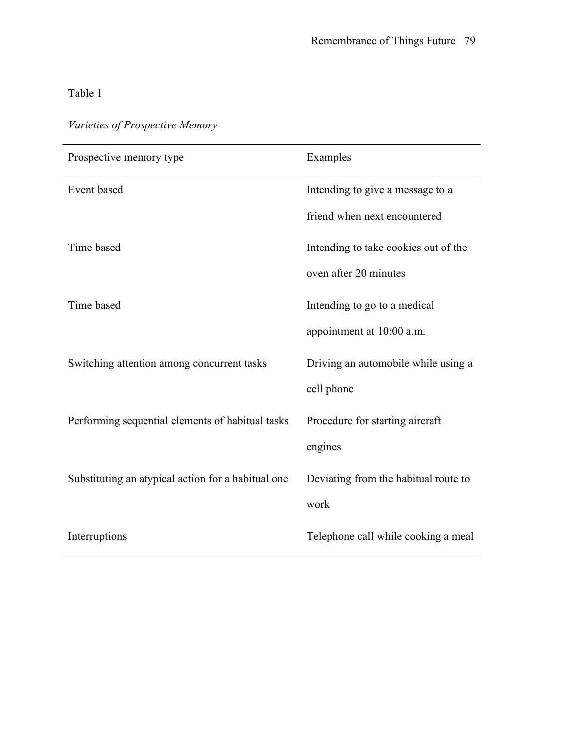| Prospective memory type                            | Examples                             |
|----------------------------------------------------|--------------------------------------|
| Event based                                        | Intending to give a message to a     |
|                                                    | friend when next encountered         |
| Time based                                         | Intending to take cookies out of the |
|                                                    | oven after 20 minutes                |
| Time based                                         | Intending to go to a medical         |
|                                                    | appointment at 10:00 a.m.            |
| Switching attention among concurrent tasks         | Driving an automobile while using a  |
|                                                    | cell phone                           |
| Performing sequential elements of habitual tasks   | Procedure for starting aircraft      |
|                                                    | engines                              |
| Substituting an atypical action for a habitual one | Deviating from the habitual route to |
|                                                    | work                                 |
| Interruptions                                      | Telephone call while cooking a meal  |

## *Varieties of Prospective Memory*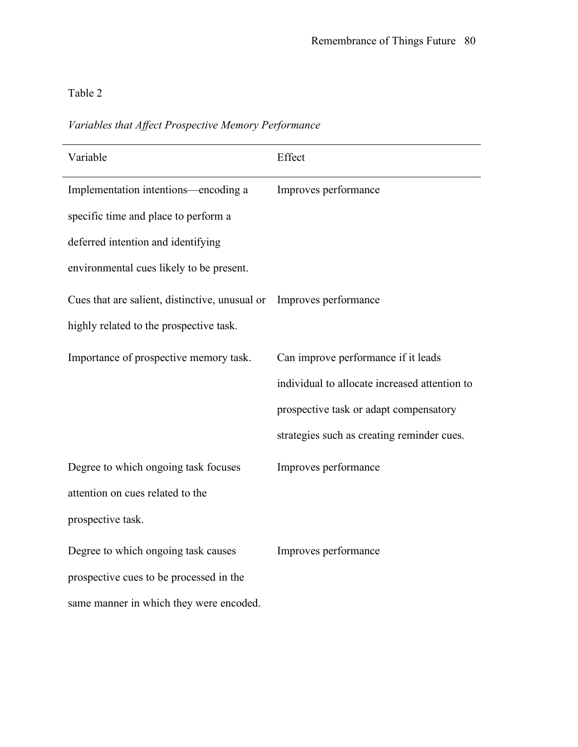*Variables that Affect Prospective Memory Performance*

| Variable                                                            | Effect                                        |
|---------------------------------------------------------------------|-----------------------------------------------|
| Implementation intentions—encoding a                                | Improves performance                          |
| specific time and place to perform a                                |                                               |
| deferred intention and identifying                                  |                                               |
| environmental cues likely to be present.                            |                                               |
| Cues that are salient, distinctive, unusual or Improves performance |                                               |
| highly related to the prospective task.                             |                                               |
| Importance of prospective memory task.                              | Can improve performance if it leads           |
|                                                                     | individual to allocate increased attention to |
|                                                                     | prospective task or adapt compensatory        |
|                                                                     | strategies such as creating reminder cues.    |
| Degree to which ongoing task focuses                                | Improves performance                          |
| attention on cues related to the                                    |                                               |
| prospective task.                                                   |                                               |
| Degree to which ongoing task causes                                 | Improves performance                          |
| prospective cues to be processed in the                             |                                               |
| same manner in which they were encoded.                             |                                               |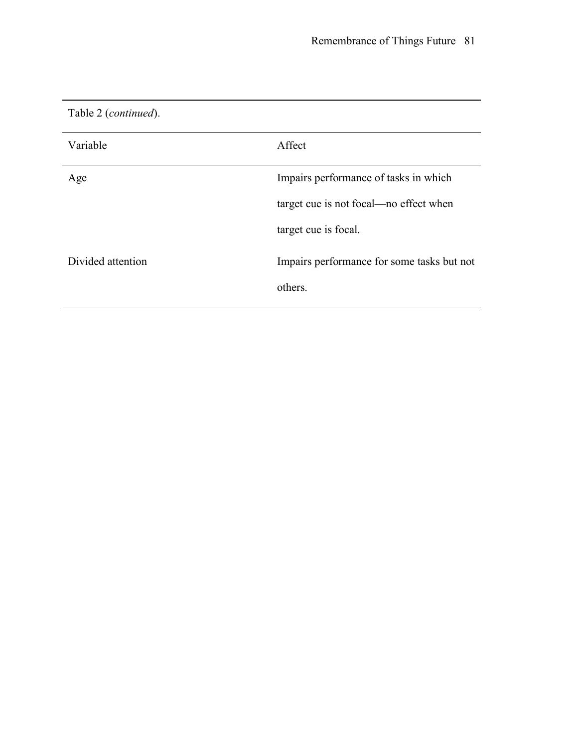| Table 2 ( <i>continued</i> ). |                                            |
|-------------------------------|--------------------------------------------|
| Variable                      | Affect                                     |
| Age                           | Impairs performance of tasks in which      |
|                               | target cue is not focal—no effect when     |
|                               | target cue is focal.                       |
| Divided attention             | Impairs performance for some tasks but not |
|                               | others.                                    |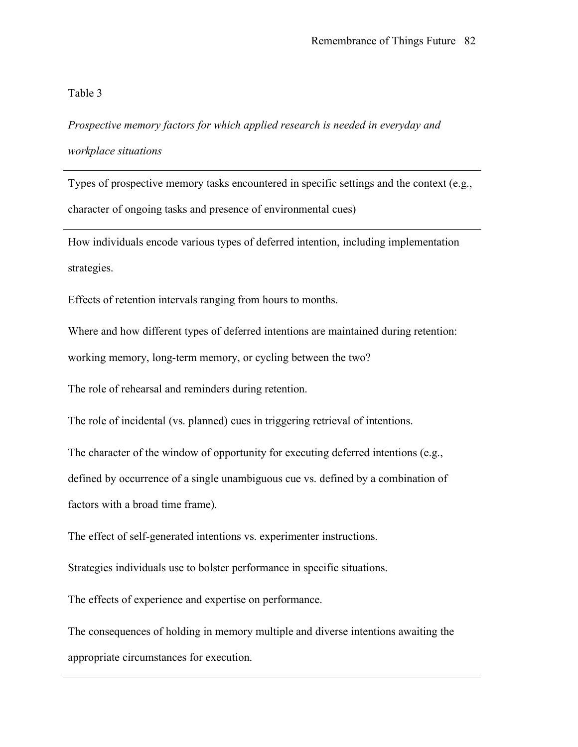*Prospective memory factors for which applied research is needed in everyday and workplace situations*

Types of prospective memory tasks encountered in specific settings and the context (e.g., character of ongoing tasks and presence of environmental cues)

How individuals encode various types of deferred intention, including implementation strategies.

Effects of retention intervals ranging from hours to months.

Where and how different types of deferred intentions are maintained during retention:

working memory, long-term memory, or cycling between the two?

The role of rehearsal and reminders during retention.

The role of incidental (vs. planned) cues in triggering retrieval of intentions.

The character of the window of opportunity for executing deferred intentions (e.g.,

defined by occurrence of a single unambiguous cue vs. defined by a combination of

factors with a broad time frame).

The effect of self-generated intentions vs. experimenter instructions.

Strategies individuals use to bolster performance in specific situations.

The effects of experience and expertise on performance.

The consequences of holding in memory multiple and diverse intentions awaiting the appropriate circumstances for execution.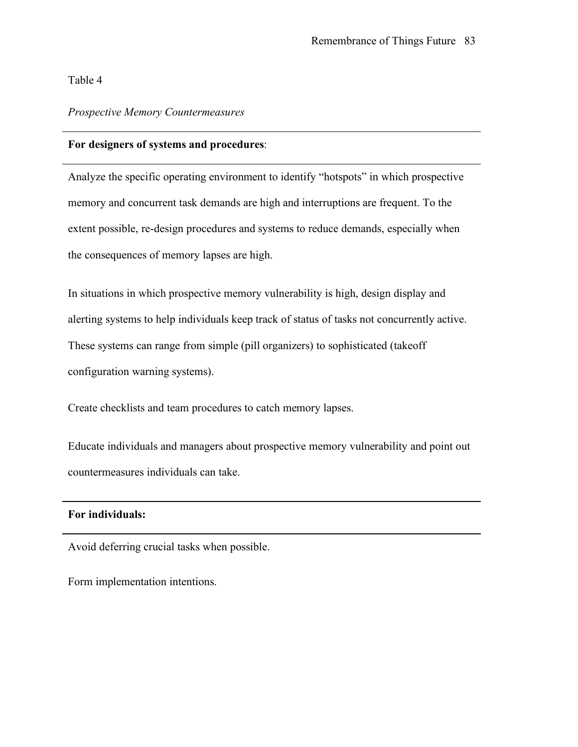#### *Prospective Memory Countermeasures*

#### For designers of systems and procedures:

Analyze the specific operating environment to identify "hotspots" in which prospective memory and concurrent task demands are high and interruptions are frequent. To the extent possible, re-design procedures and systems to reduce demands, especially when the consequences of memory lapses are high.

In situations in which prospective memory vulnerability is high, design display and alerting systems to help individuals keep track of status of tasks not concurrently active. These systems can range from simple (pill organizers) to sophisticated (takeoff configuration warning systems).

Create checklists and team procedures to catch memory lapses.

Educate individuals and managers about prospective memory vulnerability and point out countermeasures individuals can take.

#### For individuals:

Avoid deferring crucial tasks when possible.

Form implementation intentions.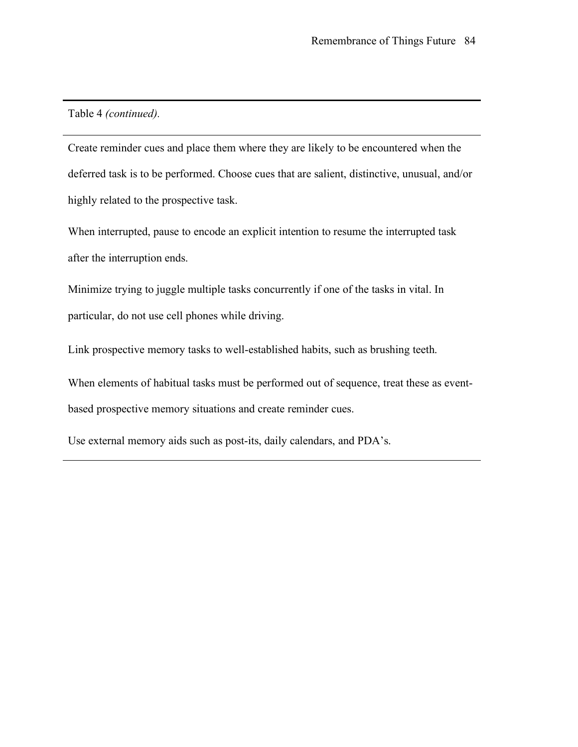Table 4 *(continued).*

Create reminder cues and place them where they are likely to be encountered when the deferred task is to be performed. Choose cues that are salient, distinctive, unusual, and/or highly related to the prospective task.

When interrupted, pause to encode an explicit intention to resume the interrupted task after the interruption ends.

Minimize trying to juggle multiple tasks concurrently if one of the tasks in vital. In particular, do not use cell phones while driving.

Link prospective memory tasks to well-established habits, such as brushing teeth.

When elements of habitual tasks must be performed out of sequence, treat these as eventbased prospective memory situations and create reminder cues.

Use external memory aids such as post-its, daily calendars, and PDA's.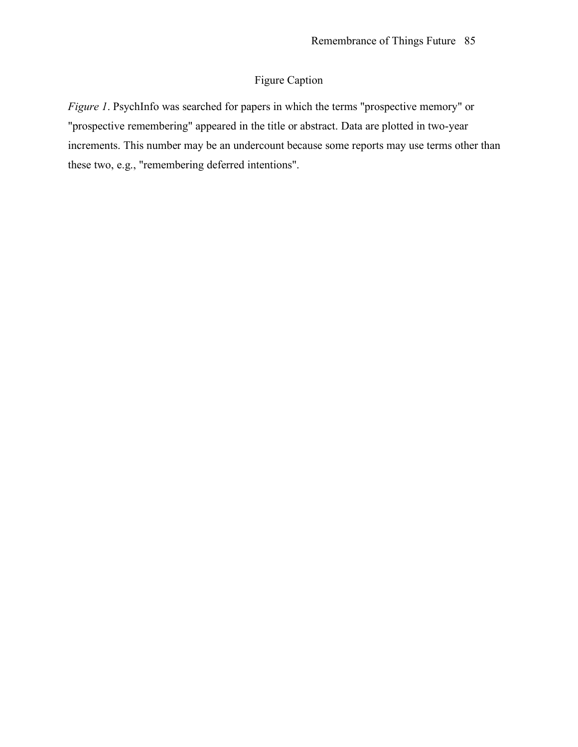### Figure Caption

*Figure 1*. PsychInfo was searched for papers in which the terms "prospective memory" or "prospective remembering" appeared in the title or abstract. Data are plotted in two-year increments. This number may be an undercount because some reports may use terms other than these two, e.g., "remembering deferred intentions".